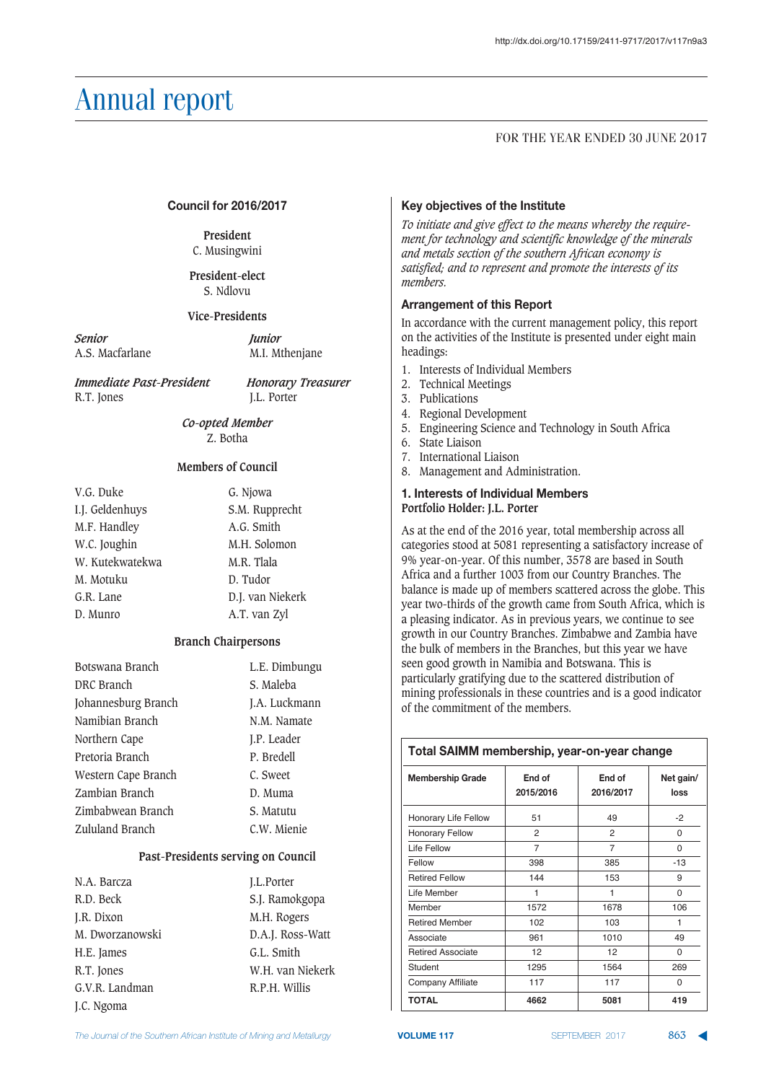#### FOR THE YEAR ENDED 30 JUNE 2017

#### Council for 2016/2017

#### **President** C. Musingwini

**President-elect** S. Ndlovu

#### **Vice-Presidents**

*Senior Junior* A.S. Macfarlane M.I. Mthenjane

*Immediate Past-President Honorary Treasurer* R.T. Jones J.L. Porter

*Co-opted Member* Z. Botha

#### **Members of Council**

| V.G. Duke       | G. Njowa         |
|-----------------|------------------|
| I.J. Geldenhuys | S.M. Rupprecht   |
| M.F. Handley    | A.G. Smith       |
| W.C. Joughin    | M.H. Solomon     |
| W. Kutekwatekwa | M.R. Tlala       |
| M. Motuku       | D. Tudor         |
| G.R. Lane       | D.J. van Niekerk |
| D. Munro        | A.T. van Zyl     |

#### **Branch Chairpersons**

| Botswana Branch     | L.E. Dimbungu |
|---------------------|---------------|
| DRC Branch          | S. Maleba     |
| Johannesburg Branch | J.A. Luckmann |
| Namibian Branch     | N.M. Namate   |
| Northern Cape       | J.P. Leader   |
| Pretoria Branch     | P. Bredell    |
| Western Cape Branch | C. Sweet      |
| Zambian Branch      | D. Muma       |
| Zimbabwean Branch   | S. Matutu     |
| Zululand Branch     | C.W. Mienie   |

#### **Past-Presidents serving on Council**

| N.A. Barcza     | <b>I.L.Porter</b> |
|-----------------|-------------------|
| R.D. Beck       | S.J. Ramokgopa    |
| J.R. Dixon      | M.H. Rogers       |
| M. Dworzanowski | D.A.J. Ross-Watt  |
| H.E. James      | G.L. Smith        |
| R.T. Jones      | W.H. van Niekerk  |
| G.V.R. Landman  | R.P.H. Willis     |
| J.C. Ngoma      |                   |

#### Key objectives of the Institute

*To initiate and give effect to the means whereby the require ment for technology and scientific knowledge of the minerals and metals section of the southern African economy is satisfied; and to represent and promote the interests of its members.*

#### **Arrangement of this Report**

In accordance with the current management policy, this report on the activities of the Institute is presented under eight main headings:

- 1. Interests of Individual Members
- 2. Technical Meetings
- 3. Publications
- 4. Regional Development
- 5. Engineering Science and Technology in South Africa
- 6. State Liaison
- 7. International Liaison
- 8. Management and Administration.

#### **1. Interests of Individual Members Portfolio Holder: J.L. Porter**

As at the end of the 2016 year, total membership across all categories stood at 5081 representing a satisfactory increase of 9% year-on-year. Of this number, 3578 are based in South Africa and a further 1003 from our Country Branches. The balance is made up of members scattered across the globe. This year two-thirds of the growth came from South Africa, which is a pleasing indicator. As in previous years, we continue to see growth in our Country Branches. Zimbabwe and Zambia have the bulk of members in the Branches, but this year we have seen good growth in Namibia and Botswana. This is particularly gratifying due to the scattered distribution of mining professionals in these countries and is a good indicator of the commitment of the members.

# **Total SAIMM membership, year-on-year change**

| <b>Membership Grade</b>  | End of<br>2015/2016 | End of<br>2016/2017 | Net gain/<br>loss |
|--------------------------|---------------------|---------------------|-------------------|
| Honorary Life Fellow     | 51                  | 49                  | $-2$              |
| <b>Honorary Fellow</b>   | 2                   | 2                   | 0                 |
| Life Fellow              | $\overline{7}$      | 7                   | 0                 |
| Fellow                   | 398                 | 385                 | $-13$             |
| <b>Retired Fellow</b>    | 144                 | 153                 | 9                 |
| Life Member              | 1                   | 1                   | $\Omega$          |
| Member                   | 1572                | 1678                | 106               |
| <b>Retired Member</b>    | 102                 | 103                 | 1                 |
| Associate                | 961                 | 1010                | 49                |
| <b>Retired Associate</b> | 12                  | 12                  | 0                 |
| Student                  | 1295                | 1564                | 269               |
| Company Affiliate        | 117                 | 117                 | 0                 |
| TOTAL                    | 4662                | 5081                | 419               |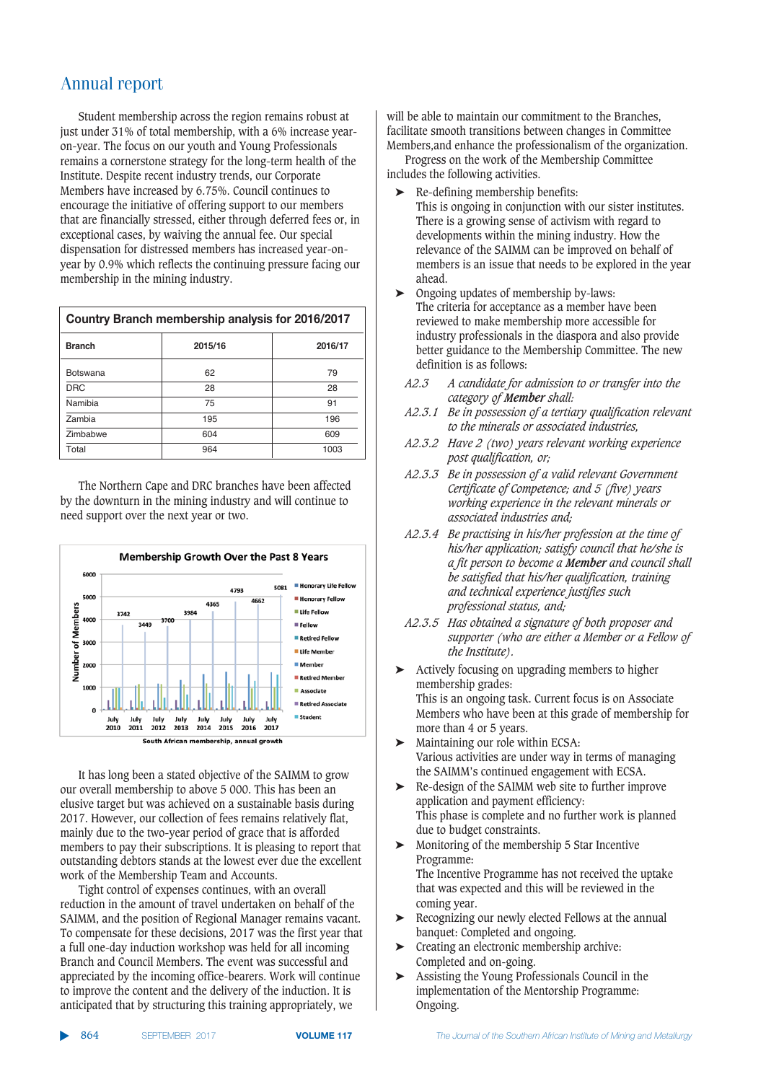Student membership across the region remains robust at just under 31% of total membership, with a 6% increase yearon-year. The focus on our youth and Young Professionals remains a cornerstone strategy for the long-term health of the Institute. Despite recent industry trends, our Corporate Members have increased by 6.75%. Council continues to encourage the initiative of offering support to our members that are financially stressed, either through deferred fees or, in exceptional cases, by waiving the annual fee. Our special dispensation for distressed members has increased year-onyear by 0.9% which reflects the continuing pressure facing our membership in the mining industry.

| Country Branch membership analysis for 2016/2017 |         |         |  |
|--------------------------------------------------|---------|---------|--|
| <b>Branch</b>                                    | 2015/16 | 2016/17 |  |
| <b>Botswana</b>                                  | 62      | 79      |  |
| <b>DRC</b>                                       | 28      | 28      |  |
| Namibia                                          | 75      | 91      |  |
| Zambia                                           | 195     | 196     |  |
| Zimbabwe                                         | 604     | 609     |  |
| Total                                            | 964     | 1003    |  |

The Northern Cape and DRC branches have been affected by the downturn in the mining industry and will continue to need support over the next year or two.



It has long been a stated objective of the SAIMM to grow our overall membership to above 5 000. This has been an elusive target but was achieved on a sustainable basis during 2017. However, our collection of fees remains relatively flat, mainly due to the two-year period of grace that is afforded members to pay their subscriptions. It is pleasing to report that outstanding debtors stands at the lowest ever due the excellent work of the Membership Team and Accounts.

Tight control of expenses continues, with an overall reduction in the amount of travel undertaken on behalf of the SAIMM, and the position of Regional Manager remains vacant. To compensate for these decisions, 2017 was the first year that a full one-day induction workshop was held for all incoming Branch and Council Members. The event was successful and appreciated by the incoming office-bearers. Work will continue to improve the content and the delivery of the induction. It is anticipated that by structuring this training appropriately, we

will be able to maintain our commitment to the Branches. facilitate smooth transitions between changes in Committee Members,and enhance the professionalism of the organization.

Progress on the work of the Membership Committee includes the following activities.

- ➤ Re-defining membership benefits:
- This is ongoing in conjunction with our sister institutes. There is a growing sense of activism with regard to developments within the mining industry. How the relevance of the SAIMM can be improved on behalf of members is an issue that needs to be explored in the year ahead.
- ➤ Ongoing updates of membership by-laws: The criteria for acceptance as a member have been reviewed to make membership more accessible for industry professionals in the diaspora and also provide better guidance to the Membership Committee. The new definition is as follows:
	- *A2.3 A candidate for admission to or transfer into the category of Member shall:*
	- *A2.3.1 Be in possession of a tertiary qualification relevant to the minerals or associated industries,*
	- *A2.3.2 Have 2 (two) years relevant working experience post qualification, or;*
	- *A2.3.3 Be in possession of a valid relevant Government Certificate of Competence; and 5 (five) years working experience in the relevant minerals or associated industries and;*
	- *A2.3.4 Be practising in his/her profession at the time of his/her application; satisfy council that he/she is a fit person to become a Member and council shall be satisfied that his/her qualification, training and technical experience justifies such professional status, and;*
	- *A2.3.5 Has obtained a signature of both proposer and supporter (who are either a Member or a Fellow of the Institute).*
- ➤ Actively focusing on upgrading members to higher membership grades: This is an ongoing task. Current focus is on Associate Members who have been at this grade of membership for more than 4 or 5 years.
- ➤ Maintaining our role within ECSA: Various activities are under way in terms of managing the SAIMM's continued engagement with ECSA.
- ➤ Re-design of the SAIMM web site to further improve application and payment efficiency: This phase is complete and no further work is planned due to budget constraints.
- ➤ Monitoring of the membership 5 Star Incentive Programme: The Incentive Programme has not received the uptake that was expected and this will be reviewed in the coming year.
- ➤ Recognizing our newly elected Fellows at the annual banquet: Completed and ongoing.
- ➤ Creating an electronic membership archive: Completed and on-going.
- ➤ Assisting the Young Professionals Council in the implementation of the Mentorship Programme: Ongoing.

▲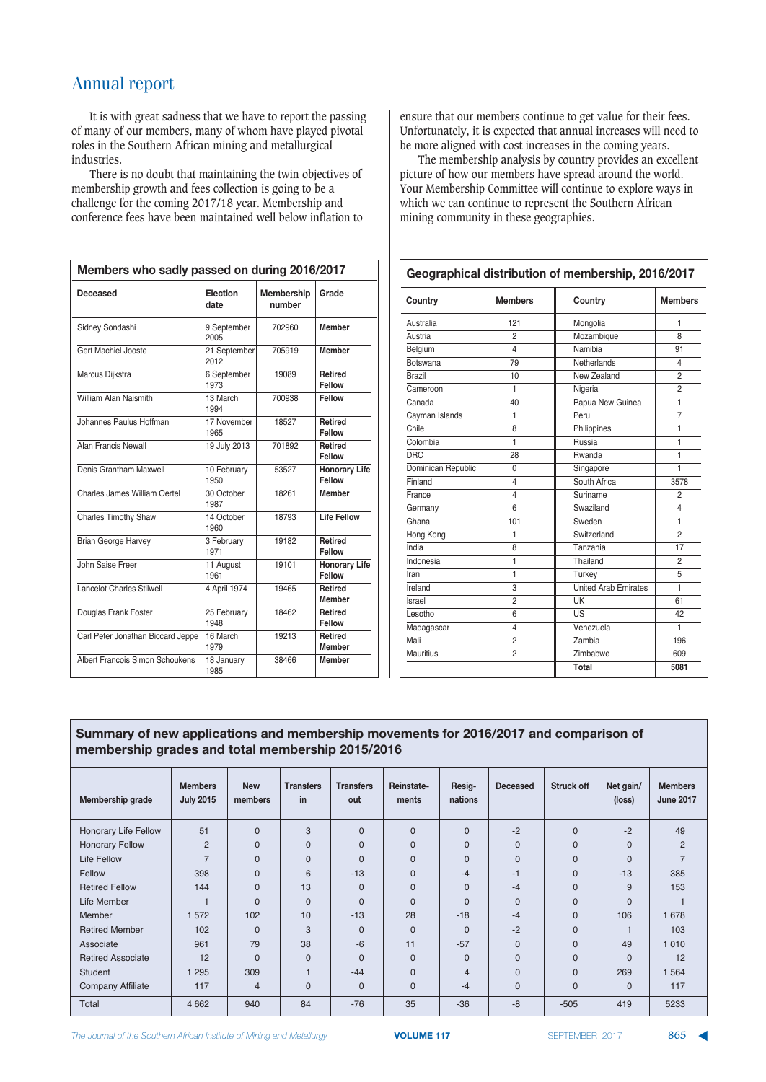It is with great sadness that we have to report the passing of many of our members, many of whom have played pivotal roles in the Southern African mining and metallurgical industries.

There is no doubt that maintaining the twin objectives of membership growth and fees collection is going to be a challenge for the coming 2017/18 year. Membership and conference fees have been maintained well below inflation to

| Members who sadly passed on during 2016/2017 |                      |                             |                                 |  |
|----------------------------------------------|----------------------|-----------------------------|---------------------------------|--|
| Deceased                                     | Election<br>date     | <b>Membership</b><br>number | Grade                           |  |
| Sidney Sondashi                              | 9 September<br>2005  | 702960                      | <b>Member</b>                   |  |
| Gert Machiel Jooste                          | 21 September<br>2012 | 705919                      | <b>Member</b>                   |  |
| Marcus Dijkstra                              | 6 September<br>1973  | 19089                       | <b>Retired</b><br>Fellow        |  |
| William Alan Naismith                        | 13 March<br>1994     | 700938                      | Fellow                          |  |
| Johannes Paulus Hoffman                      | 17 November<br>1965  | 18527                       | <b>Retired</b><br>Fellow        |  |
| Alan Francis Newall                          | 19 July 2013         | 701892                      | <b>Retired</b><br>Fellow        |  |
| Denis Grantham Maxwell                       | 10 February<br>1950  | 53527                       | <b>Honorary Life</b><br>Fellow  |  |
| Charles James William Oertel                 | 30 October<br>1987   | 18261                       | <b>Member</b>                   |  |
| <b>Charles Timothy Shaw</b>                  | 14 October<br>1960   | 18793                       | <b>Life Fellow</b>              |  |
| <b>Brian George Harvey</b>                   | 3 February<br>1971   | 19182                       | Retired<br>Fellow               |  |
| John Saise Freer                             | 11 August<br>1961    | 19101                       | <b>Honorary Life</b><br>Fellow  |  |
| <b>Lancelot Charles Stilwell</b>             | 4 April 1974         | 19465                       | <b>Retired</b><br><b>Member</b> |  |
| Douglas Frank Foster                         | 25 February<br>1948  | 18462                       | Retired<br>Fellow               |  |
| Carl Peter Jonathan Biccard Jeppe            | 16 March<br>1979     | 19213                       | Retired<br><b>Member</b>        |  |
| Albert Francois Simon Schoukens              | 18 January<br>1985   | 38466                       | <b>Member</b>                   |  |

ensure that our members continue to get value for their fees. Unfortunately, it is expected that annual increases will need to be more aligned with cost increases in the coming years.

The membership analysis by country provides an excellent picture of how our members have spread around the world. Your Membership Committee will continue to explore ways in which we can continue to represent the Southern African mining community in these geographies.

| Geographical distribution of membership, 2016/2017 |                |                             |                |  |
|----------------------------------------------------|----------------|-----------------------------|----------------|--|
| Country                                            | <b>Members</b> | Country                     | <b>Members</b> |  |
| Australia                                          | 121            | Mongolia                    | 1              |  |
| Austria                                            | $\mathfrak{p}$ | Mozambique                  | $\mathsf{R}$   |  |
| Belgium                                            | 4              | Namibia                     | 91             |  |
| Botswana                                           | 79             | Netherlands                 | 4              |  |
| <b>Brazil</b>                                      | 10             | New Zealand                 | $\overline{2}$ |  |
| Cameroon                                           | 1              | Nigeria                     | 2              |  |
| Canada                                             | 40             | Papua New Guinea            | $\mathbf{1}$   |  |
| Cayman Islands                                     | 1              | Peru                        | $\overline{7}$ |  |
| Chile                                              | 8              | Philippines                 | $\mathbf{1}$   |  |
| Colombia                                           | 1              | Russia                      | 1              |  |
| DRC                                                | 28             | Rwanda                      | 1              |  |
| Dominican Republic                                 | 0              | Singapore                   | 1              |  |
| Finland                                            | 4              | South Africa                | 3578           |  |
| France                                             | 4              | Suriname                    | $\overline{2}$ |  |
| Germany                                            | 6              | Swaziland                   | 4              |  |
| Ghana                                              | 101            | Sweden                      | $\mathbf{1}$   |  |
| Hong Kong                                          | 1              | Switzerland                 | 2              |  |
| India                                              | 8              | Tanzania                    | 17             |  |
| Indonesia                                          | 1              | Thailand                    | 2              |  |
| Iran                                               | 1              | Turkey                      | 5              |  |
| Ireland                                            | 3              | <b>United Arab Emirates</b> | 1              |  |
| Israel                                             | $\overline{2}$ | UK                          | 61             |  |
| Lesotho                                            | 6              | US                          | 42             |  |
| Madagascar                                         | 4              | Venezuela                   | 1              |  |
| Mali                                               | $\overline{2}$ | Zambia                      | 196            |  |
| <b>Mauritius</b>                                   | $\overline{2}$ | Zimbabwe                    | 609            |  |
|                                                    |                | Total                       | 5081           |  |

#### Summary of new applications and membership movements for 2016/2017 and comparison of membership grades and total membership 2015/2016

| Membership grade         | <b>Members</b><br><b>July 2015</b> | <b>New</b><br>members | <b>Transfers</b><br>in  | <b>Transfers</b><br>out | Reinstate-<br>ments | Resig-<br>nations | <b>Deceased</b> | <b>Struck off</b> | Net gain/<br>(loss) | <b>Members</b><br><b>June 2017</b> |
|--------------------------|------------------------------------|-----------------------|-------------------------|-------------------------|---------------------|-------------------|-----------------|-------------------|---------------------|------------------------------------|
| Honorary Life Fellow     | 51                                 | $\Omega$              | 3                       | 0                       | $\mathbf{0}$        | $\mathbf{0}$      | $-2$            | $\mathbf 0$       | $-2$                | 49                                 |
| <b>Honorary Fellow</b>   | 2                                  | $\Omega$              | $\Omega$                | 0                       | $\mathbf{0}$        | $\mathbf{0}$      | $\overline{0}$  | $\mathbf{0}$      | $\mathbf{0}$        | 2                                  |
| <b>Life Fellow</b>       | $\overline{7}$                     | $\Omega$              | $\Omega$                | $\Omega$                | $\mathbf{0}$        | $\mathbf{0}$      | $\overline{0}$  | $\mathbf{0}$      | $\Omega$            | $\overline{7}$                     |
| Fellow                   | 398                                | $\Omega$              | 6                       | $-13$                   | $\Omega$            | $-4$              | $-1$            | $\mathbf 0$       | $-13$               | 385                                |
| <b>Retired Fellow</b>    | 144                                | $\Omega$              | 13                      | $\Omega$                | $\Omega$            | $\mathbf{0}$      | $-4$            | $\mathbf{0}$      | 9                   | 153                                |
| Life Member              | и                                  | $\Omega$              | $\Omega$                | $\Omega$                | $\Omega$            | $\Omega$          | $\overline{0}$  | $\Omega$          | $\Omega$            |                                    |
| <b>Member</b>            | 572                                | 102                   | 10                      | $-13$                   | 28                  | $-18$             | $-4$            | $\Omega$          | 106                 | 1678                               |
| <b>Retired Member</b>    | 102                                | $\Omega$              | 3                       | $\Omega$                | $\mathbf 0$         | $\mathbf 0$       | $-2$            | $\mathbf{0}$      |                     | 103                                |
| Associate                | 961                                | 79                    | 38                      | $-6$                    | 11                  | $-57$             | $\overline{0}$  | $\mathbf{0}$      | 49                  | 1010                               |
| <b>Retired Associate</b> | 12                                 | $\Omega$              | $\Omega$                | $\Omega$                | $\Omega$            | $\mathbf 0$       | $\overline{0}$  | $\mathbf{0}$      | $\Omega$            | 12                                 |
| <b>Student</b>           | 295                                | 309                   | $\overline{\mathbf{1}}$ | $-44$                   | $\Omega$            | $\overline{4}$    | $\overline{0}$  | $\mathbf 0$       | 269                 | 1564                               |
| <b>Company Affiliate</b> | 117                                | $\overline{4}$        | $\Omega$                | 0                       | $\mathbf{0}$        | $-4$              | $\overline{0}$  | $\Omega$          | $\Omega$            | 117                                |
| Total                    | 4 6 6 2                            | 940                   | 84                      | $-76$                   | 35                  | $-36$             | $-8$            | $-505$            | 419                 | 5233                               |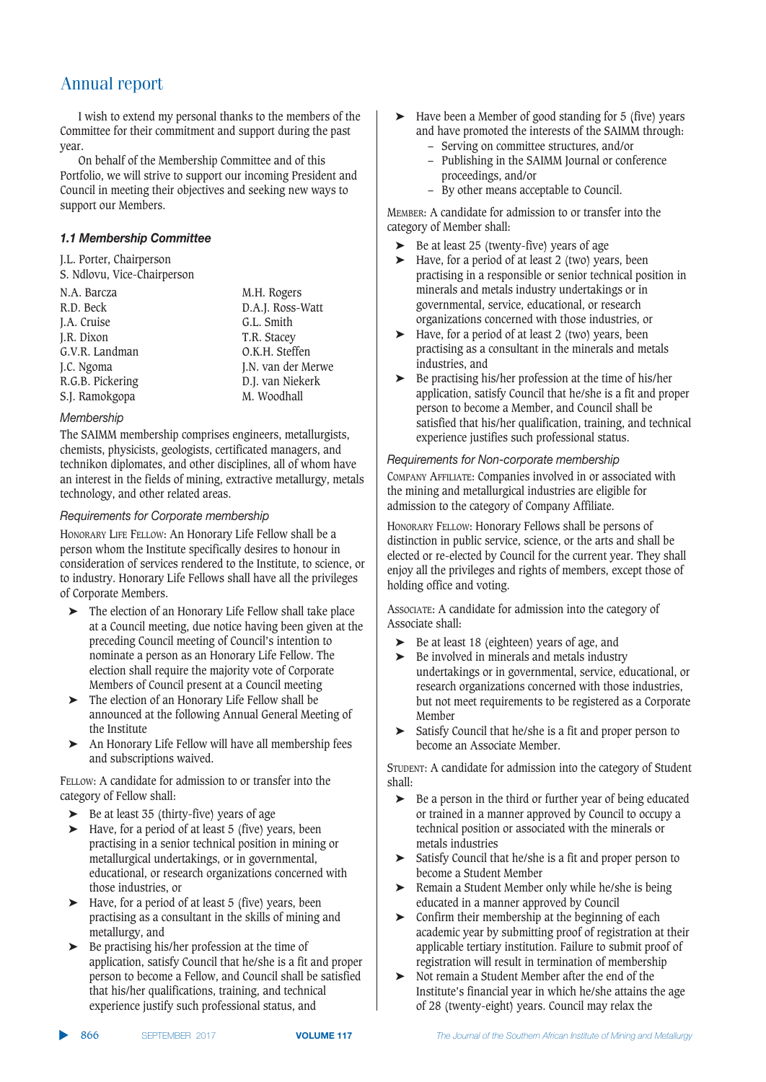I wish to extend my personal thanks to the members of the Committee for their commitment and support during the past year.

On behalf of the Membership Committee and of this Portfolio, we will strive to support our incoming President and Council in meeting their objectives and seeking new ways to support our Members.

#### *1.1 Membership Committee*

J.L. Porter, Chairperson S. Ndlovu, Vice-Chairperson

| N.A. Barcza      | M.H. Rogers        |
|------------------|--------------------|
| R.D. Beck        | D.A.J. Ross-Watt   |
| J.A. Cruise      | G.L. Smith         |
| J.R. Dixon       | T.R. Stacey        |
| G.V.R. Landman   | O.K.H. Steffen     |
| J.C. Ngoma       | J.N. van der Merwe |
| R.G.B. Pickering | D.J. van Niekerk   |
| S.J. Ramokgopa   | M. Woodhall        |

#### 

The SAIMM membership comprises engineers, metallurgists, chemists, physicists, geologists, certificated managers, and technikon diplomates, and other disciplines, all of whom have an interest in the fields of mining, extractive metallurgy, metals technology, and other related areas.

#### $B$ *Bequirements for Corporate membership*

HONORARY LIFE FELLOW: An Honorary Life Fellow shall be a person whom the Institute specifically desires to honour in consideration of services rendered to the Institute, to science, or to industry. Honorary Life Fellows shall have all the privileges of Corporate Members.

- ➤ The election of an Honorary Life Fellow shall take place at a Council meeting, due notice having been given at the preceding Council meeting of Council's intention to nominate a person as an Honorary Life Fellow. The election shall require the majority vote of Corporate Members of Council present at a Council meeting
- ➤ The election of an Honorary Life Fellow shall be announced at the following Annual General Meeting of the Institute
- ➤ An Honorary Life Fellow will have all membership fees and subscriptions waived.

FELLOW: A candidate for admission to or transfer into the category of Fellow shall:

- Be at least 35 (thirty-five) years of age
- Have, for a period of at least 5 (five) years, been practising in a senior technical position in mining or metallurgical undertakings, or in governmental, educational, or research organizations concerned with those industries, or
- ➤ Have, for a period of at least 5 (five) years, been practising as a consultant in the skills of mining and metallurgy, and
- ➤ Be practising his/her profession at the time of application, satisfy Council that he/she is a fit and proper person to become a Fellow, and Council shall be satisfied that his/her qualifications, training, and technical experience justify such professional status, and
- ➤ Have been a Member of good standing for 5 (five) years and have promoted the interests of the SAIMM through:
	- Serving on committee structures, and/or
	- Publishing in the SAIMM Journal or conference proceedings, and/or
	- By other means acceptable to Council.

MEMBER: A candidate for admission to or transfer into the category of Member shall:

- ➤ Be at least 25 (twenty-five) years of age
- ➤ Have, for a period of at least 2 (two) years, been practising in a responsible or senior technical position in minerals and metals industry undertakings or in governmental, service, educational, or research organizations concerned with those industries, or
- ➤ Have, for a period of at least 2 (two) years, been practising as a consultant in the minerals and metals industries, and
- $\triangleright$  Be practising his/her profession at the time of his/her application, satisfy Council that he/she is a fit and proper person to become a Member, and Council shall be satisfied that his/her qualification, training, and technical experience justifies such professional status.

**Requirements for Non-corporate membership** COMPANY AFFILIATE: Companies involved in or associated with the mining and metallurgical industries are eligible for admission to the category of Company Affiliate.

HONORARY FELLOW: Honorary Fellows shall be persons of distinction in public service, science, or the arts and shall be elected or re-elected by Council for the current year. They shall enjoy all the privileges and rights of members, except those of holding office and voting.

ASSOCIATE: A candidate for admission into the category of Associate shall:

- ► Be at least 18 (eighteen) years of age, and<br>► Be involved in minerals and metals industr
- Be involved in minerals and metals industry undertakings or in governmental, service, educational, or research organizations concerned with those industries, but not meet requirements to be registered as a Corporate Member
- ➤ Satisfy Council that he/she is a fit and proper person to become an Associate Member.

STUDENT: A candidate for admission into the category of Student shall:

- ➤ Be a person in the third or further year of being educated or trained in a manner approved by Council to occupy a technical position or associated with the minerals or metals industries
- ➤ Satisfy Council that he/she is a fit and proper person to become a Student Member
- ➤ Remain a Student Member only while he/she is being educated in a manner approved by Council
- ➤ Confirm their membership at the beginning of each academic year by submitting proof of registration at their applicable tertiary institution. Failure to submit proof of registration will result in termination of membership
- ➤ Not remain a Student Member after the end of the Institute's financial year in which he/she attains the age of 28 (twenty-eight) years. Council may relax the

▲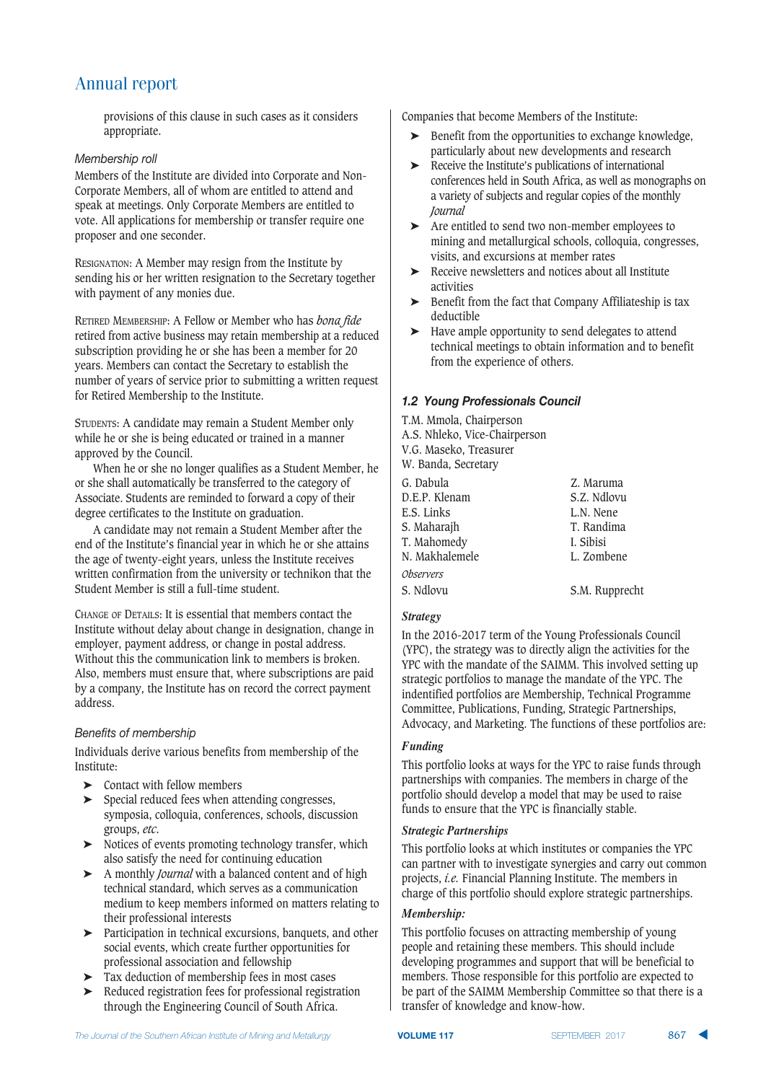provisions of this clause in such cases as it considers appropriate.

#### *Membership roll*

Members of the Institute are divided into Corporate and Non-Corporate Members, all of whom are entitled to attend and speak at meetings. Only Corporate Members are entitled to vote. All applications for membership or transfer require one proposer and one seconder.

RESIGNATION: A Member may resign from the Institute by sending his or her written resignation to the Secretary together with payment of any monies due.

RETIRED MEMBERSHIP: A Fellow or Member who has *bona fide* retired from active business may retain membership at a reduced subscription providing he or she has been a member for 20 years. Members can contact the Secretary to establish the number of years of service prior to submitting a written request for Retired Membership to the Institute.

STUDENTS: A candidate may remain a Student Member only while he or she is being educated or trained in a manner approved by the Council.

When he or she no longer qualifies as a Student Member, he or she shall automatically be transferred to the category of Associate. Students are reminded to forward a copy of their degree certificates to the Institute on graduation.

A candidate may not remain a Student Member after the end of the Institute's financial year in which he or she attains the age of twenty-eight years, unless the Institute receives written confirmation from the university or technikon that the Student Member is still a full-time student.

CHANGE OF DETAILS: It is essential that members contact the Institute without delay about change in designation, change in employer, payment address, or change in postal address. Without this the communication link to members is broken. Also, members must ensure that, where subscriptions are paid by a company, the Institute has on record the correct payment address.

#### Benetits of membership

Individuals derive various benefits from membership of the Institute:

- ➤ Contact with fellow members
- ➤ Special reduced fees when attending congresses, symposia, colloquia, conferences, schools, discussion groups, *etc*.
- ➤ Notices of events promoting technology transfer, which also satisfy the need for continuing education
- ➤ A monthly *Journal* with a balanced content and of high technical standard, which serves as a communication medium to keep members informed on matters relating to their professional interests
- ➤ Participation in technical excursions, banquets, and other social events, which create further opportunities for professional association and fellowship
- ➤ Tax deduction of membership fees in most cases
- ➤ Reduced registration fees for professional registration through the Engineering Council of South Africa.

Companies that become Members of the Institute:

- ➤ Benefit from the opportunities to exchange knowledge, particularly about new developments and research
- ➤ Receive the Institute's publications of international conferences held in South Africa, as well as monographs on a variety of subjects and regular copies of the monthly *Journal*
- ➤ Are entitled to send two non-member employees to mining and metallurgical schools, colloquia, congresses, visits, and excursions at member rates
- ➤ Receive newsletters and notices about all Institute activities
- ➤ Benefit from the fact that Company Affiliateship is tax deductible
- ➤ Have ample opportunity to send delegates to attend technical meetings to obtain information and to benefit from the experience of others.

#### *1.2 Young Professionals Council*

T.M. Mmola, Chairperson A.S. Nhleko, Vice-Chairperson V.G. Maseko, Treasurer W. Banda, Secretary G. Dabula Z. Maruma D.E.P. Klenam S.Z. Ndlovu<br>E.S. Links L.N. Nene E.S. Links L.N. Nene S. Maharajh T. Mahomedy I. Sibisi

S. Ndlovu S.M. Rupprecht

#### *Strategy*

N. Makhalemele *Observers*

In the 2016-2017 term of the Young Professionals Council (YPC), the strategy was to directly align the activities for the YPC with the mandate of the SAIMM. This involved setting up strategic portfolios to manage the mandate of the YPC. The indentified portfolios are Membership, Technical Programme Committee, Publications, Funding, Strategic Partnerships, Advocacy, and Marketing. The functions of these portfolios are:

#### *Funding*

This portfolio looks at ways for the YPC to raise funds through partnerships with companies. The members in charge of the portfolio should develop a model that may be used to raise funds to ensure that the YPC is financially stable.

#### *Strategic Partnerships*

This portfolio looks at which institutes or companies the YPC can partner with to investigate synergies and carry out common projects, *i.e.* Financial Planning Institute. The members in charge of this portfolio should explore strategic partnerships.

#### *Membership:*

This portfolio focuses on attracting membership of young people and retaining these members. This should include developing programmes and support that will be beneficial to members. Those responsible for this portfolio are expected to be part of the SAIMM Membership Committee so that there is a transfer of knowledge and know-how.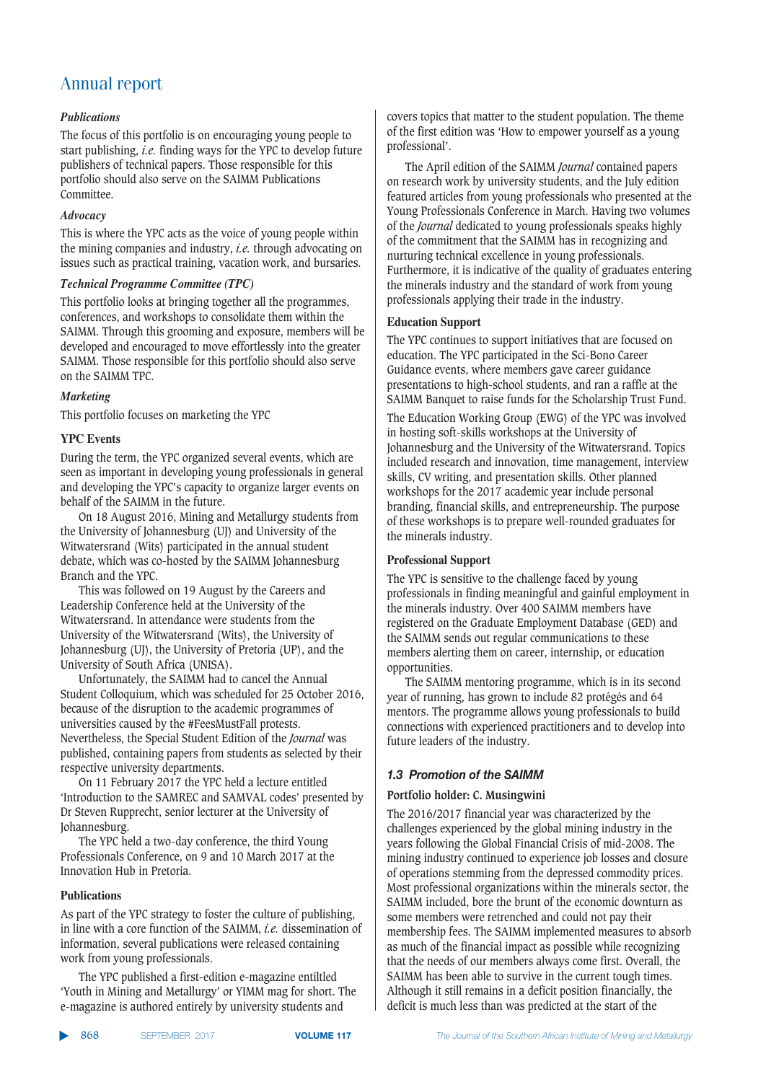#### *Publications*

The focus of this portfolio is on encouraging young people to start publishing, *i.e.* finding ways for the YPC to develop future publishers of technical papers. Those responsible for this portfolio should also serve on the SAIMM Publications Committee.

#### *Advocacy*

This is where the YPC acts as the voice of young people within the mining companies and industry, *i.e.* through advocating on issues such as practical training, vacation work, and bursaries.

#### *Technical Programme Committee (TPC)*

This portfolio looks at bringing together all the programmes, conferences, and workshops to consolidate them within the SAIMM. Through this grooming and exposure, members will be developed and encouraged to move effortlessly into the greater SAIMM. Those responsible for this portfolio should also serve on the SAIMM TPC.

#### *Marketing*

This portfolio focuses on marketing the YPC

#### **YPC Events**

During the term, the YPC organized several events, which are seen as important in developing young professionals in general and developing the YPC's capacity to organize larger events on behalf of the SAIMM in the future.

On 18 August 2016, Mining and Metallurgy students from the University of Johannesburg (UJ) and University of the Witwatersrand (Wits) participated in the annual student debate, which was co-hosted by the SAIMM Johannesburg Branch and the YPC.

This was followed on 19 August by the Careers and Leadership Conference held at the University of the Witwatersrand. In attendance were students from the University of the Witwatersrand (Wits), the University of Johannesburg (UJ), the University of Pretoria (UP), and the University of South Africa (UNISA).

Unfortunately, the SAIMM had to cancel the Annual Student Colloquium, which was scheduled for 25 October 2016, because of the disruption to the academic programmes of universities caused by the #FeesMustFall protests. Nevertheless, the Special Student Edition of the *Journal* was published, containing papers from students as selected by their respective university departments.

On 11 February 2017 the YPC held a lecture entitled 'Introduction to the SAMREC and SAMVAL codes' presented by Dr Steven Rupprecht, senior lecturer at the University of Johannesburg.

The YPC held a two-day conference, the third Young Professionals Conference, on 9 and 10 March 2017 at the Innovation Hub in Pretoria.

#### **Publications**

As part of the YPC strategy to foster the culture of publishing, in line with a core function of the SAIMM, *i.e.* dissemination of information, several publications were released containing work from young professionals.

The YPC published a first-edition e-magazine entiltled 'Youth in Mining and Metallurgy' or YIMM mag for short. The e-magazine is authored entirely by university students and

covers topics that matter to the student population. The theme of the first edition was 'How to empower yourself as a young professional'.

The April edition of the SAIMM *Journal* contained papers on research work by university students, and the July edition featured articles from young professionals who presented at the Young Professionals Conference in March. Having two volumes of the *Journal* dedicated to young professionals speaks highly of the commitment that the SAIMM has in recognizing and nurturing technical excellence in young professionals. Furthermore, it is indicative of the quality of graduates entering the minerals industry and the standard of work from young professionals applying their trade in the industry.

#### **Education Support**

The YPC continues to support initiatives that are focused on education. The YPC participated in the Sci-Bono Career Guidance events, where members gave career guidance presentations to high-school students, and ran a raffle at the SAIMM Banquet to raise funds for the Scholarship Trust Fund.

The Education Working Group (EWG) of the YPC was involved in hosting soft-skills workshops at the University of Johannesburg and the University of the Witwatersrand. Topics included research and innovation, time management, interview skills, CV writing, and presentation skills. Other planned workshops for the 2017 academic year include personal branding, financial skills, and entrepreneurship. The purpose of these workshops is to prepare well-rounded graduates for the minerals industry.

#### **Professional Support**

The YPC is sensitive to the challenge faced by young professionals in finding meaningful and gainful employment in the minerals industry. Over 400 SAIMM members have registered on the Graduate Employment Database (GED) and the SAIMM sends out regular communications to these members alerting them on career, internship, or education opportunities.

The SAIMM mentoring programme, which is in its second year of running, has grown to include 82 protégés and 64 mentors. The programme allows young professionals to build connections with experienced practitioners and to develop into future leaders of the industry.

#### *222 <i>22<sub>2</sub>**Azgreen of the SAIMM*

#### **Portfolio holder: C. Musingwini**

The 2016/2017 financial year was characterized by the challenges experienced by the global mining industry in the years following the Global Financial Crisis of mid-2008. The mining industry continued to experience job losses and closure of operations stemming from the depressed commodity prices. Most professional organizations within the minerals sector, the SAIMM included, bore the brunt of the economic downturn as some members were retrenched and could not pay their membership fees. The SAIMM implemented measures to absorb as much of the financial impact as possible while recognizing that the needs of our members always come first. Overall, the SAIMM has been able to survive in the current tough times. Although it still remains in a deficit position financially, the deficit is much less than was predicted at the start of the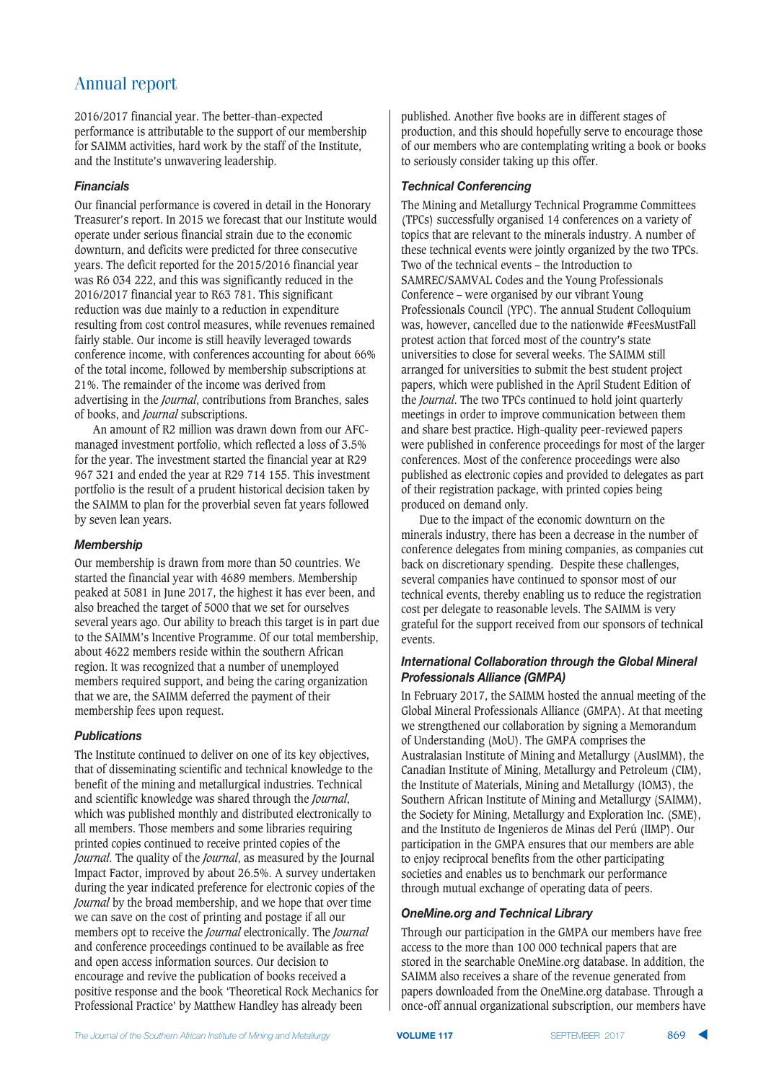2016/2017 financial year. The better-than-expected performance is attributable to the support of our membership for SAIMM activities, hard work by the staff of the Institute, and the Institute's unwavering leadership.

#### $F$ *inancials*

Our financial performance is covered in detail in the Honorary Treasurer's report. In 2015 we forecast that our Institute would operate under serious financial strain due to the economic downturn, and deficits were predicted for three consecutive years. The deficit reported for the 2015/2016 financial year was R6 034 222, and this was significantly reduced in the 2016/2017 financial year to R63 781. This significant reduction was due mainly to a reduction in expenditure resulting from cost control measures, while revenues remained fairly stable. Our income is still heavily leveraged towards conference income, with conferences accounting for about 66% of the total income, followed by membership subscriptions at 21%. The remainder of the income was derived from advertising in the *Journal*, contributions from Branches, sales of books, and *Journal* subscriptions.

An amount of R2 million was drawn down from our AFCmanaged investment portfolio, which reflected a loss of 3.5% for the year. The investment started the financial year at R29 967 321 and ended the year at R29 714 155. This investment portfolio is the result of a prudent historical decision taken by the SAIMM to plan for the proverbial seven fat years followed by seven lean years.

#### $M$ *embership*

Our membership is drawn from more than 50 countries. We started the financial year with 4689 members. Membership peaked at 5081 in June 2017, the highest it has ever been, and also breached the target of 5000 that we set for ourselves several years ago. Our ability to breach this target is in part due to the SAIMM's Incentive Programme. Of our total membership, about 4622 members reside within the southern African region. It was recognized that a number of unemployed members required support, and being the caring organization that we are, the SAIMM deferred the payment of their membership fees upon request.

#### $Publications$

The Institute continued to deliver on one of its key objectives, that of disseminating scientific and technical knowledge to the benefit of the mining and metallurgical industries. Technical and scientific knowledge was shared through the *Journal*, which was published monthly and distributed electronically to all members. Those members and some libraries requiring printed copies continued to receive printed copies of the *Journal*. The quality of the *Journal*, as measured by the Journal Impact Factor, improved by about 26.5%. A survey undertaken during the year indicated preference for electronic copies of the *Journal* by the broad membership, and we hope that over time we can save on the cost of printing and postage if all our members opt to receive the *Journal* electronically. The *Journal* and conference proceedings continued to be available as free and open access information sources. Our decision to encourage and revive the publication of books received a positive response and the book 'Theoretical Rock Mechanics for Professional Practice' by Matthew Handley has already been

published. Another five books are in different stages of production, and this should hopefully serve to encourage those of our members who are contemplating writing a book or books to seriously consider taking up this offer.

#### **7echnical Conferencing**

The Mining and Metallurgy Technical Programme Committees (TPCs) successfully organised 14 conferences on a variety of topics that are relevant to the minerals industry. A number of these technical events were jointly organized by the two TPCs. Two of the technical events – the Introduction to SAMREC/SAMVAL Codes and the Young Professionals Conference – were organised by our vibrant Young Professionals Council (YPC). The annual Student Colloquium was, however, cancelled due to the nationwide #FeesMustFall protest action that forced most of the country's state universities to close for several weeks. The SAIMM still arranged for universities to submit the best student project papers, which were published in the April Student Edition of the *Journal*. The two TPCs continued to hold joint quarterly meetings in order to improve communication between them and share best practice. High-quality peer-reviewed papers were published in conference proceedings for most of the larger conferences. Most of the conference proceedings were also published as electronic copies and provided to delegates as part of their registration package, with printed copies being produced on demand only.

Due to the impact of the economic downturn on the minerals industry, there has been a decrease in the number of conference delegates from mining companies, as companies cut back on discretionary spending. Despite these challenges, several companies have continued to sponsor most of our technical events, thereby enabling us to reduce the registration cost per delegate to reasonable levels. The SAIMM is very grateful for the support received from our sponsors of technical events.

#### *<u>International Collaboration through the Global Mineral*</u> *Professionals Alliance (GMPA)*

In February 2017, the SAIMM hosted the annual meeting of the Global Mineral Professionals Alliance (GMPA). At that meeting we strengthened our collaboration by signing a Memorandum of Understanding (MoU). The GMPA comprises the Australasian Institute of Mining and Metallurgy (AusIMM), the Canadian Institute of Mining, Metallurgy and Petroleum (CIM), the Institute of Materials, Mining and Metallurgy (IOM3), the Southern African Institute of Mining and Metallurgy (SAIMM), the Society for Mining, Metallurgy and Exploration Inc. (SME), and the Instituto de Ingenieros de Minas del Perú (IIMP). Our participation in the GMPA ensures that our members are able to enjoy reciprocal benefits from the other participating societies and enables us to benchmark our performance through mutual exchange of operating data of peers.

#### *1."01.!/\* 2-1 .(\$10(-+20\*-\**

Through our participation in the GMPA our members have free access to the more than 100 000 technical papers that are stored in the searchable OneMine.org database. In addition, the SAIMM also receives a share of the revenue generated from papers downloaded from the OneMine.org database. Through a once-off annual organizational subscription, our members have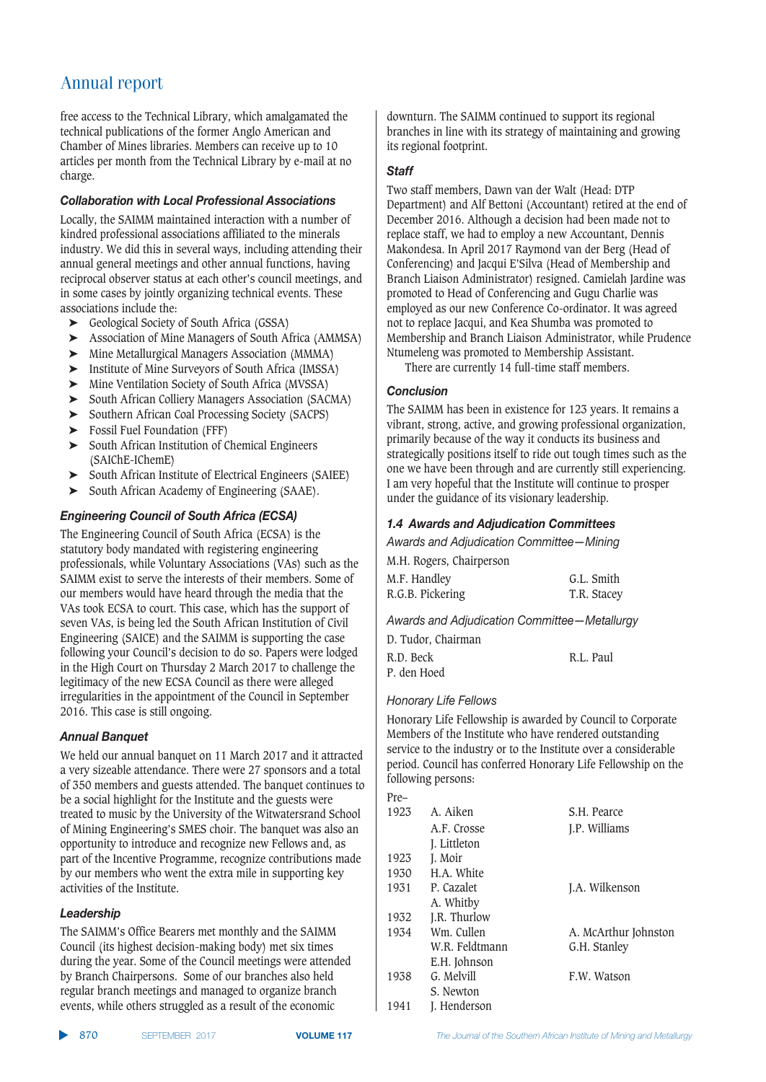free access to the Technical Library, which amalgamated the technical publications of the former Anglo American and Chamber of Mines libraries. Members can receive up to 10 articles per month from the Technical Library by e-mail at no charge.

#### **Collaboration with Local Professional Associations**

Locally, the SAIMM maintained interaction with a number of kindred professional associations affiliated to the minerals industry. We did this in several ways, including attending their annual general meetings and other annual functions, having reciprocal observer status at each other's council meetings, and in some cases by jointly organizing technical events. These associations include the:

- ➤ Geological Society of South Africa (GSSA)
- ➤ Association of Mine Managers of South Africa (AMMSA)
- ➤ Mine Metallurgical Managers Association (MMMA)
- ➤ Institute of Mine Surveyors of South Africa (IMSSA)
- ➤ Mine Ventilation Society of South Africa (MVSSA)
- ➤ South African Colliery Managers Association (SACMA)
- ➤ Southern African Coal Processing Society (SACPS)
- ➤ Fossil Fuel Foundation (FFF)
- ➤ South African Institution of Chemical Engineers (SAIChE-IChemE)
- ➤ South African Institute of Electrical Engineers (SAIEE)
- ➤ South African Academy of Engineering (SAAE).

#### *12.23.1.1. <i>Engineering Council of South Africa (ECSA)*

The Engineering Council of South Africa (ECSA) is the statutory body mandated with registering engineering professionals, while Voluntary Associations (VAs) such as the SAIMM exist to serve the interests of their members. Some of our members would have heard through the media that the VAs took ECSA to court. This case, which has the support of seven VAs, is being led the South African Institution of Civil Engineering (SAICE) and the SAIMM is supporting the case following your Council's decision to do so. Papers were lodged in the High Court on Thursday 2 March 2017 to challenge the legitimacy of the new ECSA Council as there were alleged irregularities in the appointment of the Council in September 2016. This case is still ongoing.

#### $Annual$ *Banquet*

We held our annual banquet on 11 March 2017 and it attracted a very sizeable attendance. There were 27 sponsors and a total of 350 members and guests attended. The banquet continues to be a social highlight for the Institute and the guests were treated to music by the University of the Witwatersrand School of Mining Engineering's SMES choir. The banquet was also an opportunity to introduce and recognize new Fellows and, as part of the Incentive Programme, recognize contributions made by our members who went the extra mile in supporting key activities of the Institute.

#### $L$ eadership

The SAIMM's Office Bearers met monthly and the SAIMM Council (its highest decision-making body) met six times during the year. Some of the Council meetings were attended by Branch Chairpersons. Some of our branches also held regular branch meetings and managed to organize branch events, while others struggled as a result of the economic

downturn. The SAIMM continued to support its regional branches in line with its strategy of maintaining and growing its regional footprint.

#### Staff

Two staff members, Dawn van der Walt (Head: DTP Department) and Alf Bettoni (Accountant) retired at the end of December 2016. Although a decision had been made not to replace staff, we had to employ a new Accountant, Dennis Makondesa. In April 2017 Raymond van der Berg (Head of Conferencing) and Jacqui E'Silva (Head of Membership and Branch Liaison Administrator) resigned. Camielah Jardine was promoted to Head of Conferencing and Gugu Charlie was employed as our new Conference Co-ordinator. It was agreed not to replace Jacqui, and Kea Shumba was promoted to Membership and Branch Liaison Administrator, while Prudence Ntumeleng was promoted to Membership Assistant.

There are currently 14 full-time staff members.

#### $Conclusion$

The SAIMM has been in existence for 123 years. It remains a vibrant, strong, active, and growing professional organization, primarily because of the way it conducts its business and strategically positions itself to ride out tough times such as the one we have been through and are currently still experiencing. I am very hopeful that the Institute will continue to prosper under the guidance of its visionary leadership.

#### *1.4 Awards and Adjudication Committees*

Awards and Adjudication Committee - Mining

| M.H. Rogers, Chairperson |             |
|--------------------------|-------------|
| M.F. Handlev             | G.L. Smith  |
| R.G.B. Pickering         | T.R. Stacey |

Awards and Adjudication Committee-Metallurgy

| D. Tudor. Chairman |           |
|--------------------|-----------|
| R.D. Beck          | R.L. Paul |
| P. den Hoed        |           |

#### **Honorary Life Fellows**

Honorary Life Fellowship is awarded by Council to Corporate Members of the Institute who have rendered outstanding service to the industry or to the Institute over a considerable period. Council has conferred Honorary Life Fellowship on the following persons:

| Pre- |                |                      |
|------|----------------|----------------------|
| 1923 | A. Aiken       | S.H. Pearce          |
|      | A.F. Crosse    | J.P. Williams        |
|      | J. Littleton   |                      |
| 1923 | J. Moir        |                      |
| 1930 | H.A. White     |                      |
| 1931 | P. Cazalet     | J.A. Wilkenson       |
|      | A. Whitby      |                      |
| 1932 | J.R. Thurlow   |                      |
| 1934 | Wm. Cullen     | A. McArthur Johnston |
|      | W.R. Feldtmann | G.H. Stanley         |
|      | E.H. Johnson   |                      |
| 1938 | G. Melvill     | F.W. Watson          |
|      | S. Newton      |                      |
| 1941 | J. Henderson   |                      |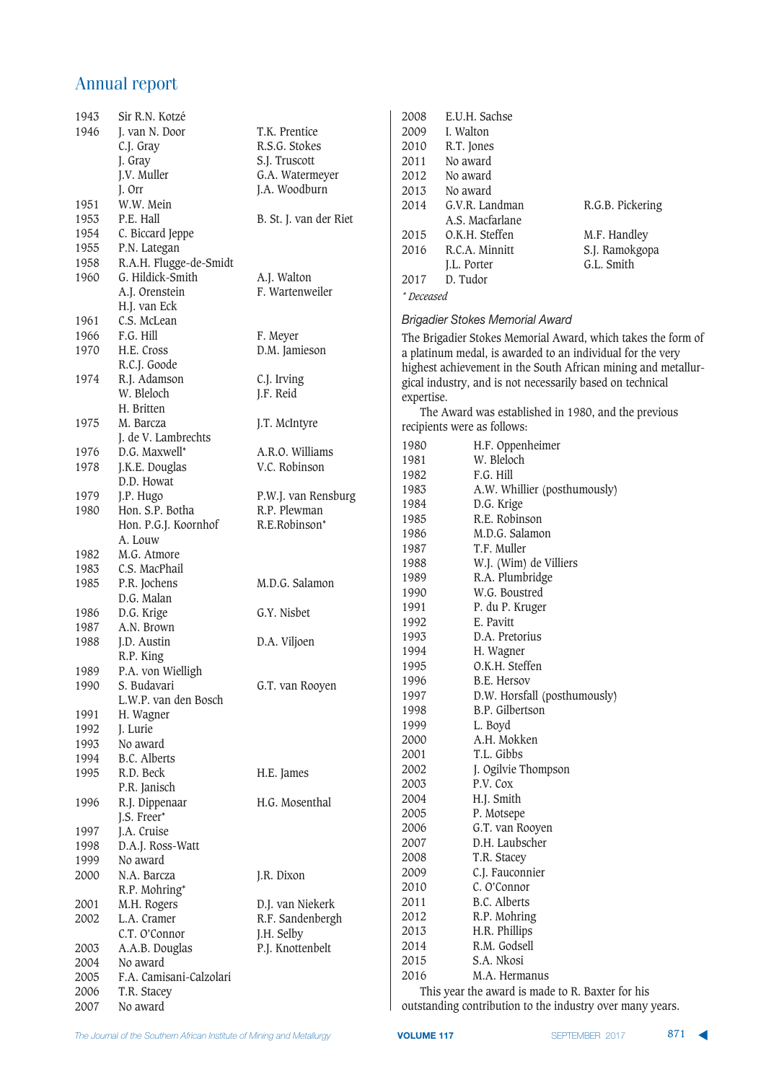| 1943 | Sir R.N. Kotzé          |                        |
|------|-------------------------|------------------------|
|      |                         |                        |
| 1946 | J. van N. Door          | T.K. Prentice          |
|      | C.J. Gray               | R.S.G. Stokes          |
|      | J. Gray                 | S.J. Truscott          |
|      | J.V. Muller             | G.A. Watermeyer        |
|      | J. Orr                  | J.A. Woodburn          |
| 1951 | W.W. Mein               |                        |
| 1953 | P.E. Hall               | B. St. J. van der Riet |
| 1954 | C. Biccard Jeppe        |                        |
|      |                         |                        |
| 1955 | P.N. Lategan            |                        |
| 1958 | R.A.H. Flugge-de-Smidt  |                        |
| 1960 | G. Hildick-Smith        | A.J. Walton            |
|      | A.J. Orenstein          | F. Wartenweiler        |
|      | H.J. van Eck            |                        |
| 1961 | C.S. McLean             |                        |
| 1966 | F.G. Hill               | F. Meyer               |
| 1970 | H.E. Cross              | D.M. Jamieson          |
|      | R.C.J. Goode            |                        |
| 1974 | R.J. Adamson            | C.J. Irving            |
|      | W. Bleloch              |                        |
|      |                         | J.F. Reid              |
|      | H. Britten              |                        |
| 1975 | M. Barcza               | J.T. McIntyre          |
|      | J. de V. Lambrechts     |                        |
| 1976 | D.G. Maxwell*           | A.R.O. Williams        |
| 1978 | J.K.E. Douglas          | V.C. Robinson          |
|      | D.D. Howat              |                        |
| 1979 | J.P. Hugo               | P.W.J. van Rensburg    |
| 1980 | Hon. S.P. Botha         | R.P. Plewman           |
|      | Hon. P.G.J. Koornhof    | R.E.Robinson*          |
|      | A. Louw                 |                        |
| 1982 | M.G. Atmore             |                        |
| 1983 | C.S. MacPhail           |                        |
| 1985 | P.R. Jochens            | M.D.G. Salamon         |
|      | D.G. Malan              |                        |
|      |                         |                        |
| 1986 | D.G. Krige              | G.Y. Nisbet            |
| 1987 | A.N. Brown              |                        |
| 1988 | J.D. Austin             | D.A. Viljoen           |
|      | R.P. King               |                        |
| 1989 | P.A. von Wielligh       |                        |
| 1990 | S. Budavari             | G.T. van Rooyen        |
|      | L.W.P. van den Bosch    |                        |
| 1991 | H. Wagner               |                        |
| 1992 | J. Lurie                |                        |
| 1993 | No award                |                        |
| 1994 | <b>B.C.</b> Alberts     |                        |
| 1995 | R.D. Beck               | H.E. James             |
|      |                         |                        |
|      | P.R. Janisch            |                        |
| 1996 | R.J. Dippenaar          | H.G. Mosenthal         |
|      | J.S. Freer*             |                        |
| 1997 | J.A. Cruise             |                        |
| 1998 | D.A.J. Ross-Watt        |                        |
| 1999 | No award                |                        |
| 2000 | N.A. Barcza             | J.R. Dixon             |
|      | R.P. Mohring*           |                        |
| 2001 | M.H. Rogers             | D.J. van Niekerk       |
| 2002 | L.A. Cramer             | R.F. Sandenbergh       |
|      | C.T. O'Connor           |                        |
|      |                         | J.H. Selby             |
| 2003 | A.A.B. Douglas          | P.J. Knottenbelt       |
| 2004 | No award                |                        |
| 2005 | F.A. Camisani-Calzolari |                        |
| 2006 | T.R. Stacey             |                        |
| 2007 | No award                |                        |

| 2008       | E.U.H. Sachse   |                  |
|------------|-----------------|------------------|
| 2009       | I. Walton       |                  |
| 2010       | R.T. Jones      |                  |
| 2011       | No award        |                  |
| 2012       | No award        |                  |
| 2013       | No award        |                  |
| 2014       | G.V.R. Landman  | R.G.B. Pickering |
|            | A.S. Macfarlane |                  |
| 2015       | O.K.H. Steffen  | M.F. Handley     |
| 2016       | R.C.A. Minnitt  | S.J. Ramokgopa   |
|            | J.L. Porter     | G.L. Smith       |
| 2017       | D. Tudor        |                  |
| * Deceased |                 |                  |

#### *Brigadier Stokes Memorial Award*

The Brigadier Stokes Memorial Award, which takes the form of a platinum medal, is awarded to an individual for the very highest achievement in the South African mining and metallurgical industry, and is not necessarily based on technical expertise.

The Award was established in 1980, and the previous recipients were as follows:

| 1980 | H.F. Oppenheimer             |
|------|------------------------------|
| 1981 | W. Bleloch                   |
| 1982 | F.G. Hill                    |
| 1983 | A.W. Whillier (posthumously) |
| 1984 | D.G. Krige                   |
| 1985 | R.E. Robinson                |
| 1986 | M.D.G. Salamon               |
| 1987 | T.F. Muller                  |
| 1988 | W.J. (Wim) de Villiers       |
| 1989 | R.A. Plumbridge              |
| 1990 | W.G. Boustred                |
| 1991 | P. du P. Kruger              |
| 1992 | E. Pavitt                    |
| 1993 | D.A. Pretorius               |
| 1994 | H. Wagner                    |
| 1995 | O.K.H. Steffen               |
| 1996 | <b>B.E. Hersov</b>           |
| 1997 | D.W. Horsfall (posthumously) |
| 1998 | B.P. Gilbertson              |
| 1999 | L. Boyd                      |
| 2000 | A.H. Mokken                  |
| 2001 | T.L. Gibbs                   |
| 2002 | J. Ogilvie Thompson          |
| 2003 | P.V. Cox                     |
| 2004 | H.J. Smith                   |
| 2005 | P. Motsepe                   |
| 2006 | G.T. van Rooyen              |
| 2007 | D.H. Laubscher               |
| 2008 | T.R. Stacey                  |
| 2009 | C.J. Fauconnier              |
| 2010 | C. O'Connor                  |
| 2011 | B.C. Alberts                 |
| 2012 | R.P. Mohring                 |
| 2013 | H.R. Phillips                |
| 2014 | R.M. Godsell                 |
| 2015 | S.A. Nkosi                   |
| 2016 | M.A. Hermanus                |

This year the award is made to R. Baxter for his outstanding contribution to the industry over many years.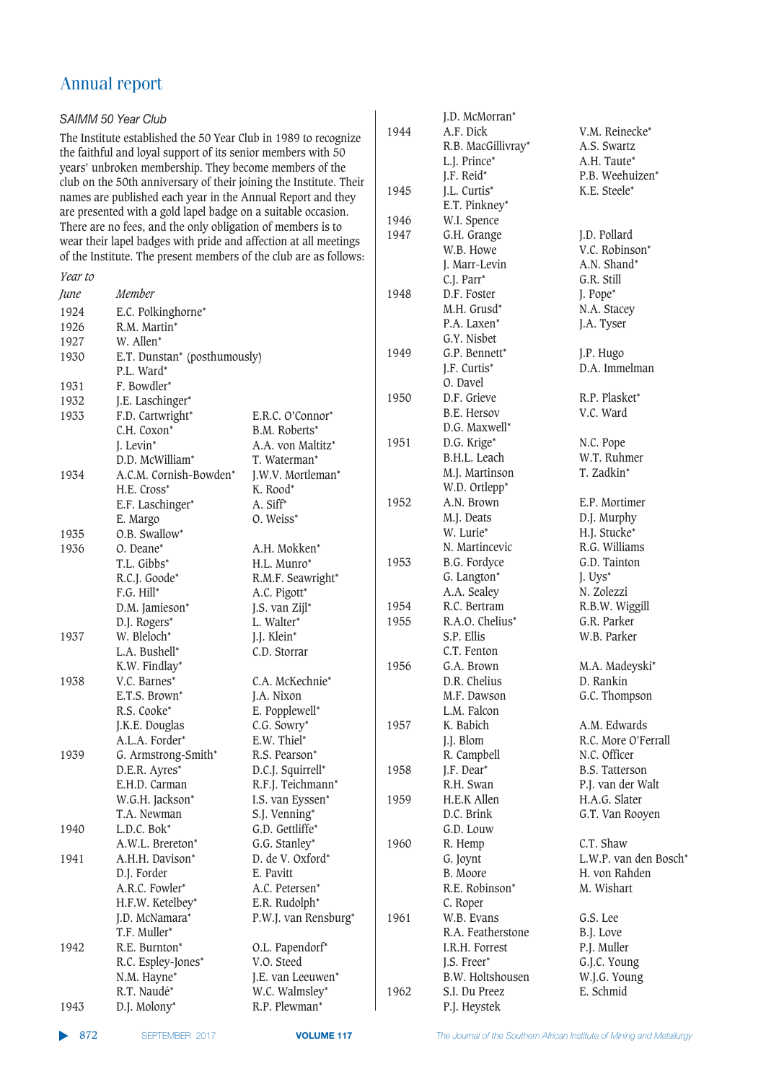| J.D. McMorran*<br>SAIMM 50 Year Club<br>1944<br>A.F. Dick<br>V.M. Reinecke*<br>The Institute established the 50 Year Club in 1989 to recognize<br>R.B. MacGillivray*<br>A.S. Swartz<br>the faithful and loyal support of its senior members with 50<br>L.J. Prince*<br>A.H. Taute*<br>years' unbroken membership. They become members of the<br>J.F. Reid*<br>P.B. Weehuizen*<br>club on the 50th anniversary of their joining the Institute. Their<br>1945<br>J.L. Curtis*<br>K.E. Steele*<br>names are published each year in the Annual Report and they<br>E.T. Pinkney*<br>are presented with a gold lapel badge on a suitable occasion.<br>1946<br>W.I. Spence<br>There are no fees, and the only obligation of members is to<br>1947<br>G.H. Grange<br>J.D. Pollard<br>wear their lapel badges with pride and affection at all meetings<br>V.C. Robinson*<br>W.B. Howe<br>of the Institute. The present members of the club are as follows:<br>A.N. Shand*<br>J. Marr-Levin<br>Year to<br>G.R. Still<br>C.J. Parr*<br>Member<br>1948<br>D.F. Foster<br>J. Pope*<br>June<br>M.H. Grusd <sup>*</sup><br>N.A. Stacey<br>E.C. Polkinghorne*<br>1924<br>P.A. Laxen*<br>J.A. Tyser<br>R.M. Martin*<br>1926<br>G.Y. Nisbet<br>W. Allen*<br>1927<br>1949<br>G.P. Bennett*<br>J.P. Hugo<br>1930<br>E.T. Dunstan* (posthumously)<br>D.A. Immelman<br>J.F. Curtis*<br>P.L. Ward*<br>O. Davel<br>1931<br>F. Bowdler*<br>R.P. Plasket*<br>1950<br>D.F. Grieve<br>J.E. Laschinger*<br>1932<br>B.E. Hersov<br>V.C. Ward<br>F.D. Cartwright*<br>E.R.C. O'Connor*<br>1933<br>D.G. Maxwell*<br>C.H. Coxon*<br>B.M. Roberts*<br>1951<br>D.G. Krige*<br>N.C. Pope<br>J. Levin*<br>A.A. von Maltitz*<br>W.T. Ruhmer<br>B.H.L. Leach<br>D.D. McWilliam*<br>T. Waterman*<br>M.J. Martinson<br>T. Zadkin*<br>1934<br>A.C.M. Cornish-Bowden*<br>J.W.V. Mortleman*<br>W.D. Ortlepp*<br>H.E. Cross*<br>K. Rood*<br>1952<br>A.N. Brown<br>E.P. Mortimer<br>E.F. Laschinger*<br>A. Siff*<br>M.J. Deats<br>D.J. Murphy<br>E. Margo<br>O. Weiss*<br>W. Lurie*<br>H.J. Stucke*<br>O.B. Swallow*<br>1935<br>R.G. Williams<br>N. Martincevic<br>1936<br>O. Deane*<br>A.H. Mokken*<br>1953<br>B.G. Fordyce<br>G.D. Tainton<br>T.L. Gibbs*<br>H.L. Munro*<br>G. Langton*<br>J. Uys <sup>*</sup><br>R.C.J. Goode*<br>R.M.F. Seawright*<br>A.A. Sealey<br>N. Zolezzi<br>F.G. Hill*<br>A.C. Pigott*<br>1954<br>R.C. Bertram<br>R.B.W. Wiggill<br>D.M. Jamieson*<br>J.S. van Zijl*<br>G.R. Parker<br>1955<br>R.A.O. Chelius*<br>D.J. Rogers*<br>L. Walter*<br>S.P. Ellis<br>W.B. Parker<br>1937<br>W. Bleloch <sup>*</sup><br>J.J. Klein*<br>C.T. Fenton<br>L.A. Bushell*<br>C.D. Storrar<br>K.W. Findlay*<br>1956<br>G.A. Brown<br>M.A. Madeyski*<br>C.A. McKechnie*<br>D.R. Chelius<br>1938<br>V.C. Barnes*<br>D. Rankin<br>G.C. Thompson<br>E.T.S. Brown*<br>M.F. Dawson<br>J.A. Nixon<br>L.M. Falcon<br>R.S. Cooke*<br>E. Popplewell*<br>K. Babich<br>A.M. Edwards<br>J.K.E. Douglas<br>C.G. Sowry*<br>1957<br>A.L.A. Forder*<br>E.W. Thiel*<br>J.J. Blom<br>R.C. More O'Ferrall<br>R. Campbell<br>N.C. Officer<br>1939<br>G. Armstrong-Smith*<br>R.S. Pearson*<br>D.E.R. Ayres*<br>J.F. Dear*<br>D.C.J. Squirrell*<br>1958<br><b>B.S. Tatterson</b> | P.J. van der Walt                 |
|------------------------------------------------------------------------------------------------------------------------------------------------------------------------------------------------------------------------------------------------------------------------------------------------------------------------------------------------------------------------------------------------------------------------------------------------------------------------------------------------------------------------------------------------------------------------------------------------------------------------------------------------------------------------------------------------------------------------------------------------------------------------------------------------------------------------------------------------------------------------------------------------------------------------------------------------------------------------------------------------------------------------------------------------------------------------------------------------------------------------------------------------------------------------------------------------------------------------------------------------------------------------------------------------------------------------------------------------------------------------------------------------------------------------------------------------------------------------------------------------------------------------------------------------------------------------------------------------------------------------------------------------------------------------------------------------------------------------------------------------------------------------------------------------------------------------------------------------------------------------------------------------------------------------------------------------------------------------------------------------------------------------------------------------------------------------------------------------------------------------------------------------------------------------------------------------------------------------------------------------------------------------------------------------------------------------------------------------------------------------------------------------------------------------------------------------------------------------------------------------------------------------------------------------------------------------------------------------------------------------------------------------------------------------------------------------------------------------------------------------------------------------------------------------------------------------------------------------------------------------------------------------------------------------------------------------------------------------------------------------------------------------------------------------------------------------------------------------------------------------------------------------------------------------------------------------------------------------|-----------------------------------|
|                                                                                                                                                                                                                                                                                                                                                                                                                                                                                                                                                                                                                                                                                                                                                                                                                                                                                                                                                                                                                                                                                                                                                                                                                                                                                                                                                                                                                                                                                                                                                                                                                                                                                                                                                                                                                                                                                                                                                                                                                                                                                                                                                                                                                                                                                                                                                                                                                                                                                                                                                                                                                                                                                                                                                                                                                                                                                                                                                                                                                                                                                                                                                                                                                        |                                   |
|                                                                                                                                                                                                                                                                                                                                                                                                                                                                                                                                                                                                                                                                                                                                                                                                                                                                                                                                                                                                                                                                                                                                                                                                                                                                                                                                                                                                                                                                                                                                                                                                                                                                                                                                                                                                                                                                                                                                                                                                                                                                                                                                                                                                                                                                                                                                                                                                                                                                                                                                                                                                                                                                                                                                                                                                                                                                                                                                                                                                                                                                                                                                                                                                                        |                                   |
|                                                                                                                                                                                                                                                                                                                                                                                                                                                                                                                                                                                                                                                                                                                                                                                                                                                                                                                                                                                                                                                                                                                                                                                                                                                                                                                                                                                                                                                                                                                                                                                                                                                                                                                                                                                                                                                                                                                                                                                                                                                                                                                                                                                                                                                                                                                                                                                                                                                                                                                                                                                                                                                                                                                                                                                                                                                                                                                                                                                                                                                                                                                                                                                                                        |                                   |
|                                                                                                                                                                                                                                                                                                                                                                                                                                                                                                                                                                                                                                                                                                                                                                                                                                                                                                                                                                                                                                                                                                                                                                                                                                                                                                                                                                                                                                                                                                                                                                                                                                                                                                                                                                                                                                                                                                                                                                                                                                                                                                                                                                                                                                                                                                                                                                                                                                                                                                                                                                                                                                                                                                                                                                                                                                                                                                                                                                                                                                                                                                                                                                                                                        |                                   |
|                                                                                                                                                                                                                                                                                                                                                                                                                                                                                                                                                                                                                                                                                                                                                                                                                                                                                                                                                                                                                                                                                                                                                                                                                                                                                                                                                                                                                                                                                                                                                                                                                                                                                                                                                                                                                                                                                                                                                                                                                                                                                                                                                                                                                                                                                                                                                                                                                                                                                                                                                                                                                                                                                                                                                                                                                                                                                                                                                                                                                                                                                                                                                                                                                        |                                   |
|                                                                                                                                                                                                                                                                                                                                                                                                                                                                                                                                                                                                                                                                                                                                                                                                                                                                                                                                                                                                                                                                                                                                                                                                                                                                                                                                                                                                                                                                                                                                                                                                                                                                                                                                                                                                                                                                                                                                                                                                                                                                                                                                                                                                                                                                                                                                                                                                                                                                                                                                                                                                                                                                                                                                                                                                                                                                                                                                                                                                                                                                                                                                                                                                                        |                                   |
|                                                                                                                                                                                                                                                                                                                                                                                                                                                                                                                                                                                                                                                                                                                                                                                                                                                                                                                                                                                                                                                                                                                                                                                                                                                                                                                                                                                                                                                                                                                                                                                                                                                                                                                                                                                                                                                                                                                                                                                                                                                                                                                                                                                                                                                                                                                                                                                                                                                                                                                                                                                                                                                                                                                                                                                                                                                                                                                                                                                                                                                                                                                                                                                                                        |                                   |
|                                                                                                                                                                                                                                                                                                                                                                                                                                                                                                                                                                                                                                                                                                                                                                                                                                                                                                                                                                                                                                                                                                                                                                                                                                                                                                                                                                                                                                                                                                                                                                                                                                                                                                                                                                                                                                                                                                                                                                                                                                                                                                                                                                                                                                                                                                                                                                                                                                                                                                                                                                                                                                                                                                                                                                                                                                                                                                                                                                                                                                                                                                                                                                                                                        |                                   |
|                                                                                                                                                                                                                                                                                                                                                                                                                                                                                                                                                                                                                                                                                                                                                                                                                                                                                                                                                                                                                                                                                                                                                                                                                                                                                                                                                                                                                                                                                                                                                                                                                                                                                                                                                                                                                                                                                                                                                                                                                                                                                                                                                                                                                                                                                                                                                                                                                                                                                                                                                                                                                                                                                                                                                                                                                                                                                                                                                                                                                                                                                                                                                                                                                        |                                   |
|                                                                                                                                                                                                                                                                                                                                                                                                                                                                                                                                                                                                                                                                                                                                                                                                                                                                                                                                                                                                                                                                                                                                                                                                                                                                                                                                                                                                                                                                                                                                                                                                                                                                                                                                                                                                                                                                                                                                                                                                                                                                                                                                                                                                                                                                                                                                                                                                                                                                                                                                                                                                                                                                                                                                                                                                                                                                                                                                                                                                                                                                                                                                                                                                                        |                                   |
|                                                                                                                                                                                                                                                                                                                                                                                                                                                                                                                                                                                                                                                                                                                                                                                                                                                                                                                                                                                                                                                                                                                                                                                                                                                                                                                                                                                                                                                                                                                                                                                                                                                                                                                                                                                                                                                                                                                                                                                                                                                                                                                                                                                                                                                                                                                                                                                                                                                                                                                                                                                                                                                                                                                                                                                                                                                                                                                                                                                                                                                                                                                                                                                                                        |                                   |
|                                                                                                                                                                                                                                                                                                                                                                                                                                                                                                                                                                                                                                                                                                                                                                                                                                                                                                                                                                                                                                                                                                                                                                                                                                                                                                                                                                                                                                                                                                                                                                                                                                                                                                                                                                                                                                                                                                                                                                                                                                                                                                                                                                                                                                                                                                                                                                                                                                                                                                                                                                                                                                                                                                                                                                                                                                                                                                                                                                                                                                                                                                                                                                                                                        |                                   |
|                                                                                                                                                                                                                                                                                                                                                                                                                                                                                                                                                                                                                                                                                                                                                                                                                                                                                                                                                                                                                                                                                                                                                                                                                                                                                                                                                                                                                                                                                                                                                                                                                                                                                                                                                                                                                                                                                                                                                                                                                                                                                                                                                                                                                                                                                                                                                                                                                                                                                                                                                                                                                                                                                                                                                                                                                                                                                                                                                                                                                                                                                                                                                                                                                        |                                   |
|                                                                                                                                                                                                                                                                                                                                                                                                                                                                                                                                                                                                                                                                                                                                                                                                                                                                                                                                                                                                                                                                                                                                                                                                                                                                                                                                                                                                                                                                                                                                                                                                                                                                                                                                                                                                                                                                                                                                                                                                                                                                                                                                                                                                                                                                                                                                                                                                                                                                                                                                                                                                                                                                                                                                                                                                                                                                                                                                                                                                                                                                                                                                                                                                                        |                                   |
|                                                                                                                                                                                                                                                                                                                                                                                                                                                                                                                                                                                                                                                                                                                                                                                                                                                                                                                                                                                                                                                                                                                                                                                                                                                                                                                                                                                                                                                                                                                                                                                                                                                                                                                                                                                                                                                                                                                                                                                                                                                                                                                                                                                                                                                                                                                                                                                                                                                                                                                                                                                                                                                                                                                                                                                                                                                                                                                                                                                                                                                                                                                                                                                                                        |                                   |
|                                                                                                                                                                                                                                                                                                                                                                                                                                                                                                                                                                                                                                                                                                                                                                                                                                                                                                                                                                                                                                                                                                                                                                                                                                                                                                                                                                                                                                                                                                                                                                                                                                                                                                                                                                                                                                                                                                                                                                                                                                                                                                                                                                                                                                                                                                                                                                                                                                                                                                                                                                                                                                                                                                                                                                                                                                                                                                                                                                                                                                                                                                                                                                                                                        |                                   |
|                                                                                                                                                                                                                                                                                                                                                                                                                                                                                                                                                                                                                                                                                                                                                                                                                                                                                                                                                                                                                                                                                                                                                                                                                                                                                                                                                                                                                                                                                                                                                                                                                                                                                                                                                                                                                                                                                                                                                                                                                                                                                                                                                                                                                                                                                                                                                                                                                                                                                                                                                                                                                                                                                                                                                                                                                                                                                                                                                                                                                                                                                                                                                                                                                        |                                   |
|                                                                                                                                                                                                                                                                                                                                                                                                                                                                                                                                                                                                                                                                                                                                                                                                                                                                                                                                                                                                                                                                                                                                                                                                                                                                                                                                                                                                                                                                                                                                                                                                                                                                                                                                                                                                                                                                                                                                                                                                                                                                                                                                                                                                                                                                                                                                                                                                                                                                                                                                                                                                                                                                                                                                                                                                                                                                                                                                                                                                                                                                                                                                                                                                                        |                                   |
|                                                                                                                                                                                                                                                                                                                                                                                                                                                                                                                                                                                                                                                                                                                                                                                                                                                                                                                                                                                                                                                                                                                                                                                                                                                                                                                                                                                                                                                                                                                                                                                                                                                                                                                                                                                                                                                                                                                                                                                                                                                                                                                                                                                                                                                                                                                                                                                                                                                                                                                                                                                                                                                                                                                                                                                                                                                                                                                                                                                                                                                                                                                                                                                                                        |                                   |
|                                                                                                                                                                                                                                                                                                                                                                                                                                                                                                                                                                                                                                                                                                                                                                                                                                                                                                                                                                                                                                                                                                                                                                                                                                                                                                                                                                                                                                                                                                                                                                                                                                                                                                                                                                                                                                                                                                                                                                                                                                                                                                                                                                                                                                                                                                                                                                                                                                                                                                                                                                                                                                                                                                                                                                                                                                                                                                                                                                                                                                                                                                                                                                                                                        |                                   |
|                                                                                                                                                                                                                                                                                                                                                                                                                                                                                                                                                                                                                                                                                                                                                                                                                                                                                                                                                                                                                                                                                                                                                                                                                                                                                                                                                                                                                                                                                                                                                                                                                                                                                                                                                                                                                                                                                                                                                                                                                                                                                                                                                                                                                                                                                                                                                                                                                                                                                                                                                                                                                                                                                                                                                                                                                                                                                                                                                                                                                                                                                                                                                                                                                        |                                   |
|                                                                                                                                                                                                                                                                                                                                                                                                                                                                                                                                                                                                                                                                                                                                                                                                                                                                                                                                                                                                                                                                                                                                                                                                                                                                                                                                                                                                                                                                                                                                                                                                                                                                                                                                                                                                                                                                                                                                                                                                                                                                                                                                                                                                                                                                                                                                                                                                                                                                                                                                                                                                                                                                                                                                                                                                                                                                                                                                                                                                                                                                                                                                                                                                                        |                                   |
|                                                                                                                                                                                                                                                                                                                                                                                                                                                                                                                                                                                                                                                                                                                                                                                                                                                                                                                                                                                                                                                                                                                                                                                                                                                                                                                                                                                                                                                                                                                                                                                                                                                                                                                                                                                                                                                                                                                                                                                                                                                                                                                                                                                                                                                                                                                                                                                                                                                                                                                                                                                                                                                                                                                                                                                                                                                                                                                                                                                                                                                                                                                                                                                                                        |                                   |
|                                                                                                                                                                                                                                                                                                                                                                                                                                                                                                                                                                                                                                                                                                                                                                                                                                                                                                                                                                                                                                                                                                                                                                                                                                                                                                                                                                                                                                                                                                                                                                                                                                                                                                                                                                                                                                                                                                                                                                                                                                                                                                                                                                                                                                                                                                                                                                                                                                                                                                                                                                                                                                                                                                                                                                                                                                                                                                                                                                                                                                                                                                                                                                                                                        |                                   |
|                                                                                                                                                                                                                                                                                                                                                                                                                                                                                                                                                                                                                                                                                                                                                                                                                                                                                                                                                                                                                                                                                                                                                                                                                                                                                                                                                                                                                                                                                                                                                                                                                                                                                                                                                                                                                                                                                                                                                                                                                                                                                                                                                                                                                                                                                                                                                                                                                                                                                                                                                                                                                                                                                                                                                                                                                                                                                                                                                                                                                                                                                                                                                                                                                        |                                   |
|                                                                                                                                                                                                                                                                                                                                                                                                                                                                                                                                                                                                                                                                                                                                                                                                                                                                                                                                                                                                                                                                                                                                                                                                                                                                                                                                                                                                                                                                                                                                                                                                                                                                                                                                                                                                                                                                                                                                                                                                                                                                                                                                                                                                                                                                                                                                                                                                                                                                                                                                                                                                                                                                                                                                                                                                                                                                                                                                                                                                                                                                                                                                                                                                                        |                                   |
|                                                                                                                                                                                                                                                                                                                                                                                                                                                                                                                                                                                                                                                                                                                                                                                                                                                                                                                                                                                                                                                                                                                                                                                                                                                                                                                                                                                                                                                                                                                                                                                                                                                                                                                                                                                                                                                                                                                                                                                                                                                                                                                                                                                                                                                                                                                                                                                                                                                                                                                                                                                                                                                                                                                                                                                                                                                                                                                                                                                                                                                                                                                                                                                                                        |                                   |
|                                                                                                                                                                                                                                                                                                                                                                                                                                                                                                                                                                                                                                                                                                                                                                                                                                                                                                                                                                                                                                                                                                                                                                                                                                                                                                                                                                                                                                                                                                                                                                                                                                                                                                                                                                                                                                                                                                                                                                                                                                                                                                                                                                                                                                                                                                                                                                                                                                                                                                                                                                                                                                                                                                                                                                                                                                                                                                                                                                                                                                                                                                                                                                                                                        |                                   |
|                                                                                                                                                                                                                                                                                                                                                                                                                                                                                                                                                                                                                                                                                                                                                                                                                                                                                                                                                                                                                                                                                                                                                                                                                                                                                                                                                                                                                                                                                                                                                                                                                                                                                                                                                                                                                                                                                                                                                                                                                                                                                                                                                                                                                                                                                                                                                                                                                                                                                                                                                                                                                                                                                                                                                                                                                                                                                                                                                                                                                                                                                                                                                                                                                        |                                   |
|                                                                                                                                                                                                                                                                                                                                                                                                                                                                                                                                                                                                                                                                                                                                                                                                                                                                                                                                                                                                                                                                                                                                                                                                                                                                                                                                                                                                                                                                                                                                                                                                                                                                                                                                                                                                                                                                                                                                                                                                                                                                                                                                                                                                                                                                                                                                                                                                                                                                                                                                                                                                                                                                                                                                                                                                                                                                                                                                                                                                                                                                                                                                                                                                                        |                                   |
|                                                                                                                                                                                                                                                                                                                                                                                                                                                                                                                                                                                                                                                                                                                                                                                                                                                                                                                                                                                                                                                                                                                                                                                                                                                                                                                                                                                                                                                                                                                                                                                                                                                                                                                                                                                                                                                                                                                                                                                                                                                                                                                                                                                                                                                                                                                                                                                                                                                                                                                                                                                                                                                                                                                                                                                                                                                                                                                                                                                                                                                                                                                                                                                                                        |                                   |
|                                                                                                                                                                                                                                                                                                                                                                                                                                                                                                                                                                                                                                                                                                                                                                                                                                                                                                                                                                                                                                                                                                                                                                                                                                                                                                                                                                                                                                                                                                                                                                                                                                                                                                                                                                                                                                                                                                                                                                                                                                                                                                                                                                                                                                                                                                                                                                                                                                                                                                                                                                                                                                                                                                                                                                                                                                                                                                                                                                                                                                                                                                                                                                                                                        |                                   |
|                                                                                                                                                                                                                                                                                                                                                                                                                                                                                                                                                                                                                                                                                                                                                                                                                                                                                                                                                                                                                                                                                                                                                                                                                                                                                                                                                                                                                                                                                                                                                                                                                                                                                                                                                                                                                                                                                                                                                                                                                                                                                                                                                                                                                                                                                                                                                                                                                                                                                                                                                                                                                                                                                                                                                                                                                                                                                                                                                                                                                                                                                                                                                                                                                        |                                   |
|                                                                                                                                                                                                                                                                                                                                                                                                                                                                                                                                                                                                                                                                                                                                                                                                                                                                                                                                                                                                                                                                                                                                                                                                                                                                                                                                                                                                                                                                                                                                                                                                                                                                                                                                                                                                                                                                                                                                                                                                                                                                                                                                                                                                                                                                                                                                                                                                                                                                                                                                                                                                                                                                                                                                                                                                                                                                                                                                                                                                                                                                                                                                                                                                                        |                                   |
|                                                                                                                                                                                                                                                                                                                                                                                                                                                                                                                                                                                                                                                                                                                                                                                                                                                                                                                                                                                                                                                                                                                                                                                                                                                                                                                                                                                                                                                                                                                                                                                                                                                                                                                                                                                                                                                                                                                                                                                                                                                                                                                                                                                                                                                                                                                                                                                                                                                                                                                                                                                                                                                                                                                                                                                                                                                                                                                                                                                                                                                                                                                                                                                                                        |                                   |
|                                                                                                                                                                                                                                                                                                                                                                                                                                                                                                                                                                                                                                                                                                                                                                                                                                                                                                                                                                                                                                                                                                                                                                                                                                                                                                                                                                                                                                                                                                                                                                                                                                                                                                                                                                                                                                                                                                                                                                                                                                                                                                                                                                                                                                                                                                                                                                                                                                                                                                                                                                                                                                                                                                                                                                                                                                                                                                                                                                                                                                                                                                                                                                                                                        |                                   |
|                                                                                                                                                                                                                                                                                                                                                                                                                                                                                                                                                                                                                                                                                                                                                                                                                                                                                                                                                                                                                                                                                                                                                                                                                                                                                                                                                                                                                                                                                                                                                                                                                                                                                                                                                                                                                                                                                                                                                                                                                                                                                                                                                                                                                                                                                                                                                                                                                                                                                                                                                                                                                                                                                                                                                                                                                                                                                                                                                                                                                                                                                                                                                                                                                        |                                   |
|                                                                                                                                                                                                                                                                                                                                                                                                                                                                                                                                                                                                                                                                                                                                                                                                                                                                                                                                                                                                                                                                                                                                                                                                                                                                                                                                                                                                                                                                                                                                                                                                                                                                                                                                                                                                                                                                                                                                                                                                                                                                                                                                                                                                                                                                                                                                                                                                                                                                                                                                                                                                                                                                                                                                                                                                                                                                                                                                                                                                                                                                                                                                                                                                                        |                                   |
|                                                                                                                                                                                                                                                                                                                                                                                                                                                                                                                                                                                                                                                                                                                                                                                                                                                                                                                                                                                                                                                                                                                                                                                                                                                                                                                                                                                                                                                                                                                                                                                                                                                                                                                                                                                                                                                                                                                                                                                                                                                                                                                                                                                                                                                                                                                                                                                                                                                                                                                                                                                                                                                                                                                                                                                                                                                                                                                                                                                                                                                                                                                                                                                                                        |                                   |
|                                                                                                                                                                                                                                                                                                                                                                                                                                                                                                                                                                                                                                                                                                                                                                                                                                                                                                                                                                                                                                                                                                                                                                                                                                                                                                                                                                                                                                                                                                                                                                                                                                                                                                                                                                                                                                                                                                                                                                                                                                                                                                                                                                                                                                                                                                                                                                                                                                                                                                                                                                                                                                                                                                                                                                                                                                                                                                                                                                                                                                                                                                                                                                                                                        |                                   |
|                                                                                                                                                                                                                                                                                                                                                                                                                                                                                                                                                                                                                                                                                                                                                                                                                                                                                                                                                                                                                                                                                                                                                                                                                                                                                                                                                                                                                                                                                                                                                                                                                                                                                                                                                                                                                                                                                                                                                                                                                                                                                                                                                                                                                                                                                                                                                                                                                                                                                                                                                                                                                                                                                                                                                                                                                                                                                                                                                                                                                                                                                                                                                                                                                        |                                   |
|                                                                                                                                                                                                                                                                                                                                                                                                                                                                                                                                                                                                                                                                                                                                                                                                                                                                                                                                                                                                                                                                                                                                                                                                                                                                                                                                                                                                                                                                                                                                                                                                                                                                                                                                                                                                                                                                                                                                                                                                                                                                                                                                                                                                                                                                                                                                                                                                                                                                                                                                                                                                                                                                                                                                                                                                                                                                                                                                                                                                                                                                                                                                                                                                                        |                                   |
|                                                                                                                                                                                                                                                                                                                                                                                                                                                                                                                                                                                                                                                                                                                                                                                                                                                                                                                                                                                                                                                                                                                                                                                                                                                                                                                                                                                                                                                                                                                                                                                                                                                                                                                                                                                                                                                                                                                                                                                                                                                                                                                                                                                                                                                                                                                                                                                                                                                                                                                                                                                                                                                                                                                                                                                                                                                                                                                                                                                                                                                                                                                                                                                                                        |                                   |
| R.F.J. Teichmann*<br>E.H.D. Carman<br>R.H. Swan                                                                                                                                                                                                                                                                                                                                                                                                                                                                                                                                                                                                                                                                                                                                                                                                                                                                                                                                                                                                                                                                                                                                                                                                                                                                                                                                                                                                                                                                                                                                                                                                                                                                                                                                                                                                                                                                                                                                                                                                                                                                                                                                                                                                                                                                                                                                                                                                                                                                                                                                                                                                                                                                                                                                                                                                                                                                                                                                                                                                                                                                                                                                                                        |                                   |
| H.A.G. Slater<br>I.S. van Eyssen*<br>1959<br>H.E.K Allen<br>W.G.H. Jackson*                                                                                                                                                                                                                                                                                                                                                                                                                                                                                                                                                                                                                                                                                                                                                                                                                                                                                                                                                                                                                                                                                                                                                                                                                                                                                                                                                                                                                                                                                                                                                                                                                                                                                                                                                                                                                                                                                                                                                                                                                                                                                                                                                                                                                                                                                                                                                                                                                                                                                                                                                                                                                                                                                                                                                                                                                                                                                                                                                                                                                                                                                                                                            |                                   |
| D.C. Brink<br>T.A. Newman<br>S.J. Venning*<br>G.T. Van Rooyen                                                                                                                                                                                                                                                                                                                                                                                                                                                                                                                                                                                                                                                                                                                                                                                                                                                                                                                                                                                                                                                                                                                                                                                                                                                                                                                                                                                                                                                                                                                                                                                                                                                                                                                                                                                                                                                                                                                                                                                                                                                                                                                                                                                                                                                                                                                                                                                                                                                                                                                                                                                                                                                                                                                                                                                                                                                                                                                                                                                                                                                                                                                                                          |                                   |
| 1940<br>L.D.C. Bok <sup>*</sup><br>G.D. Gettliffe*<br>G.D. Louw                                                                                                                                                                                                                                                                                                                                                                                                                                                                                                                                                                                                                                                                                                                                                                                                                                                                                                                                                                                                                                                                                                                                                                                                                                                                                                                                                                                                                                                                                                                                                                                                                                                                                                                                                                                                                                                                                                                                                                                                                                                                                                                                                                                                                                                                                                                                                                                                                                                                                                                                                                                                                                                                                                                                                                                                                                                                                                                                                                                                                                                                                                                                                        |                                   |
| C.T. Shaw<br>G.G. Stanley*<br>1960<br>R. Hemp<br>A.W.L. Brereton*                                                                                                                                                                                                                                                                                                                                                                                                                                                                                                                                                                                                                                                                                                                                                                                                                                                                                                                                                                                                                                                                                                                                                                                                                                                                                                                                                                                                                                                                                                                                                                                                                                                                                                                                                                                                                                                                                                                                                                                                                                                                                                                                                                                                                                                                                                                                                                                                                                                                                                                                                                                                                                                                                                                                                                                                                                                                                                                                                                                                                                                                                                                                                      |                                   |
| D. de V. Oxford*<br>1941<br>A.H.H. Davison*<br>G. Joynt                                                                                                                                                                                                                                                                                                                                                                                                                                                                                                                                                                                                                                                                                                                                                                                                                                                                                                                                                                                                                                                                                                                                                                                                                                                                                                                                                                                                                                                                                                                                                                                                                                                                                                                                                                                                                                                                                                                                                                                                                                                                                                                                                                                                                                                                                                                                                                                                                                                                                                                                                                                                                                                                                                                                                                                                                                                                                                                                                                                                                                                                                                                                                                | L.W.P. van den Bosch <sup>*</sup> |
| B. Moore<br>H. von Rahden<br>D.J. Forder<br>E. Pavitt                                                                                                                                                                                                                                                                                                                                                                                                                                                                                                                                                                                                                                                                                                                                                                                                                                                                                                                                                                                                                                                                                                                                                                                                                                                                                                                                                                                                                                                                                                                                                                                                                                                                                                                                                                                                                                                                                                                                                                                                                                                                                                                                                                                                                                                                                                                                                                                                                                                                                                                                                                                                                                                                                                                                                                                                                                                                                                                                                                                                                                                                                                                                                                  |                                   |
| R.E. Robinson*<br>M. Wishart<br>A.R.C. Fowler*<br>A.C. Petersen*                                                                                                                                                                                                                                                                                                                                                                                                                                                                                                                                                                                                                                                                                                                                                                                                                                                                                                                                                                                                                                                                                                                                                                                                                                                                                                                                                                                                                                                                                                                                                                                                                                                                                                                                                                                                                                                                                                                                                                                                                                                                                                                                                                                                                                                                                                                                                                                                                                                                                                                                                                                                                                                                                                                                                                                                                                                                                                                                                                                                                                                                                                                                                       |                                   |
| H.F.W. Ketelbey*<br>E.R. Rudolph <sup>*</sup><br>C. Roper                                                                                                                                                                                                                                                                                                                                                                                                                                                                                                                                                                                                                                                                                                                                                                                                                                                                                                                                                                                                                                                                                                                                                                                                                                                                                                                                                                                                                                                                                                                                                                                                                                                                                                                                                                                                                                                                                                                                                                                                                                                                                                                                                                                                                                                                                                                                                                                                                                                                                                                                                                                                                                                                                                                                                                                                                                                                                                                                                                                                                                                                                                                                                              |                                   |
| J.D. McNamara*<br>P.W.J. van Rensburg*<br>W.B. Evans<br>G.S. Lee<br>1961                                                                                                                                                                                                                                                                                                                                                                                                                                                                                                                                                                                                                                                                                                                                                                                                                                                                                                                                                                                                                                                                                                                                                                                                                                                                                                                                                                                                                                                                                                                                                                                                                                                                                                                                                                                                                                                                                                                                                                                                                                                                                                                                                                                                                                                                                                                                                                                                                                                                                                                                                                                                                                                                                                                                                                                                                                                                                                                                                                                                                                                                                                                                               |                                   |
| T.F. Muller*<br>R.A. Featherstone<br>B.J. Love                                                                                                                                                                                                                                                                                                                                                                                                                                                                                                                                                                                                                                                                                                                                                                                                                                                                                                                                                                                                                                                                                                                                                                                                                                                                                                                                                                                                                                                                                                                                                                                                                                                                                                                                                                                                                                                                                                                                                                                                                                                                                                                                                                                                                                                                                                                                                                                                                                                                                                                                                                                                                                                                                                                                                                                                                                                                                                                                                                                                                                                                                                                                                                         |                                   |
| O.L. Papendorf*<br>P.J. Muller<br>1942<br>R.E. Burnton*<br>I.R.H. Forrest                                                                                                                                                                                                                                                                                                                                                                                                                                                                                                                                                                                                                                                                                                                                                                                                                                                                                                                                                                                                                                                                                                                                                                                                                                                                                                                                                                                                                                                                                                                                                                                                                                                                                                                                                                                                                                                                                                                                                                                                                                                                                                                                                                                                                                                                                                                                                                                                                                                                                                                                                                                                                                                                                                                                                                                                                                                                                                                                                                                                                                                                                                                                              |                                   |
| G.J.C. Young<br>R.C. Espley-Jones*<br>V.O. Steed<br>J.S. Freer*                                                                                                                                                                                                                                                                                                                                                                                                                                                                                                                                                                                                                                                                                                                                                                                                                                                                                                                                                                                                                                                                                                                                                                                                                                                                                                                                                                                                                                                                                                                                                                                                                                                                                                                                                                                                                                                                                                                                                                                                                                                                                                                                                                                                                                                                                                                                                                                                                                                                                                                                                                                                                                                                                                                                                                                                                                                                                                                                                                                                                                                                                                                                                        |                                   |
| J.E. van Leeuwen*<br>B.W. Holtshousen<br>N.M. Hayne*<br>W.J.G. Young                                                                                                                                                                                                                                                                                                                                                                                                                                                                                                                                                                                                                                                                                                                                                                                                                                                                                                                                                                                                                                                                                                                                                                                                                                                                                                                                                                                                                                                                                                                                                                                                                                                                                                                                                                                                                                                                                                                                                                                                                                                                                                                                                                                                                                                                                                                                                                                                                                                                                                                                                                                                                                                                                                                                                                                                                                                                                                                                                                                                                                                                                                                                                   |                                   |
|                                                                                                                                                                                                                                                                                                                                                                                                                                                                                                                                                                                                                                                                                                                                                                                                                                                                                                                                                                                                                                                                                                                                                                                                                                                                                                                                                                                                                                                                                                                                                                                                                                                                                                                                                                                                                                                                                                                                                                                                                                                                                                                                                                                                                                                                                                                                                                                                                                                                                                                                                                                                                                                                                                                                                                                                                                                                                                                                                                                                                                                                                                                                                                                                                        |                                   |
| R.T. Naudé*<br>W.C. Walmsley*<br>S.I. Du Preez<br>E. Schmid<br>1962<br>D.J. Molony*<br>R.P. Plewman*<br>P.J. Heystek                                                                                                                                                                                                                                                                                                                                                                                                                                                                                                                                                                                                                                                                                                                                                                                                                                                                                                                                                                                                                                                                                                                                                                                                                                                                                                                                                                                                                                                                                                                                                                                                                                                                                                                                                                                                                                                                                                                                                                                                                                                                                                                                                                                                                                                                                                                                                                                                                                                                                                                                                                                                                                                                                                                                                                                                                                                                                                                                                                                                                                                                                                   |                                   |

  *-*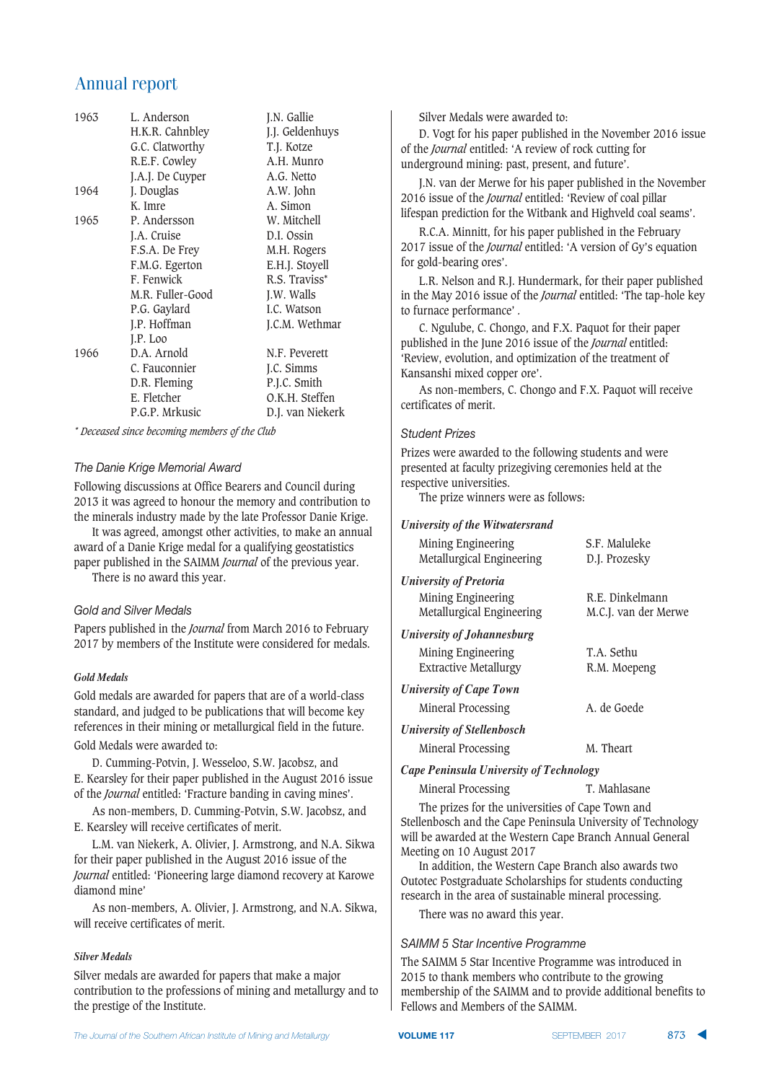| 1963 | L. Anderson<br>H.K.R. Cahnbley<br>G.C. Clatworthy | J.N. Gallie<br>J.J. Geldenhuys<br>T.J. Kotze |
|------|---------------------------------------------------|----------------------------------------------|
|      | R.E.F. Cowley                                     | A.H. Munro                                   |
|      | J.A.J. De Cuyper                                  | A.G. Netto                                   |
| 1964 | J. Douglas                                        | A.W. John                                    |
|      | K. Imre                                           | A. Simon                                     |
| 1965 | P. Andersson                                      | W. Mitchell                                  |
|      | J.A. Cruise                                       | D.I. Ossin                                   |
|      | F.S.A. De Frey                                    | M.H. Rogers                                  |
|      | F.M.G. Egerton                                    | E.H.J. Stoyell                               |
|      | F. Fenwick                                        | R.S. Traviss*                                |
|      | M.R. Fuller-Good                                  | J.W. Walls                                   |
|      | P.G. Gaylard                                      | I.C. Watson                                  |
|      | J.P. Hoffman                                      | J.C.M. Wethmar                               |
|      | J.P. Loo                                          |                                              |
| 1966 | D.A. Arnold                                       | N.F. Peverett                                |
|      | C. Fauconnier                                     | J.C. Simms                                   |
|      | D.R. Fleming                                      | P.J.C. Smith                                 |
|      | E. Fletcher                                       | O.K.H. Steffen                               |
|      | P.G.P. Mrkusic                                    | D.J. van Niekerk                             |

*\* Deceased since becoming members of the Club*

#### *The Danie Krige Memorial Award*

Following discussions at Office Bearers and Council during 2013 it was agreed to honour the memory and contribution to the minerals industry made by the late Professor Danie Krige.

It was agreed, amongst other activities, to make an annual award of a Danie Krige medal for a qualifying geostatistics paper published in the SAIMM *Journal* of the previous year.

There is no award this year.

#### Gold and Silver Medals

Papers published in the *Journal* from March 2016 to February 2017 by members of the Institute were considered for medals.

#### *Gold Medals*

Gold medals are awarded for papers that are of a world-class standard, and judged to be publications that will become key references in their mining or metallurgical field in the future.

Gold Medals were awarded to:

D. Cumming-Potvin, J. Wesseloo, S.W. Jacobsz, and E. Kearsley for their paper published in the August 2016 issue of the *Journal* entitled: 'Fracture banding in caving mines'.

As non-members, D. Cumming-Potvin, S.W. Jacobsz, and E. Kearsley will receive certificates of merit.

L.M. van Niekerk, A. Olivier, J. Armstrong, and N.A. Sikwa for their paper published in the August 2016 issue of the *Journal* entitled: 'Pioneering large diamond recovery at Karowe diamond mine'

As non-members, A. Olivier, J. Armstrong, and N.A. Sikwa, will receive certificates of merit.

#### *Silver Medals*

Silver medals are awarded for papers that make a major contribution to the professions of mining and metallurgy and to the prestige of the Institute.

Silver Medals were awarded to:

D. Vogt for his paper published in the November 2016 issue of the *Journal* entitled: 'A review of rock cutting for underground mining: past, present, and future'.

J.N. van der Merwe for his paper published in the November 2016 issue of the *Journal* entitled: 'Review of coal pillar lifespan prediction for the Witbank and Highveld coal seams'.

R.C.A. Minnitt, for his paper published in the February 2017 issue of the *Journal* entitled: 'A version of Gy's equation for gold-bearing ores'.

L.R. Nelson and R.J. Hundermark, for their paper published in the May 2016 issue of the *Journal* entitled: 'The tap-hole key to furnace performance' *.*

C. Ngulube, C. Chongo, and F.X. Paquot for their paper published in the June 2016 issue of the *Journal* entitled: 'Review, evolution, and optimization of the treatment of Kansanshi mixed copper ore'.

As non-members, C. Chongo and F.X. Paquot will receive certificates of merit.

#### *Student Prizes*

Prizes were awarded to the following students and were presented at faculty prizegiving ceremonies held at the respective universities.

The prize winners were as follows:

#### *University of the Witwatersrand*

| Mining Engineering<br>Metallurgical Engineering                                  | S.F. Maluleke<br>D.J. Prozesky          |
|----------------------------------------------------------------------------------|-----------------------------------------|
| <b>University of Pretoria</b><br>Mining Engineering<br>Metallurgical Engineering | R.E. Dinkelmann<br>M.C.J. van der Merwe |
| <b>University of Johannesburg</b>                                                |                                         |
| Mining Engineering<br><b>Extractive Metallurgy</b>                               | T.A. Sethu<br>R.M. Moepeng              |
| <b>University of Cape Town</b>                                                   |                                         |
| Mineral Processing                                                               | A. de Goede                             |
| <b>University of Stellenbosch</b>                                                |                                         |
| Mineral Processing                                                               | M. Theart                               |

*Cape Peninsula University of Technology*

Mineral Processing T. Mahlasane

The prizes for the universities of Cape Town and Stellenbosch and the Cape Peninsula University of Technology will be awarded at the Western Cape Branch Annual General Meeting on 10 August 2017

In addition, the Western Cape Branch also awards two Outotec Postgraduate Scholarships for students conducting research in the area of sustainable mineral processing.

There was no award this year.

#### SAIMM 5 Star Incentive Programme

The SAIMM 5 Star Incentive Programme was introduced in 2015 to thank members who contribute to the growing membership of the SAIMM and to provide additional benefits to Fellows and Members of the SAIMM.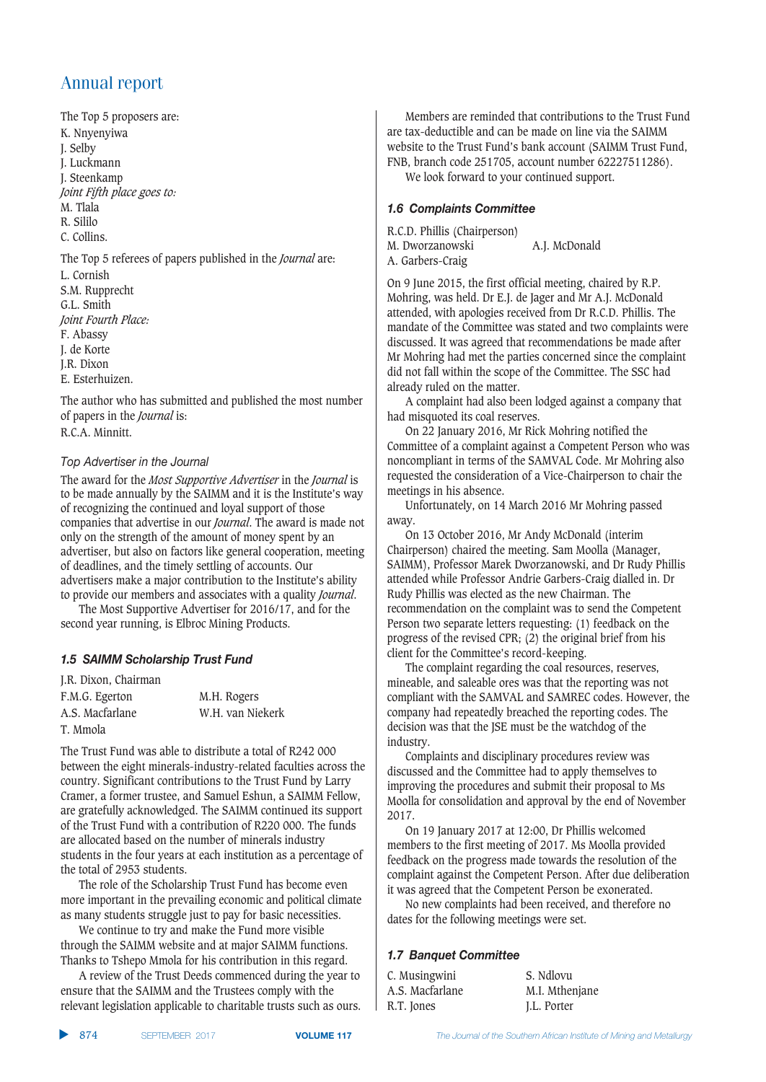The Top 5 proposers are: K. Nnyenyiwa J. Selby J. Luckmann J. Steenkamp *Joint Fifth place goes to:* M. Tlala R. Sililo C. Collins.

The Top 5 referees of papers published in the *Journal* are: L. Cornish S.M. Rupprecht G.L. Smith *Joint Fourth Place:* F. Abassy J. de Korte J.R. Dixon

E. Esterhuizen.

The author who has submitted and published the most number of papers in the *Journal* is: R.C.A. Minnitt.

#### **Top Advertiser in the Journal**

The award for the *Most Supportive Advertiser* in the *Journal* is to be made annually by the SAIMM and it is the Institute's way of recognizing the continued and loyal support of those companies that advertise in our *Journal*. The award is made not only on the strength of the amount of money spent by an advertiser, but also on factors like general cooperation, meeting of deadlines, and the timely settling of accounts. Our advertisers make a major contribution to the Institute's ability to provide our members and associates with a quality *Journal*.

The Most Supportive Advertiser for 2016/17, and for the second year running, is Elbroc Mining Products.

#### *1.5 SAIMM Scholarship Trust Fund*

| J.R. Dixon, Chairman |                  |
|----------------------|------------------|
| F.M.G. Egerton       | M.H. Rogers      |
| A.S. Macfarlane      | W.H. van Niekerk |
| T. Mmola             |                  |

The Trust Fund was able to distribute a total of R242 000 between the eight minerals-industry-related faculties across the country. Significant contributions to the Trust Fund by Larry Cramer, a former trustee, and Samuel Eshun, a SAIMM Fellow, are gratefully acknowledged. The SAIMM continued its support of the Trust Fund with a contribution of R220 000. The funds are allocated based on the number of minerals industry students in the four years at each institution as a percentage of the total of 2953 students.

The role of the Scholarship Trust Fund has become even more important in the prevailing economic and political climate as many students struggle just to pay for basic necessities.

We continue to try and make the Fund more visible through the SAIMM website and at major SAIMM functions. Thanks to Tshepo Mmola for his contribution in this regard.

A review of the Trust Deeds commenced during the year to ensure that the SAIMM and the Trustees comply with the relevant legislation applicable to charitable trusts such as ours.

Members are reminded that contributions to the Trust Fund are tax-deductible and can be made on line via the SAIMM website to the Trust Fund's bank account (SAIMM Trust Fund, FNB, branch code 251705, account number 62227511286). We look forward to your continued support.

#### **1.6 Complaints Committee**

R.C.D. Phillis (Chairperson) M. Dworzanowski A.J. McDonald A. Garbers-Craig

On 9 June 2015, the first official meeting, chaired by R.P. Mohring, was held. Dr E.J. de Jager and Mr A.J. McDonald attended, with apologies received from Dr R.C.D. Phillis. The mandate of the Committee was stated and two complaints were discussed. It was agreed that recommendations be made after Mr Mohring had met the parties concerned since the complaint did not fall within the scope of the Committee. The SSC had already ruled on the matter.

A complaint had also been lodged against a company that had misquoted its coal reserves.

On 22 January 2016, Mr Rick Mohring notified the Committee of a complaint against a Competent Person who was noncompliant in terms of the SAMVAL Code. Mr Mohring also requested the consideration of a Vice-Chairperson to chair the meetings in his absence.

Unfortunately, on 14 March 2016 Mr Mohring passed away.

On 13 October 2016, Mr Andy McDonald (interim Chairperson) chaired the meeting. Sam Moolla (Manager, SAIMM), Professor Marek Dworzanowski, and Dr Rudy Phillis attended while Professor Andrie Garbers-Craig dialled in. Dr Rudy Phillis was elected as the new Chairman. The recommendation on the complaint was to send the Competent Person two separate letters requesting: (1) feedback on the progress of the revised CPR; (2) the original brief from his client for the Committee's record-keeping.

The complaint regarding the coal resources, reserves, mineable, and saleable ores was that the reporting was not compliant with the SAMVAL and SAMREC codes. However, the company had repeatedly breached the reporting codes. The decision was that the JSE must be the watchdog of the industry.

Complaints and disciplinary procedures review was discussed and the Committee had to apply themselves to improving the procedures and submit their proposal to Ms Moolla for consolidation and approval by the end of November 2017.

On 19 January 2017 at 12:00, Dr Phillis welcomed members to the first meeting of 2017. Ms Moolla provided feedback on the progress made towards the resolution of the complaint against the Competent Person. After due deliberation it was agreed that the Competent Person be exonerated.

No new complaints had been received, and therefore no dates for the following meetings were set.

#### **1.7 Banquet Committee**

| C. Musingwini   | S. Ndlovu      |
|-----------------|----------------|
| A.S. Macfarlane | M.I. Mthenjane |
| R.T. Jones      | J.L. Porter    |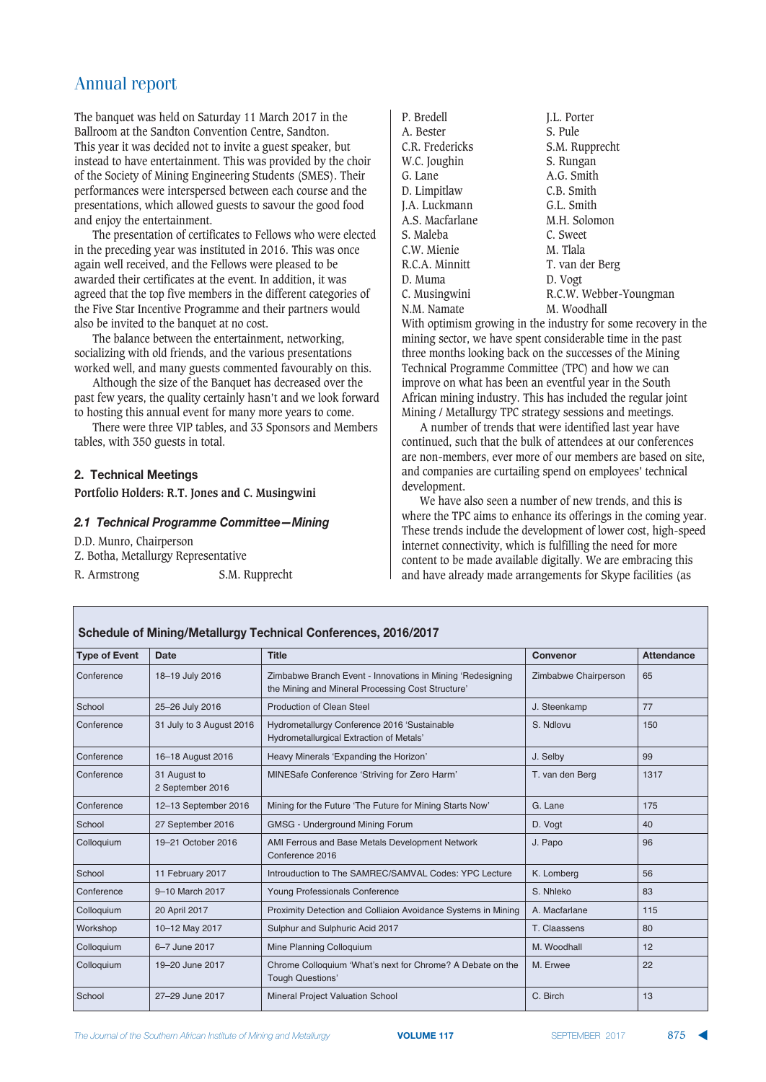The banquet was held on Saturday 11 March 2017 in the Ballroom at the Sandton Convention Centre, Sandton. This year it was decided not to invite a guest speaker, but instead to have entertainment. This was provided by the choir of the Society of Mining Engineering Students (SMES). Their performances were interspersed between each course and the presentations, which allowed guests to savour the good food and enjoy the entertainment.

The presentation of certificates to Fellows who were elected in the preceding year was instituted in 2016. This was once again well received, and the Fellows were pleased to be awarded their certificates at the event. In addition, it was agreed that the top five members in the different categories of the Five Star Incentive Programme and their partners would also be invited to the banquet at no cost.

The balance between the entertainment, networking, socializing with old friends, and the various presentations worked well, and many guests commented favourably on this.

Although the size of the Banquet has decreased over the past few years, the quality certainly hasn't and we look forward to hosting this annual event for many more years to come.

There were three VIP tables, and 33 Sponsors and Members tables, with 350 guests in total.

#### **2. Technical Meetings**

**Portfolio Holders: R.T. Jones and C. Musingwini**

#### **2.1 Technical Programme Committee - Mining**

D.D. Munro, Chairperson Z. Botha, Metallurgy Representative R. Armstrong S.M. Rupprecht

| P. Bredell      | I.L. Porter            |
|-----------------|------------------------|
| A. Bester       | S. Pule                |
| C.R. Fredericks | S.M. Rupprecht         |
| W.C. Joughin    | S. Rungan              |
| G. Lane         | A.G. Smith             |
| D. Limpitlaw    | C.B. Smith             |
| J.A. Luckmann   | G.L. Smith             |
| A.S. Macfarlane | M.H. Solomon           |
| S. Maleba       | C. Sweet               |
| C.W. Mienie     | M. Tlala               |
| R.C.A. Minnitt  | T. van der Berg        |
| D. Muma         | D. Vogt                |
| C. Musingwini   | R.C.W. Webber-Youngman |
| N.M. Namate     | M. Woodhall            |

With optimism growing in the industry for some recovery in the mining sector, we have spent considerable time in the past three months looking back on the successes of the Mining Technical Programme Committee (TPC) and how we can improve on what has been an eventful year in the South African mining industry. This has included the regular joint Mining / Metallurgy TPC strategy sessions and meetings.

A number of trends that were identified last year have continued, such that the bulk of attendees at our conferences are non-members, ever more of our members are based on site, and companies are curtailing spend on employees' technical development.

We have also seen a number of new trends, and this is where the TPC aims to enhance its offerings in the coming year. These trends include the development of lower cost, high-speed internet connectivity, which is fulfilling the need for more content to be made available digitally. We are embracing this and have already made arrangements for Skype facilities (as

#### **Schedule of Mining/Metallurgy Technical Conferences, 2016/2017**

| <b>Type of Event</b> | <b>Date</b>                      | <b>Title</b>                                                                                                    | Convenor             | <b>Attendance</b> |
|----------------------|----------------------------------|-----------------------------------------------------------------------------------------------------------------|----------------------|-------------------|
| Conference           | 18-19 July 2016                  | Zimbabwe Branch Event - Innovations in Mining 'Redesigning<br>the Mining and Mineral Processing Cost Structure' | Zimbabwe Chairperson | 65                |
| School               | 25-26 July 2016                  | <b>Production of Clean Steel</b>                                                                                | J. Steenkamp         | 77                |
| Conference           | 31 July to 3 August 2016         | Hydrometallurgy Conference 2016 'Sustainable<br>Hydrometallurgical Extraction of Metals'                        | S. Ndlovu            | 150               |
| Conference           | 16-18 August 2016                | Heavy Minerals 'Expanding the Horizon'                                                                          | J. Selby             | 99                |
| Conference           | 31 August to<br>2 September 2016 | MINESafe Conference 'Striving for Zero Harm'                                                                    | T. van den Berg      | 1317              |
| Conference           | 12-13 September 2016             | Mining for the Future 'The Future for Mining Starts Now'                                                        | G. Lane              | 175               |
| School               | 27 September 2016                | GMSG - Underground Mining Forum                                                                                 | D. Vogt              | 40                |
| Colloquium           | 19-21 October 2016               | AMI Ferrous and Base Metals Development Network<br>Conference 2016                                              | J. Papo              | 96                |
| School               | 11 February 2017                 | Introuduction to The SAMREC/SAMVAL Codes: YPC Lecture                                                           | K. Lomberg           | 56                |
| Conference           | 9-10 March 2017                  | Young Professionals Conference                                                                                  | S. Nhleko            | 83                |
| Colloquium           | 20 April 2017                    | Proximity Detection and Colliaion Avoidance Systems in Mining                                                   | A. Macfarlane        | 115               |
| Workshop             | 10-12 May 2017                   | Sulphur and Sulphuric Acid 2017                                                                                 | T. Claassens         | 80                |
| Colloquium           | 6-7 June 2017                    | Mine Planning Colloquium                                                                                        | M. Woodhall          | 12                |
| Colloquium           | 19-20 June 2017                  | Chrome Colloquium 'What's next for Chrome? A Debate on the<br><b>Tough Questions'</b>                           | M. Erwee             | 22                |
| School               | 27-29 June 2017                  | <b>Mineral Project Valuation School</b>                                                                         | C. Birch             | 13                |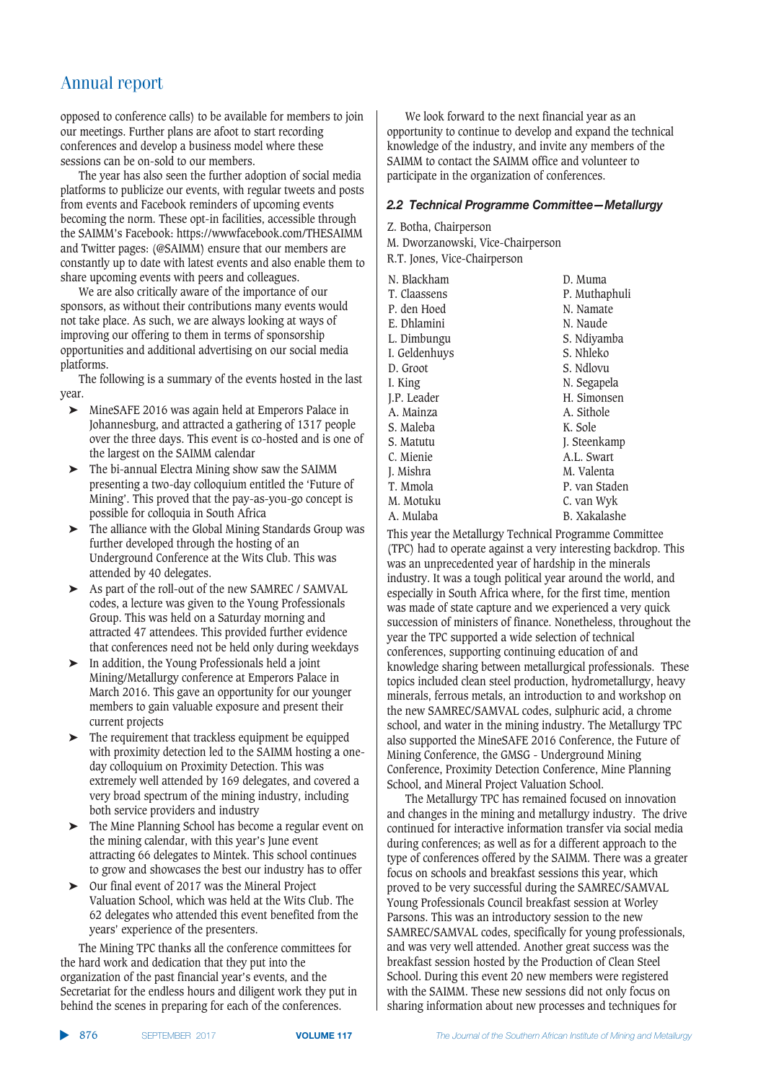opposed to conference calls) to be available for members to join our meetings. Further plans are afoot to start recording conferences and develop a business model where these sessions can be on-sold to our members.

The year has also seen the further adoption of social media platforms to publicize our events, with regular tweets and posts from events and Facebook reminders of upcoming events becoming the norm. These opt-in facilities, accessible through the SAIMM's Facebook: https://wwwfacebook.com/THESAIMM and Twitter pages: (@SAIMM) ensure that our members are constantly up to date with latest events and also enable them to share upcoming events with peers and colleagues.

We are also critically aware of the importance of our sponsors, as without their contributions many events would not take place. As such, we are always looking at ways of improving our offering to them in terms of sponsorship opportunities and additional advertising on our social media platforms.

The following is a summary of the events hosted in the last year.

- ➤ MineSAFE 2016 was again held at Emperors Palace in Johannesburg, and attracted a gathering of 1317 people over the three days. This event is co-hosted and is one of the largest on the SAIMM calendar
- $\triangleright$  The bi-annual Electra Mining show saw the SAIMM presenting a two-day colloquium entitled the 'Future of Mining'. This proved that the pay-as-you-go concept is possible for colloquia in South Africa
- ➤ The alliance with the Global Mining Standards Group was further developed through the hosting of an Underground Conference at the Wits Club. This was attended by 40 delegates.
- ➤ As part of the roll-out of the new SAMREC / SAMVAL codes, a lecture was given to the Young Professionals Group. This was held on a Saturday morning and attracted 47 attendees. This provided further evidence that conferences need not be held only during weekdays
- ➤ In addition, the Young Professionals held a joint Mining/Metallurgy conference at Emperors Palace in March 2016. This gave an opportunity for our younger members to gain valuable exposure and present their current projects
- ➤ The requirement that trackless equipment be equipped with proximity detection led to the SAIMM hosting a oneday colloquium on Proximity Detection. This was extremely well attended by 169 delegates, and covered a very broad spectrum of the mining industry, including both service providers and industry
- ➤ The Mine Planning School has become a regular event on the mining calendar, with this year's June event attracting 66 delegates to Mintek. This school continues to grow and showcases the best our industry has to offer
- ➤ Our final event of 2017 was the Mineral Project Valuation School, which was held at the Wits Club. The 62 delegates who attended this event benefited from the years' experience of the presenters.

The Mining TPC thanks all the conference committees for the hard work and dedication that they put into the organization of the past financial year's events, and the Secretariat for the endless hours and diligent work they put in behind the scenes in preparing for each of the conferences.

We look forward to the next financial year as an opportunity to continue to develop and expand the technical knowledge of the industry, and invite any members of the SAIMM to contact the SAIMM office and volunteer to participate in the organization of conferences.

#### 2.2 Technical Programme Committee-Metallurgy

Z. Botha, Chairperson

M. Dworzanowski, Vice-Chairperson

R.T. Jones, Vice-Chairperson

| N. Blackham   | D. Muma             |
|---------------|---------------------|
| T. Claassens  | P. Muthaphuli       |
| P. den Hoed   | N. Namate           |
| E. Dhlamini   | N. Naude            |
| L. Dimbungu   | S. Ndiyamba         |
| I. Geldenhuys | S. Nhleko           |
| D. Groot      | S. Ndlovu           |
| I. King       | N. Segapela         |
| J.P. Leader   | H. Simonsen         |
| A. Mainza     | A. Sithole          |
| S. Maleba     | K. Sole             |
| S. Matutu     | J. Steenkamp        |
| C. Mienie     | A.L. Swart          |
| J. Mishra     | M. Valenta          |
| T. Mmola      | P. van Staden       |
| M. Motuku     | C. van Wyk          |
| A. Mulaba     | <b>B.</b> Xakalashe |
|               |                     |

This year the Metallurgy Technical Programme Committee (TPC) had to operate against a very interesting backdrop. This was an unprecedented year of hardship in the minerals industry. It was a tough political year around the world, and especially in South Africa where, for the first time, mention was made of state capture and we experienced a very quick succession of ministers of finance. Nonetheless, throughout the year the TPC supported a wide selection of technical conferences, supporting continuing education of and knowledge sharing between metallurgical professionals. These topics included clean steel production, hydrometallurgy, heavy minerals, ferrous metals, an introduction to and workshop on the new SAMREC/SAMVAL codes, sulphuric acid, a chrome school, and water in the mining industry. The Metallurgy TPC also supported the MineSAFE 2016 Conference, the Future of Mining Conference, the GMSG - Underground Mining Conference, Proximity Detection Conference, Mine Planning School, and Mineral Project Valuation School.

The Metallurgy TPC has remained focused on innovation and changes in the mining and metallurgy industry. The drive continued for interactive information transfer via social media during conferences; as well as for a different approach to the type of conferences offered by the SAIMM. There was a greater focus on schools and breakfast sessions this year, which proved to be very successful during the SAMREC/SAMVAL Young Professionals Council breakfast session at Worley Parsons. This was an introductory session to the new SAMREC/SAMVAL codes, specifically for young professionals, and was very well attended. Another great success was the breakfast session hosted by the Production of Clean Steel School. During this event 20 new members were registered with the SAIMM. These new sessions did not only focus on sharing information about new processes and techniques for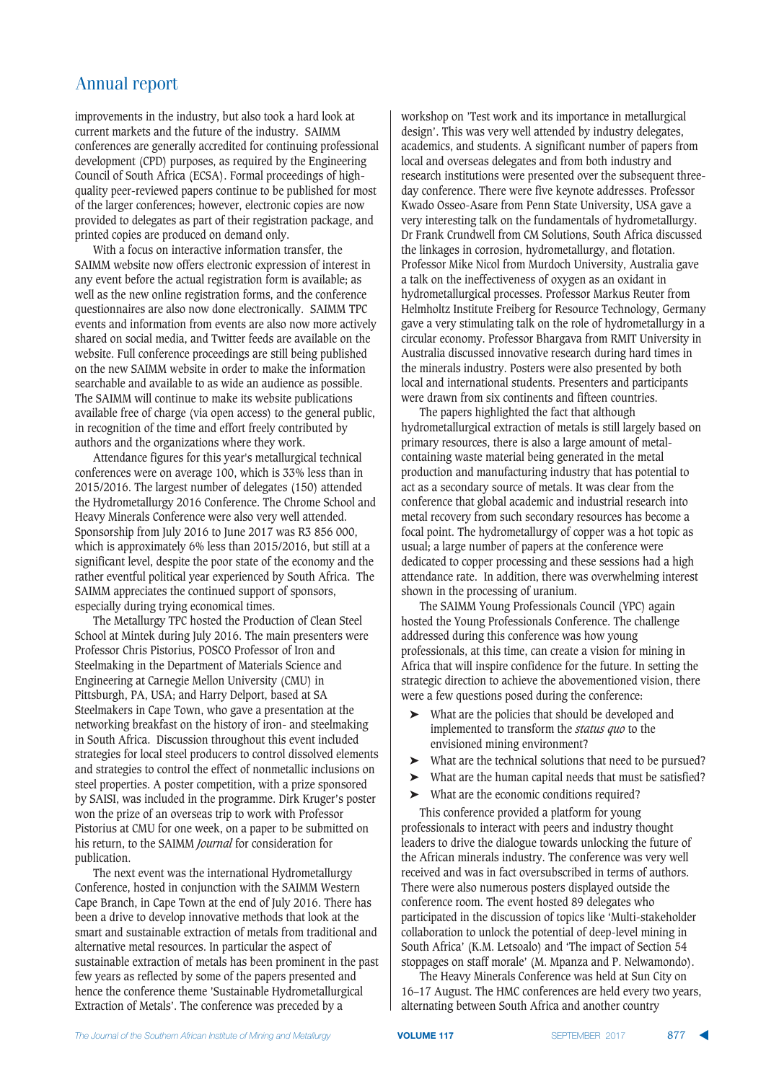improvements in the industry, but also took a hard look at current markets and the future of the industry. SAIMM conferences are generally accredited for continuing professional development (CPD) purposes, as required by the Engineering Council of South Africa (ECSA). Formal proceedings of highquality peer-reviewed papers continue to be published for most of the larger conferences; however, electronic copies are now provided to delegates as part of their registration package, and printed copies are produced on demand only.

With a focus on interactive information transfer, the SAIMM website now offers electronic expression of interest in any event before the actual registration form is available; as well as the new online registration forms, and the conference questionnaires are also now done electronically. SAIMM TPC events and information from events are also now more actively shared on social media, and Twitter feeds are available on the website. Full conference proceedings are still being published on the new SAIMM website in order to make the information searchable and available to as wide an audience as possible. The SAIMM will continue to make its website publications available free of charge (via open access) to the general public, in recognition of the time and effort freely contributed by authors and the organizations where they work.

Attendance figures for this year's metallurgical technical conferences were on average 100, which is 33% less than in 2015/2016. The largest number of delegates (150) attended the Hydrometallurgy 2016 Conference. The Chrome School and Heavy Minerals Conference were also very well attended. Sponsorship from July 2016 to June 2017 was R3 856 000, which is approximately 6% less than 2015/2016, but still at a significant level, despite the poor state of the economy and the rather eventful political year experienced by South Africa. The SAIMM appreciates the continued support of sponsors, especially during trying economical times.

The Metallurgy TPC hosted the Production of Clean Steel School at Mintek during July 2016. The main presenters were Professor Chris Pistorius, POSCO Professor of Iron and Steelmaking in the Department of Materials Science and Engineering at Carnegie Mellon University (CMU) in Pittsburgh, PA, USA; and Harry Delport, based at SA Steelmakers in Cape Town, who gave a presentation at the networking breakfast on the history of iron- and steelmaking in South Africa. Discussion throughout this event included strategies for local steel producers to control dissolved elements and strategies to control the effect of nonmetallic inclusions on steel properties. A poster competition, with a prize sponsored by SAISI, was included in the programme. Dirk Kruger's poster won the prize of an overseas trip to work with Professor Pistorius at CMU for one week, on a paper to be submitted on his return, to the SAIMM *Journal* for consideration for publication.

The next event was the international Hydrometallurgy Conference, hosted in conjunction with the SAIMM Western Cape Branch, in Cape Town at the end of July 2016. There has been a drive to develop innovative methods that look at the smart and sustainable extraction of metals from traditional and alternative metal resources. In particular the aspect of sustainable extraction of metals has been prominent in the past few years as reflected by some of the papers presented and hence the conference theme 'Sustainable Hydrometallurgical Extraction of Metals'. The conference was preceded by a

workshop on 'Test work and its importance in metallurgical design'. This was very well attended by industry delegates, academics, and students. A significant number of papers from local and overseas delegates and from both industry and research institutions were presented over the subsequent threeday conference. There were five keynote addresses. Professor Kwado Osseo-Asare from Penn State University, USA gave a very interesting talk on the fundamentals of hydrometallurgy. Dr Frank Crundwell from CM Solutions, South Africa discussed the linkages in corrosion, hydrometallurgy, and flotation. Professor Mike Nicol from Murdoch University, Australia gave a talk on the ineffectiveness of oxygen as an oxidant in hydrometallurgical processes. Professor Markus Reuter from Helmholtz Institute Freiberg for Resource Technology, Germany gave a very stimulating talk on the role of hydrometallurgy in a circular economy. Professor Bhargava from RMIT University in Australia discussed innovative research during hard times in the minerals industry. Posters were also presented by both local and international students. Presenters and participants were drawn from six continents and fifteen countries.

The papers highlighted the fact that although hydrometallurgical extraction of metals is still largely based on primary resources, there is also a large amount of metalcontaining waste material being generated in the metal production and manufacturing industry that has potential to act as a secondary source of metals. It was clear from the conference that global academic and industrial research into metal recovery from such secondary resources has become a focal point. The hydrometallurgy of copper was a hot topic as usual; a large number of papers at the conference were dedicated to copper processing and these sessions had a high attendance rate. In addition, there was overwhelming interest shown in the processing of uranium.

The SAIMM Young Professionals Council (YPC) again hosted the Young Professionals Conference. The challenge addressed during this conference was how young professionals, at this time, can create a vision for mining in Africa that will inspire confidence for the future. In setting the strategic direction to achieve the abovementioned vision, there were a few questions posed during the conference:

- ➤ What are the policies that should be developed and implemented to transform the *status quo* to the envisioned mining environment?
- ➤ What are the technical solutions that need to be pursued?
- ➤ What are the human capital needs that must be satisfied?
- ➤ What are the economic conditions required?

This conference provided a platform for young professionals to interact with peers and industry thought leaders to drive the dialogue towards unlocking the future of the African minerals industry. The conference was very well received and was in fact oversubscribed in terms of authors. There were also numerous posters displayed outside the conference room. The event hosted 89 delegates who participated in the discussion of topics like 'Multi-stakeholder collaboration to unlock the potential of deep-level mining in South Africa' (K.M. Letsoalo) and 'The impact of Section 54 stoppages on staff morale' (M. Mpanza and P. Nelwamondo).

The Heavy Minerals Conference was held at Sun City on 16–17 August. The HMC conferences are held every two years, alternating between South Africa and another country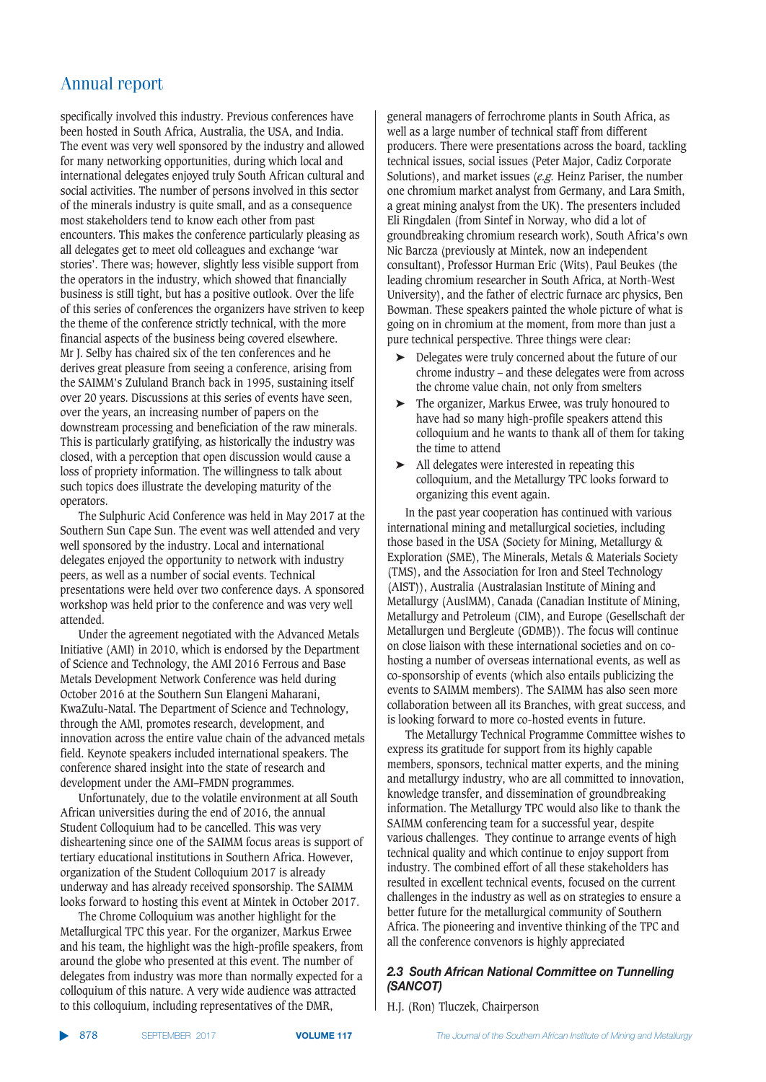specifically involved this industry. Previous conferences have been hosted in South Africa, Australia, the USA, and India. The event was very well sponsored by the industry and allowed for many networking opportunities, during which local and international delegates enjoyed truly South African cultural and social activities. The number of persons involved in this sector of the minerals industry is quite small, and as a consequence most stakeholders tend to know each other from past encounters. This makes the conference particularly pleasing as all delegates get to meet old colleagues and exchange 'war stories'. There was; however, slightly less visible support from the operators in the industry, which showed that financially business is still tight, but has a positive outlook. Over the life of this series of conferences the organizers have striven to keep the theme of the conference strictly technical, with the more financial aspects of the business being covered elsewhere. Mr J. Selby has chaired six of the ten conferences and he derives great pleasure from seeing a conference, arising from the SAIMM's Zululand Branch back in 1995, sustaining itself over 20 years. Discussions at this series of events have seen, over the years, an increasing number of papers on the downstream processing and beneficiation of the raw minerals. This is particularly gratifying, as historically the industry was closed, with a perception that open discussion would cause a loss of propriety information. The willingness to talk about such topics does illustrate the developing maturity of the operators.

The Sulphuric Acid Conference was held in May 2017 at the Southern Sun Cape Sun. The event was well attended and very well sponsored by the industry. Local and international delegates enjoyed the opportunity to network with industry peers, as well as a number of social events. Technical presentations were held over two conference days. A sponsored workshop was held prior to the conference and was very well attended.

Under the agreement negotiated with the Advanced Metals Initiative (AMI) in 2010, which is endorsed by the Department of Science and Technology, the AMI 2016 Ferrous and Base Metals Development Network Conference was held during October 2016 at the Southern Sun Elangeni Maharani, KwaZulu-Natal. The Department of Science and Technology, through the AMI, promotes research, development, and innovation across the entire value chain of the advanced metals field. Keynote speakers included international speakers. The conference shared insight into the state of research and development under the AMI–FMDN programmes.

Unfortunately, due to the volatile environment at all South African universities during the end of 2016, the annual Student Colloquium had to be cancelled. This was very disheartening since one of the SAIMM focus areas is support of tertiary educational institutions in Southern Africa. However, organization of the Student Colloquium 2017 is already underway and has already received sponsorship. The SAIMM looks forward to hosting this event at Mintek in October 2017.

The Chrome Colloquium was another highlight for the Metallurgical TPC this year. For the organizer, Markus Erwee and his team, the highlight was the high-profile speakers, from around the globe who presented at this event. The number of delegates from industry was more than normally expected for a colloquium of this nature. A very wide audience was attracted to this colloquium, including representatives of the DMR,

general managers of ferrochrome plants in South Africa, as well as a large number of technical staff from different producers. There were presentations across the board, tackling technical issues, social issues (Peter Major, Cadiz Corporate Solutions), and market issues (*e.g.* Heinz Pariser, the number one chromium market analyst from Germany, and Lara Smith, a great mining analyst from the UK). The presenters included Eli Ringdalen (from Sintef in Norway, who did a lot of groundbreaking chromium research work), South Africa's own Nic Barcza (previously at Mintek, now an independent consultant), Professor Hurman Eric (Wits), Paul Beukes (the leading chromium researcher in South Africa, at North-West University), and the father of electric furnace arc physics, Ben Bowman. These speakers painted the whole picture of what is going on in chromium at the moment, from more than just a pure technical perspective. Three things were clear:

- ➤ Delegates were truly concerned about the future of our chrome industry – and these delegates were from across the chrome value chain, not only from smelters
- The organizer, Markus Erwee, was truly honoured to have had so many high-profile speakers attend this colloquium and he wants to thank all of them for taking the time to attend
- ➤ All delegates were interested in repeating this colloquium, and the Metallurgy TPC looks forward to organizing this event again.

In the past year cooperation has continued with various international mining and metallurgical societies, including those based in the USA (Society for Mining, Metallurgy & Exploration (SME), The Minerals, Metals & Materials Society (TMS), and the Association for Iron and Steel Technology (AIST)), Australia (Australasian Institute of Mining and Metallurgy (AusIMM), Canada (Canadian Institute of Mining, Metallurgy and Petroleum (CIM), and Europe (Gesellschaft der Metallurgen und Bergleute (GDMB)). The focus will continue on close liaison with these international societies and on cohosting a number of overseas international events, as well as co-sponsorship of events (which also entails publicizing the events to SAIMM members). The SAIMM has also seen more collaboration between all its Branches, with great success, and is looking forward to more co-hosted events in future.

The Metallurgy Technical Programme Committee wishes to express its gratitude for support from its highly capable members, sponsors, technical matter experts, and the mining and metallurgy industry, who are all committed to innovation, knowledge transfer, and dissemination of groundbreaking information. The Metallurgy TPC would also like to thank the SAIMM conferencing team for a successful year, despite various challenges. They continue to arrange events of high technical quality and which continue to enjoy support from industry. The combined effort of all these stakeholders has resulted in excellent technical events, focused on the current challenges in the industry as well as on strategies to ensure a better future for the metallurgical community of Southern Africa. The pioneering and inventive thinking of the TPC and all the conference convenors is highly appreciated

#### 2.3 South African National Committee on Tunnelling *<u>(SANCOT)</u>*

H.J. (Ron) Tluczek, Chairperson

▲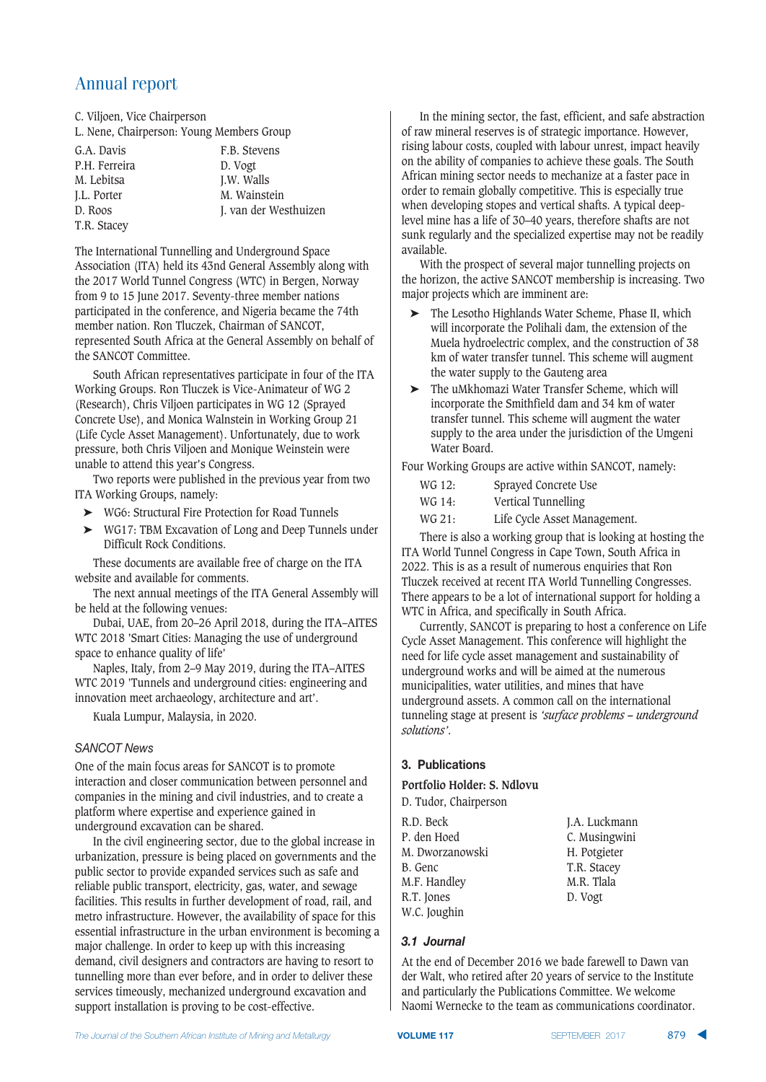C. Viljoen, Vice Chairperson L. Nene, Chairperson: Young Members Group

G.A. Davis F.B. Stevens P.H. Ferreira D. Vogt M. Lebitsa J.W. Walls<br>I.L. Porter M. Wainst

M. Wainstein D. Roos J. van der Westhuizen

T.R. Stacey

The International Tunnelling and Underground Space Association (ITA) held its 43nd General Assembly along with the 2017 World Tunnel Congress (WTC) in Bergen, Norway from 9 to 15 June 2017. Seventy-three member nations participated in the conference, and Nigeria became the 74th member nation. Ron Tluczek, Chairman of SANCOT, represented South Africa at the General Assembly on behalf of the SANCOT Committee.

South African representatives participate in four of the ITA Working Groups. Ron Tluczek is Vice-Animateur of WG 2 (Research), Chris Viljoen participates in WG 12 (Sprayed Concrete Use), and Monica Walnstein in Working Group 21 (Life Cycle Asset Management). Unfortunately, due to work pressure, both Chris Viljoen and Monique Weinstein were unable to attend this year's Congress.

Two reports were published in the previous year from two ITA Working Groups, namely:

- ➤ WG6: Structural Fire Protection for Road Tunnels
- ➤ WG17: TBM Excavation of Long and Deep Tunnels under Difficult Rock Conditions.

These documents are available free of charge on the ITA website and available for comments.

The next annual meetings of the ITA General Assembly will be held at the following venues:

Dubai, UAE, from 20–26 April 2018, during the ITA–AITES WTC 2018 'Smart Cities: Managing the use of underground space to enhance quality of life'

Naples, Italy, from 2–9 May 2019, during the ITA–AITES WTC 2019 'Tunnels and underground cities: engineering and innovation meet archaeology, architecture and art'.

Kuala Lumpur, Malaysia, in 2020.

#### SANCOT News

One of the main focus areas for SANCOT is to promote interaction and closer communication between personnel and companies in the mining and civil industries, and to create a platform where expertise and experience gained in underground excavation can be shared.

In the civil engineering sector, due to the global increase in urbanization, pressure is being placed on governments and the public sector to provide expanded services such as safe and reliable public transport, electricity, gas, water, and sewage facilities. This results in further development of road, rail, and metro infrastructure. However, the availability of space for this essential infrastructure in the urban environment is becoming a major challenge. In order to keep up with this increasing demand, civil designers and contractors are having to resort to tunnelling more than ever before, and in order to deliver these services timeously, mechanized underground excavation and support installation is proving to be cost-effective.

In the mining sector, the fast, efficient, and safe abstraction of raw mineral reserves is of strategic importance. However, rising labour costs, coupled with labour unrest, impact heavily on the ability of companies to achieve these goals. The South African mining sector needs to mechanize at a faster pace in order to remain globally competitive. This is especially true when developing stopes and vertical shafts. A typical deeplevel mine has a life of 30–40 years, therefore shafts are not sunk regularly and the specialized expertise may not be readily available.

With the prospect of several major tunnelling projects on the horizon, the active SANCOT membership is increasing. Two major projects which are imminent are:

- ➤ The Lesotho Highlands Water Scheme, Phase II, which will incorporate the Polihali dam, the extension of the Muela hydroelectric complex, and the construction of 38 km of water transfer tunnel. This scheme will augment the water supply to the Gauteng area
- ➤ The uMkhomazi Water Transfer Scheme, which will incorporate the Smithfield dam and 34 km of water transfer tunnel. This scheme will augment the water supply to the area under the jurisdiction of the Umgeni Water Board.

Four Working Groups are active within SANCOT, namely:

- WG 12: Sprayed Concrete Use
- WG 14: Vertical Tunnelling
- WG 21: Life Cycle Asset Management.

There is also a working group that is looking at hosting the ITA World Tunnel Congress in Cape Town, South Africa in 2022. This is as a result of numerous enquiries that Ron Tluczek received at recent ITA World Tunnelling Congresses. There appears to be a lot of international support for holding a WTC in Africa, and specifically in South Africa.

Currently, SANCOT is preparing to host a conference on Life Cycle Asset Management. This conference will highlight the need for life cycle asset management and sustainability of underground works and will be aimed at the numerous municipalities, water utilities, and mines that have underground assets. A common call on the international tunneling stage at present is *'surface problems – underground solutions'*.

#### **3. Publications**

#### **Portfolio Holder: S. Ndlovu**

| D. Tudor, Chairperson |               |
|-----------------------|---------------|
| R.D. Beck             | J.A. Luckmann |
| P. den Hoed           | C. Musingwini |
| M. Dworzanowski       | H. Potgieter  |
| B. Genc               | T.R. Stacey   |
| M.F. Handley          | M.R. Tlala    |
| R.T. Jones            | D. Vogt       |
| W.C. Joughin          |               |

#### *!223/&\*1-+*

At the end of December 2016 we bade farewell to Dawn van der Walt, who retired after 20 years of service to the Institute and particularly the Publications Committee. We welcome Naomi Wernecke to the team as communications coordinator.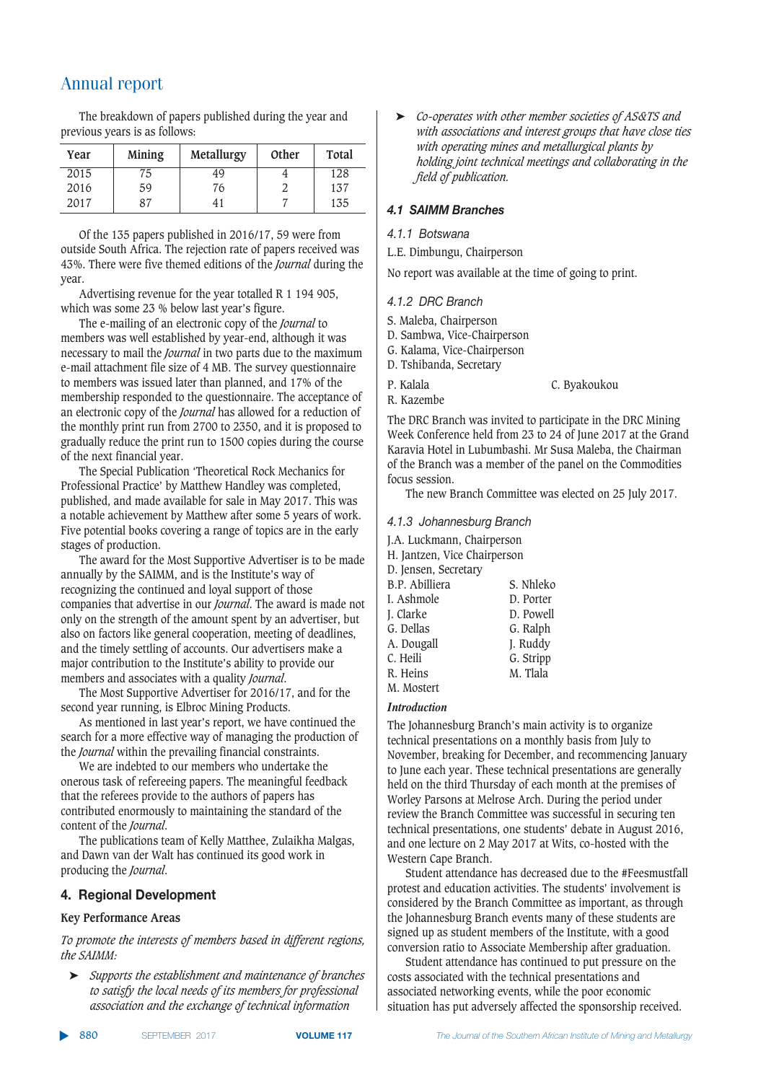The breakdown of papers published during the year and previous years is as follows:

| Year | Mining | Metallurgy | Other | Total |
|------|--------|------------|-------|-------|
| 2015 | 75     | 49         |       | 128   |
| 2016 | 59     | 76         |       | 137   |
| 2017 | 87     | 41         |       | 135   |

Of the 135 papers published in 2016/17, 59 were from outside South Africa. The rejection rate of papers received was 43%. There were five themed editions of the *Journal* during the year.

Advertising revenue for the year totalled R 1 194 905, which was some 23 % below last year's figure.

The e-mailing of an electronic copy of the *Journal* to members was well established by year-end, although it was necessary to mail the *Journal* in two parts due to the maximum e-mail attachment file size of 4 MB. The survey questionnaire to members was issued later than planned, and 17% of the membership responded to the questionnaire. The acceptance of an electronic copy of the *Journal* has allowed for a reduction of the monthly print run from 2700 to 2350, and it is proposed to gradually reduce the print run to 1500 copies during the course of the next financial year.

The Special Publication 'Theoretical Rock Mechanics for Professional Practice' by Matthew Handley was completed, published, and made available for sale in May 2017. This was a notable achievement by Matthew after some 5 years of work. Five potential books covering a range of topics are in the early stages of production.

The award for the Most Supportive Advertiser is to be made annually by the SAIMM, and is the Institute's way of recognizing the continued and loyal support of those companies that advertise in our *Journal*. The award is made not only on the strength of the amount spent by an advertiser, but also on factors like general cooperation, meeting of deadlines, and the timely settling of accounts. Our advertisers make a major contribution to the Institute's ability to provide our members and associates with a quality *Journal*.

The Most Supportive Advertiser for 2016/17, and for the second year running, is Elbroc Mining Products.

As mentioned in last year's report, we have continued the search for a more effective way of managing the production of the *Journal* within the prevailing financial constraints.

We are indebted to our members who undertake the onerous task of refereeing papers. The meaningful feedback that the referees provide to the authors of papers has contributed enormously to maintaining the standard of the content of the *Journal*.

The publications team of Kelly Matthee, Zulaikha Malgas, and Dawn van der Walt has continued its good work in producing the *Journal*.

#### **4. Regional Development**

#### **Key Performance Areas**

*To promote the interests of members based in different regions, the SAIMM:*

➤ *Supports the establishment and maintenance of branches to satisfy the local needs of its members for professional association and the exchange of technical information*

➤ *Co-operates with other member societies of AS&TS and with associations and interest groups that have close ties with operating mines and metallurgical plants by holding joint technical meetings and collaborating in the field of publication.*

#### $4.1$  SAIMM Branches

#### *+4-4-CC)=<;.@?@*

L.E. Dimbungu, Chairperson

No report was available at the time of going to print.

#### **4.1.2 DRC Branch**

- S. Maleba, Chairperson
- D. Sambwa, Vice-Chairperson
- G. Kalama, Vice-Chairperson
- D. Tshibanda, Secretary
- P. Kalala C. Byakoukou
- R. Kazembe

The DRC Branch was invited to participate in the DRC Mining Week Conference held from 23 to 24 of June 2017 at the Grand Karavia Hotel in Lubumbashi. Mr Susa Maleba, the Chairman of the Branch was a member of the panel on the Commodities focus session.

The new Branch Committee was elected on 25 July 2017.

#### **4.1.3 Johannesburg Branch**

J.A. Luckmann, Chairperson

- H. Jantzen, Vice Chairperson
- D. Jensen, Secretary

| $\sim$ , $\sim$ , $\sim$ , $\sim$ |           |
|-----------------------------------|-----------|
| B.P. Abilliera                    | S. Nhleko |
| I. Ashmole                        | D. Porter |
| J. Clarke                         | D. Powell |
| G. Dellas                         | G. Ralph  |
| A. Dougall                        | J. Ruddy  |
| C. Heili                          | G. Stripp |
| R. Heins                          | M. Tlala  |
| M. Mostert                        |           |

#### *Introduction*

The Johannesburg Branch's main activity is to organize technical presentations on a monthly basis from July to November, breaking for December, and recommencing January to June each year. These technical presentations are generally held on the third Thursday of each month at the premises of Worley Parsons at Melrose Arch. During the period under review the Branch Committee was successful in securing ten technical presentations, one students' debate in August 2016, and one lecture on 2 May 2017 at Wits, co-hosted with the Western Cape Branch.

Student attendance has decreased due to the #Feesmustfall protest and education activities. The students' involvement is considered by the Branch Committee as important, as through the Johannesburg Branch events many of these students are signed up as student members of the Institute, with a good conversion ratio to Associate Membership after graduation.

Student attendance has continued to put pressure on the costs associated with the technical presentations and associated networking events, while the poor economic situation has put adversely affected the sponsorship received.

▲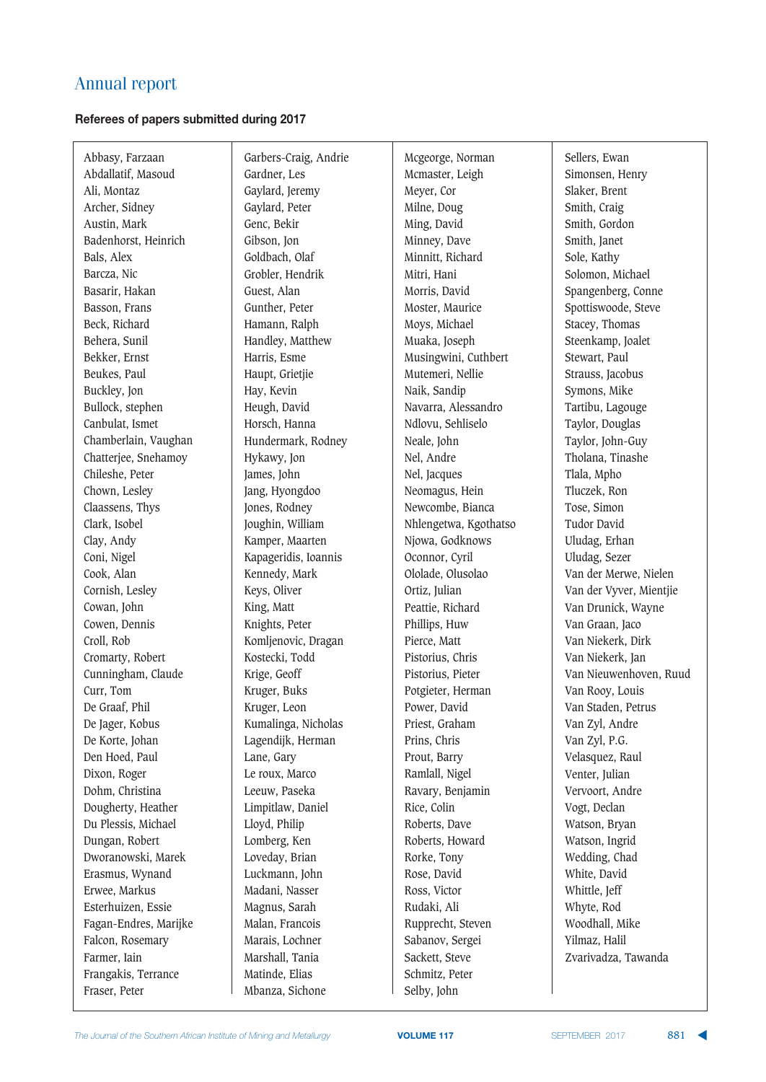#### **Referees of papers submitted during 2017**

Abbasy, Farzaan Abdallatif, Masoud Ali, Montaz Archer, Sidney Austin, Mark Badenhorst, Heinrich Bals, Alex Barcza, Nic Basarir, Hakan Basson, Frans Beck, Richard Behera, Sunil Bekker, Ernst Beukes, Paul Buckley, Jon Bullock, stephen Canbulat, Ismet Chamberlain, Vaughan Chatterjee, Snehamoy Chileshe, Peter Chown, Lesley Claassens, Thys Clark, Isobel Clay, Andy Coni, Nigel Cook, Alan Cornish, Lesley Cowan, John Cowen, Dennis Croll, Rob Cromarty, Robert Cunningham, Claude Curr, Tom De Graaf, Phil De Jager, Kobus De Korte, Johan Den Hoed, Paul Dixon, Roger Dohm, Christina Dougherty, Heather Du Plessis, Michael Dungan, Robert Dworanowski, Marek Erasmus, Wynand Erwee, Markus Esterhuizen, Essie Fagan-Endres, Marijke Falcon, Rosemary Farmer, Iain Frangakis, Terrance Fraser, Peter

Garbers-Craig, Andrie Gardner, Les Gaylard, Jeremy Gaylard, Peter Genc, Bekir Gibson, Jon Goldbach, Olaf Grobler, Hendrik Guest, Alan Gunther, Peter Hamann, Ralph Handley, Matthew Harris, Esme Haupt, Grietjie Hay, Kevin Heugh, David Horsch, Hanna Hundermark, Rodney Hykawy, Jon James, John Jang, Hyongdoo Jones, Rodney Joughin, William Kamper, Maarten Kapageridis, Ioannis Kennedy, Mark Keys, Oliver King, Matt Knights, Peter Komljenovic, Dragan Kostecki, Todd Krige, Geoff Kruger, Buks Kruger, Leon Kumalinga, Nicholas Lagendijk, Herman Lane, Gary Le roux, Marco Leeuw, Paseka Limpitlaw, Daniel Lloyd, Philip Lomberg, Ken Loveday, Brian Luckmann, John Madani, Nasser Magnus, Sarah Malan, Francois Marais, Lochner Marshall, Tania Matinde, Elias Mbanza, Sichone

Mcgeorge, Norman Mcmaster, Leigh Meyer, Cor Milne, Doug Ming, David Minney, Dave Minnitt, Richard Mitri, Hani Morris, David Moster, Maurice Moys, Michael Muaka, Joseph Musingwini, Cuthbert Mutemeri, Nellie Naik, Sandip Navarra, Alessandro Ndlovu, Sehliselo Neale, John Nel, Andre Nel, Jacques Neomagus, Hein Newcombe, Bianca Nhlengetwa, Kgothatso Njowa, Godknows Oconnor, Cyril Ololade, Olusolao Ortiz, Julian Peattie, Richard Phillips, Huw Pierce, Matt Pistorius, Chris Pistorius, Pieter Potgieter, Herman Power, David Priest, Graham Prins, Chris Prout, Barry Ramlall, Nigel Ravary, Benjamin Rice, Colin Roberts, Dave Roberts, Howard Rorke, Tony Rose, David Ross, Victor Rudaki, Ali Rupprecht, Steven Sabanov, Sergei Sackett, Steve Schmitz, Peter Selby, John

Sellers, Ewan Simonsen, Henry Slaker, Brent Smith, Craig Smith, Gordon Smith, Janet Sole, Kathy Solomon, Michael Spangenberg, Conne Spottiswoode, Steve Stacey, Thomas Steenkamp, Joalet Stewart, Paul Strauss, Jacobus Symons, Mike Tartibu, Lagouge Taylor, Douglas Taylor, John-Guy Tholana, Tinashe Tlala, Mpho Tluczek, Ron Tose, Simon Tudor David Uludag, Erhan Uludag, Sezer Van der Merwe, Nielen Van der Vyver, Mientjie Van Drunick, Wayne Van Graan, Jaco Van Niekerk, Dirk Van Niekerk, Jan Van Nieuwenhoven, Ruud Van Rooy, Louis Van Staden, Petrus Van Zyl, Andre Van Zyl, P.G. Velasquez, Raul Venter, Julian Vervoort, Andre Vogt, Declan Watson, Bryan Watson, Ingrid Wedding, Chad White, David Whittle, Jeff Whyte, Rod Woodhall, Mike Yilmaz, Halil Zvarivadza, Tawanda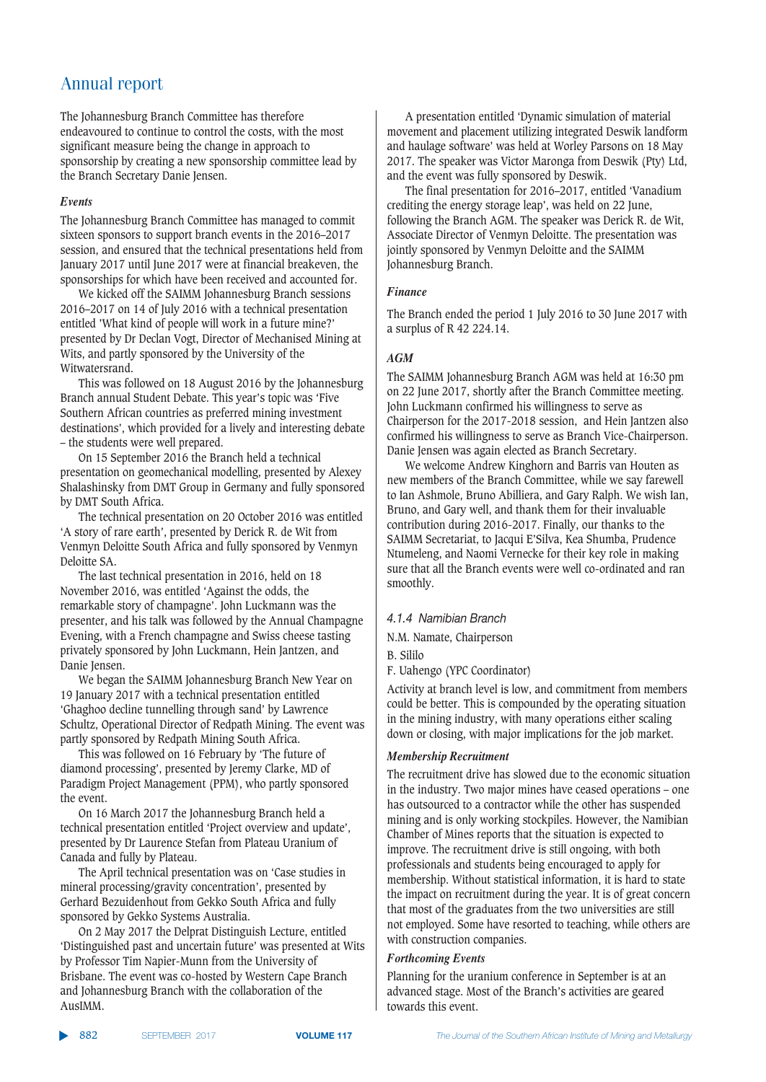The Johannesburg Branch Committee has therefore endeavoured to continue to control the costs, with the most significant measure being the change in approach to sponsorship by creating a new sponsorship committee lead by the Branch Secretary Danie Jensen.

#### *Events*

The Johannesburg Branch Committee has managed to commit sixteen sponsors to support branch events in the 2016–2017 session, and ensured that the technical presentations held from January 2017 until June 2017 were at financial breakeven, the sponsorships for which have been received and accounted for.

We kicked off the SAIMM Johannesburg Branch sessions 2016–2017 on 14 of July 2016 with a technical presentation entitled 'What kind of people will work in a future mine?' presented by Dr Declan Vogt, Director of Mechanised Mining at Wits, and partly sponsored by the University of the Witwatersrand.

This was followed on 18 August 2016 by the Johannesburg Branch annual Student Debate. This year's topic was 'Five Southern African countries as preferred mining investment destinations', which provided for a lively and interesting debate – the students were well prepared.

On 15 September 2016 the Branch held a technical presentation on geomechanical modelling, presented by Alexey Shalashinsky from DMT Group in Germany and fully sponsored by DMT South Africa.

The technical presentation on 20 October 2016 was entitled 'A story of rare earth', presented by Derick R. de Wit from Venmyn Deloitte South Africa and fully sponsored by Venmyn Deloitte SA.

The last technical presentation in 2016, held on 18 November 2016, was entitled 'Against the odds, the remarkable story of champagne'. John Luckmann was the presenter, and his talk was followed by the Annual Champagne Evening, with a French champagne and Swiss cheese tasting privately sponsored by John Luckmann, Hein Jantzen, and Danie Jensen.

We began the SAIMM Johannesburg Branch New Year on 19 January 2017 with a technical presentation entitled 'Ghaghoo decline tunnelling through sand' by Lawrence Schultz, Operational Director of Redpath Mining. The event was partly sponsored by Redpath Mining South Africa.

This was followed on 16 February by 'The future of diamond processing', presented by Jeremy Clarke, MD of Paradigm Project Management (PPM), who partly sponsored the event.

On 16 March 2017 the Johannesburg Branch held a technical presentation entitled 'Project overview and update', presented by Dr Laurence Stefan from Plateau Uranium of Canada and fully by Plateau.

The April technical presentation was on 'Case studies in mineral processing/gravity concentration', presented by Gerhard Bezuidenhout from Gekko South Africa and fully sponsored by Gekko Systems Australia.

On 2 May 2017 the Delprat Distinguish Lecture, entitled 'Distinguished past and uncertain future' was presented at Wits by Professor Tim Napier-Munn from the University of Brisbane. The event was co-hosted by Western Cape Branch and Johannesburg Branch with the collaboration of the AusIMM.

A presentation entitled 'Dynamic simulation of material movement and placement utilizing integrated Deswik landform and haulage software' was held at Worley Parsons on 18 May 2017. The speaker was Victor Maronga from Deswik (Pty) Ltd, and the event was fully sponsored by Deswik.

The final presentation for 2016–2017, entitled 'Vanadium crediting the energy storage leap', was held on 22 June, following the Branch AGM. The speaker was Derick R. de Wit, Associate Director of Venmyn Deloitte. The presentation was jointly sponsored by Venmyn Deloitte and the SAIMM Johannesburg Branch.

#### *Finance*

The Branch ended the period 1 July 2016 to 30 June 2017 with a surplus of R 42 224.14.

#### *AGM*

The SAIMM Johannesburg Branch AGM was held at 16:30 pm on 22 June 2017, shortly after the Branch Committee meeting. John Luckmann confirmed his willingness to serve as Chairperson for the 2017-2018 session, and Hein Jantzen also confirmed his willingness to serve as Branch Vice-Chairperson. Danie Jensen was again elected as Branch Secretary.

We welcome Andrew Kinghorn and Barris van Houten as new members of the Branch Committee, while we say farewell to Ian Ashmole, Bruno Abilliera, and Gary Ralph. We wish Ian, Bruno, and Gary well, and thank them for their invaluable contribution during 2016-2017. Finally, our thanks to the SAIMM Secretariat, to Jacqui E'Silva, Kea Shumba, Prudence Ntumeleng, and Naomi Vernecke for their key role in making sure that all the Branch events were well co-ordinated and ran smoothly.

#### 4.1.4 Namibian Branch

N.M. Namate, Chairperson

B. Sililo

F. Uahengo (YPC Coordinator)

Activity at branch level is low, and commitment from members could be better. This is compounded by the operating situation in the mining industry, with many operations either scaling down or closing, with major implications for the job market.

#### *Membership Recruitment*

The recruitment drive has slowed due to the economic situation in the industry. Two major mines have ceased operations – one has outsourced to a contractor while the other has suspended mining and is only working stockpiles. However, the Namibian Chamber of Mines reports that the situation is expected to improve. The recruitment drive is still ongoing, with both professionals and students being encouraged to apply for membership. Without statistical information, it is hard to state the impact on recruitment during the year. It is of great concern that most of the graduates from the two universities are still not employed. Some have resorted to teaching, while others are with construction companies.

#### *Forthcoming Events*

Planning for the uranium conference in September is at an advanced stage. Most of the Branch's activities are geared towards this event.

▲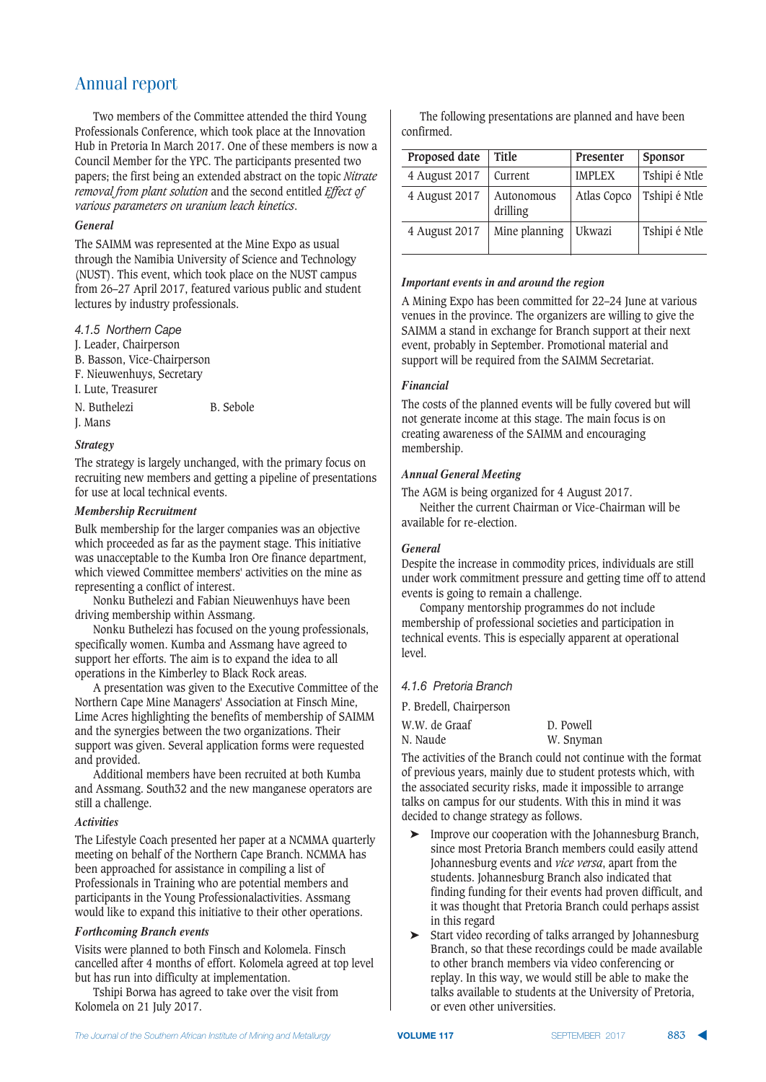Two members of the Committee attended the third Young Professionals Conference, which took place at the Innovation Hub in Pretoria In March 2017. One of these members is now a Council Member for the YPC. The participants presented two papers; the first being an extended abstract on the topic *Nitrate removal from plant solution* and the second entitled *Effect of various parameters on uranium leach kinetics*.

#### *General*

The SAIMM was represented at the Mine Expo as usual through the Namibia University of Science and Technology (NUST). This event, which took place on the NUST campus from 26–27 April 2017, featured various public and student lectures by industry professionals.

4.1.5 Northern Cape

- J. Leader, Chairperson
- B. Basson, Vice-Chairperson
- F. Nieuwenhuys, Secretary
- I. Lute, Treasurer
- N. Buthelezi B. Sebole
- J. Mans

#### *Strategy*

The strategy is largely unchanged, with the primary focus on recruiting new members and getting a pipeline of presentations for use at local technical events.

#### *Membership Recruitment*

Bulk membership for the larger companies was an objective which proceeded as far as the payment stage. This initiative was unacceptable to the Kumba Iron Ore finance department, which viewed Committee members' activities on the mine as representing a conflict of interest.

Nonku Buthelezi and Fabian Nieuwenhuys have been driving membership within Assmang.

Nonku Buthelezi has focused on the young professionals, specifically women. Kumba and Assmang have agreed to support her efforts. The aim is to expand the idea to all operations in the Kimberley to Black Rock areas.

A presentation was given to the Executive Committee of the Northern Cape Mine Managers' Association at Finsch Mine, Lime Acres highlighting the benefits of membership of SAIMM and the synergies between the two organizations. Their support was given. Several application forms were requested and provided.

Additional members have been recruited at both Kumba and Assmang. South32 and the new manganese operators are still a challenge.

#### *Activities*

The Lifestyle Coach presented her paper at a NCMMA quarterly meeting on behalf of the Northern Cape Branch. NCMMA has been approached for assistance in compiling a list of Professionals in Training who are potential members and participants in the Young Professionalactivities. Assmang would like to expand this initiative to their other operations.

#### *Forthcoming Branch events*

Visits were planned to both Finsch and Kolomela. Finsch cancelled after 4 months of effort. Kolomela agreed at top level but has run into difficulty at implementation.

Tshipi Borwa has agreed to take over the visit from Kolomela on 21 July 2017.

The following presentations are planned and have been confirmed.

| Proposed date | <b>Title</b>           | Presenter     | Sponsor       |
|---------------|------------------------|---------------|---------------|
| 4 August 2017 | Current                | <b>IMPLEX</b> | Tshipi é Ntle |
| 4 August 2017 | Autonomous<br>drilling | Atlas Copco   | Tshipi é Ntle |
| 4 August 2017 | Mine planning          | Ukwazi        | Tshipi é Ntle |

#### *Important events in and around the region*

A Mining Expo has been committed for 22–24 June at various venues in the province. The organizers are willing to give the SAIMM a stand in exchange for Branch support at their next event, probably in September. Promotional material and support will be required from the SAIMM Secretariat.

#### *Financial*

The costs of the planned events will be fully covered but will not generate income at this stage. The main focus is on creating awareness of the SAIMM and encouraging membership.

#### *Annual General Meeting*

The AGM is being organized for 4 August 2017.

Neither the current Chairman or Vice-Chairman will be available for re-election.

#### *General*

Despite the increase in commodity prices, individuals are still under work commitment pressure and getting time off to attend events is going to remain a challenge.

Company mentorship programmes do not include membership of professional societies and participation in technical events. This is especially apparent at operational level.

**4.1.6 Pretoria Branch** 

P. Bredell, Chairperson

| W.W. de Graaf | D. Powell |
|---------------|-----------|
| N. Naude      | W. Snyman |

The activities of the Branch could not continue with the format of previous years, mainly due to student protests which, with the associated security risks, made it impossible to arrange talks on campus for our students. With this in mind it was decided to change strategy as follows.

- ➤ Improve our cooperation with the Johannesburg Branch, since most Pretoria Branch members could easily attend Johannesburg events and *vice versa*, apart from the students. Johannesburg Branch also indicated that finding funding for their events had proven difficult, and it was thought that Pretoria Branch could perhaps assist in this regard
- ➤ Start video recording of talks arranged by Johannesburg Branch, so that these recordings could be made available to other branch members via video conferencing or replay. In this way, we would still be able to make the talks available to students at the University of Pretoria, or even other universities.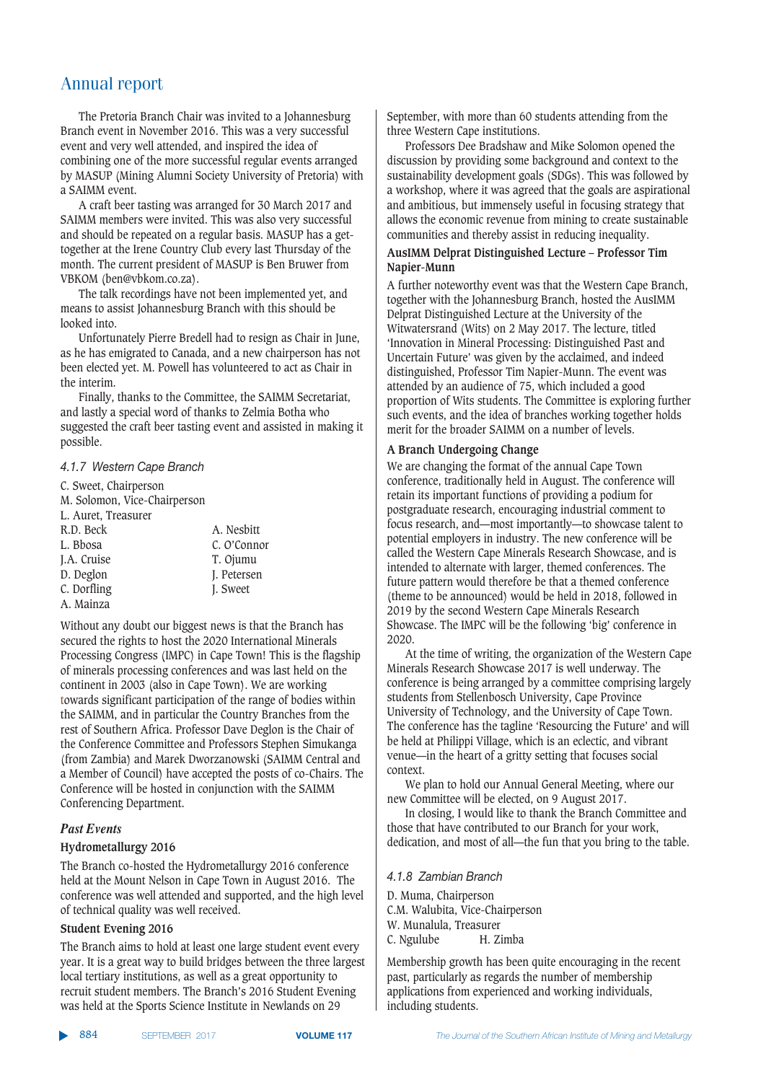The Pretoria Branch Chair was invited to a Johannesburg Branch event in November 2016. This was a very successful event and very well attended, and inspired the idea of combining one of the more successful regular events arranged by MASUP (Mining Alumni Society University of Pretoria) with a SAIMM event.

A craft beer tasting was arranged for 30 March 2017 and SAIMM members were invited. This was also very successful and should be repeated on a regular basis. MASUP has a gettogether at the Irene Country Club every last Thursday of the month. The current president of MASUP is Ben Bruwer from VBKOM (ben@vbkom.co.za).

The talk recordings have not been implemented yet, and means to assist Johannesburg Branch with this should be looked into.

Unfortunately Pierre Bredell had to resign as Chair in June, as he has emigrated to Canada, and a new chairperson has not been elected yet. M. Powell has volunteered to act as Chair in the interim.

Finally, thanks to the Committee, the SAIMM Secretariat, and lastly a special word of thanks to Zelmia Botha who suggested the craft beer tasting event and assisted in making it possible.

#### **4.1.7 Western Cape Branch**

C. Sweet, Chairperson M. Solomon, Vice-Chairperson L. Auret, Treasurer R.D. Beck A. Nesbitt L. Bbosa C. O'Connor I.A. Cruise D. Deglon J. Petersen<br>C. Dorfling J. Sweet C. Dorfling A. Mainza

Without any doubt our biggest news is that the Branch has secured the rights to host the 2020 International Minerals Processing Congress (IMPC) in Cape Town! This is the flagship of minerals processing conferences and was last held on the continent in 2003 (also in Cape Town). We are working towards significant participation of the range of bodies within the SAIMM, and in particular the Country Branches from the rest of Southern Africa. Professor Dave Deglon is the Chair of the Conference Committee and Professors Stephen Simukanga (from Zambia) and Marek Dworzanowski (SAIMM Central and a Member of Council) have accepted the posts of co-Chairs. The Conference will be hosted in conjunction with the SAIMM Conferencing Department.

#### *Past Events*

#### **Hydrometallurgy 2016**

The Branch co-hosted the Hydrometallurgy 2016 conference held at the Mount Nelson in Cape Town in August 2016. The conference was well attended and supported, and the high level of technical quality was well received.

#### **Student Evening 2016**

The Branch aims to hold at least one large student event every year. It is a great way to build bridges between the three largest local tertiary institutions, as well as a great opportunity to recruit student members. The Branch's 2016 Student Evening was held at the Sports Science Institute in Newlands on 29

September, with more than 60 students attending from the three Western Cape institutions.

Professors Dee Bradshaw and Mike Solomon opened the discussion by providing some background and context to the sustainability development goals (SDGs). This was followed by a workshop, where it was agreed that the goals are aspirational and ambitious, but immensely useful in focusing strategy that allows the economic revenue from mining to create sustainable communities and thereby assist in reducing inequality.

#### **AusIMM Delprat Distinguished Lecture – Professor Tim Napier-Munn**

A further noteworthy event was that the Western Cape Branch, together with the Johannesburg Branch, hosted the AusIMM Delprat Distinguished Lecture at the University of the Witwatersrand (Wits) on 2 May 2017. The lecture, titled 'Innovation in Mineral Processing: Distinguished Past and Uncertain Future' was given by the acclaimed, and indeed distinguished, Professor Tim Napier-Munn. The event was attended by an audience of 75, which included a good proportion of Wits students. The Committee is exploring further such events, and the idea of branches working together holds merit for the broader SAIMM on a number of levels.

#### **A Branch Undergoing Change**

We are changing the format of the annual Cape Town conference, traditionally held in August. The conference will retain its important functions of providing a podium for postgraduate research, encouraging industrial comment to focus research, and—most importantly—to showcase talent to potential employers in industry. The new conference will be called the Western Cape Minerals Research Showcase, and is intended to alternate with larger, themed conferences. The future pattern would therefore be that a themed conference (theme to be announced) would be held in 2018, followed in 2019 by the second Western Cape Minerals Research Showcase. The IMPC will be the following 'big' conference in 2020.

At the time of writing, the organization of the Western Cape Minerals Research Showcase 2017 is well underway. The conference is being arranged by a committee comprising largely students from Stellenbosch University, Cape Province University of Technology, and the University of Cape Town. The conference has the tagline 'Resourcing the Future' and will be held at Philippi Village, which is an eclectic, and vibrant venue—in the heart of a gritty setting that focuses social context.

We plan to hold our Annual General Meeting, where our new Committee will be elected, on 9 August 2017.

In closing, I would like to thank the Branch Committee and those that have contributed to our Branch for your work, dedication, and most of all—the fun that you bring to the table.

#### *+4-4CC@:,>@?C)A@?28*

D. Muma, Chairperson C.M. Walubita, Vice-Chairperson W. Munalula, Treasurer C. Ngulube H. Zimba

Membership growth has been quite encouraging in the recent past, particularly as regards the number of membership applications from experienced and working individuals, including students.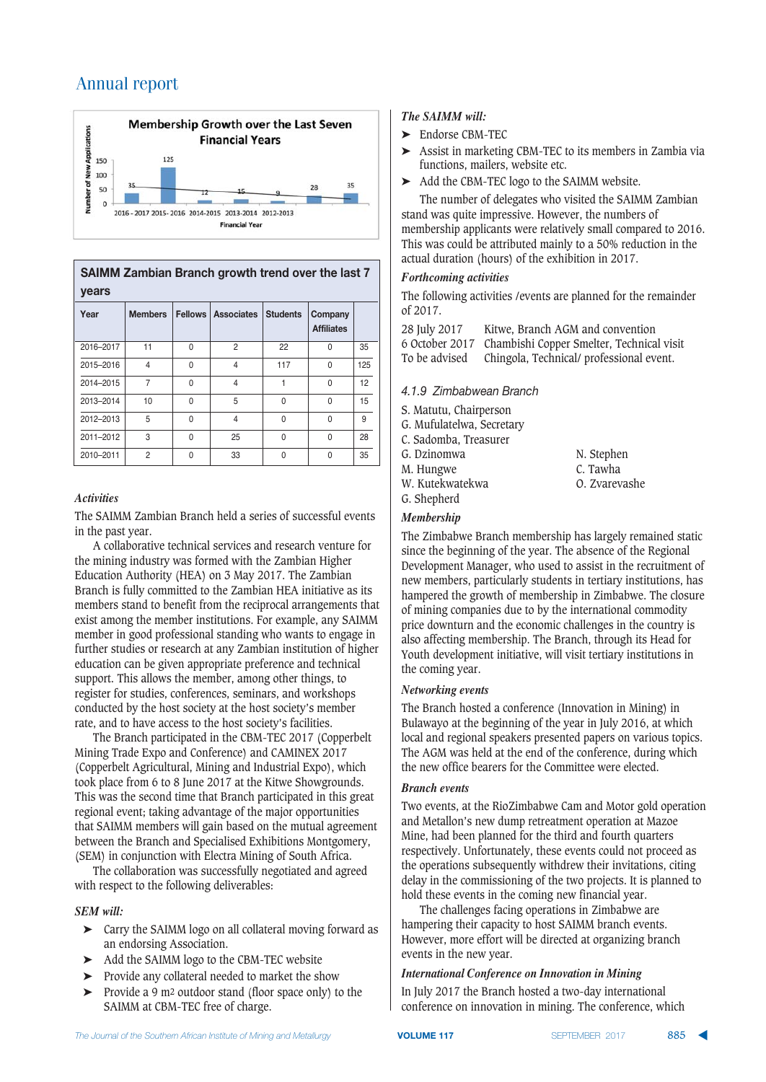

**SAIMM Zambian Branch growth trend over the last 7**  $years$ 

| Year      | <b>Members</b> |              | <b>Fellows Associates</b> | <b>Students</b> | Company<br><b>Affiliates</b> |     |
|-----------|----------------|--------------|---------------------------|-----------------|------------------------------|-----|
| 2016-2017 | 11             | $\Omega$     | $\overline{2}$            | 22              | 0                            | 35  |
| 2015-2016 | $\overline{4}$ | $\Omega$     | $\overline{4}$            | 117             | $\Omega$                     | 125 |
| 2014-2015 | 7              | $\Omega$     | $\overline{4}$            |                 | $\Omega$                     | 12  |
| 2013-2014 | 10             | $\Omega$     | 5                         | $\Omega$        | 0                            | 15  |
| 2012-2013 | 5              | $\Omega$     | $\overline{4}$            | $\Omega$        | $\Omega$                     | 9   |
| 2011-2012 | 3              | $\Omega$     | 25                        | 0               | 0                            | 28  |
| 2010-2011 | $\overline{2}$ | <sup>0</sup> | 33                        | U               | 0                            | 35  |

#### *Activities*

The SAIMM Zambian Branch held a series of successful events in the past year.

A collaborative technical services and research venture for the mining industry was formed with the Zambian Higher Education Authority (HEA) on 3 May 2017. The Zambian Branch is fully committed to the Zambian HEA initiative as its members stand to benefit from the reciprocal arrangements that exist among the member institutions. For example, any SAIMM member in good professional standing who wants to engage in further studies or research at any Zambian institution of higher education can be given appropriate preference and technical support. This allows the member, among other things, to register for studies, conferences, seminars, and workshops conducted by the host society at the host society's member rate, and to have access to the host society's facilities.

The Branch participated in the CBM-TEC 2017 (Copperbelt Mining Trade Expo and Conference) and CAMINEX 2017 (Copperbelt Agricultural, Mining and Industrial Expo), which took place from 6 to 8 June 2017 at the Kitwe Showgrounds. This was the second time that Branch participated in this great regional event; taking advantage of the major opportunities that SAIMM members will gain based on the mutual agreement between the Branch and Specialised Exhibitions Montgomery, (SEM) in conjunction with Electra Mining of South Africa.

The collaboration was successfully negotiated and agreed with respect to the following deliverables:

#### *SEM will:*

- ➤ Carry the SAIMM logo on all collateral moving forward as an endorsing Association.
- ➤ Add the SAIMM logo to the CBM-TEC website
- ➤ Provide any collateral needed to market the show
- ➤ Provide a 9 m2 outdoor stand (floor space only) to the SAIMM at CBM-TEC free of charge.

#### *The SAIMM will:*

- ➤ Endorse CBM-TEC
- ➤ Assist in marketing CBM-TEC to its members in Zambia via functions, mailers, website etc.
- ➤ Add the CBM-TEC logo to the SAIMM website.

The number of delegates who visited the SAIMM Zambian stand was quite impressive. However, the numbers of membership applicants were relatively small compared to 2016. This was could be attributed mainly to a 50% reduction in the actual duration (hours) of the exhibition in 2017.

#### *Forthcoming activities*

The following activities /events are planned for the remainder of 2017.

| 28 July 2017  | Kitwe. Branch AGM and convention                         |
|---------------|----------------------------------------------------------|
|               | 6 October 2017 Chambishi Copper Smelter, Technical visit |
| To be advised | Chingola, Technical/professional event.                  |

#### **4.1.9 Zimbabwean Branch**

S. Matutu, Chairperson

- G. Mufulatelwa, Secretary
- C. Sadomba, Treasurer
- 
- G. Dzinomwa N. Stephen
- M. Hungwe C. Tawha W. Kutekwatekwa G. Shepherd

#### *Membership*

The Zimbabwe Branch membership has largely remained static since the beginning of the year. The absence of the Regional Development Manager, who used to assist in the recruitment of new members, particularly students in tertiary institutions, has hampered the growth of membership in Zimbabwe. The closure of mining companies due to by the international commodity price downturn and the economic challenges in the country is also affecting membership. The Branch, through its Head for Youth development initiative, will visit tertiary institutions in the coming year.

#### *Networking events*

The Branch hosted a conference (Innovation in Mining) in Bulawayo at the beginning of the year in July 2016, at which local and regional speakers presented papers on various topics. The AGM was held at the end of the conference, during which the new office bearers for the Committee were elected.

#### *Branch events*

Two events, at the RioZimbabwe Cam and Motor gold operation and Metallon's new dump retreatment operation at Mazoe Mine, had been planned for the third and fourth quarters respectively. Unfortunately, these events could not proceed as the operations subsequently withdrew their invitations, citing delay in the commissioning of the two projects. It is planned to hold these events in the coming new financial year.

The challenges facing operations in Zimbabwe are hampering their capacity to host SAIMM branch events. However, more effort will be directed at organizing branch events in the new year.

#### *International Conference on Innovation in Mining*

In July 2017 the Branch hosted a two-day international conference on innovation in mining. The conference, which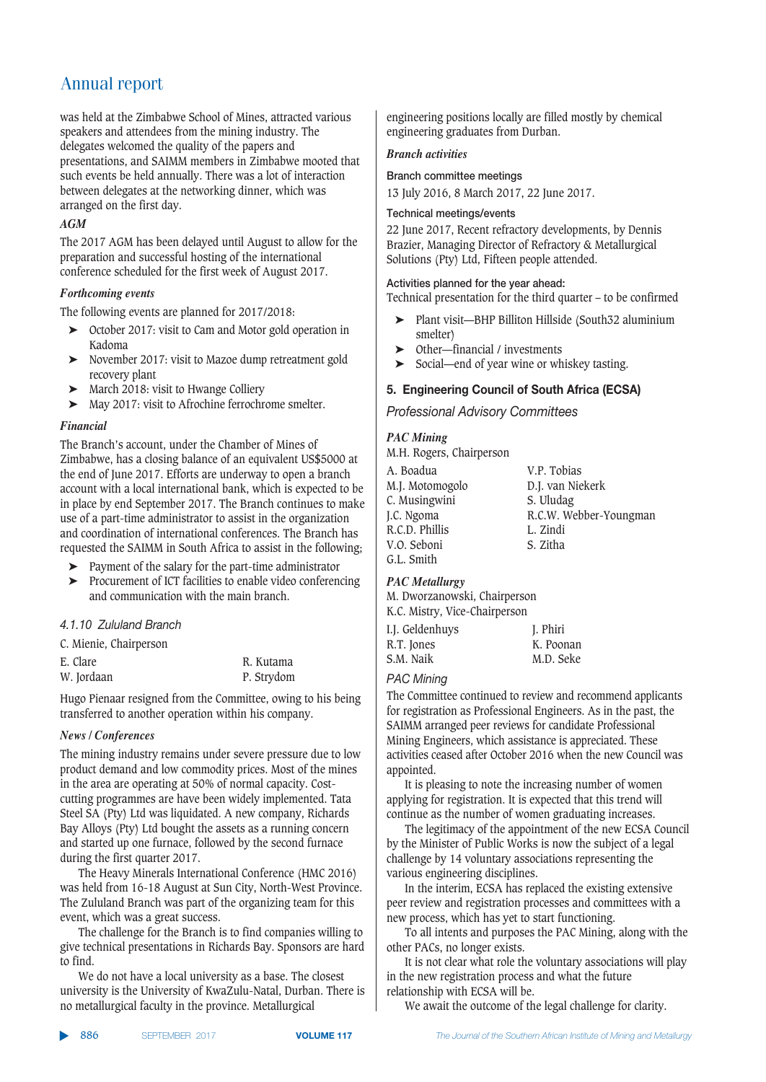was held at the Zimbabwe School of Mines, attracted various speakers and attendees from the mining industry. The delegates welcomed the quality of the papers and presentations, and SAIMM members in Zimbabwe mooted that such events be held annually. There was a lot of interaction between delegates at the networking dinner, which was arranged on the first day.

#### *AGM*

The 2017 AGM has been delayed until August to allow for the preparation and successful hosting of the international conference scheduled for the first week of August 2017.

#### *Forthcoming events*

The following events are planned for 2017/2018:

- ➤ October 2017: visit to Cam and Motor gold operation in Kadoma
- ➤ November 2017: visit to Mazoe dump retreatment gold recovery plant
- ➤ March 2018: visit to Hwange Colliery
- ➤ May 2017: visit to Afrochine ferrochrome smelter.

#### *Financial*

The Branch's account, under the Chamber of Mines of Zimbabwe, has a closing balance of an equivalent US\$5000 at the end of June 2017. Efforts are underway to open a branch account with a local international bank, which is expected to be in place by end September 2017. The Branch continues to make use of a part-time administrator to assist in the organization and coordination of international conferences. The Branch has requested the SAIMM in South Africa to assist in the following;

- ➤ Payment of the salary for the part-time administrator
- ➤ Procurement of ICT facilities to enable video conferencing and communication with the main branch.

#### 4.1.10 Zululand Branch

C. Mienie, Chairperson

| E. Clare   | R. Kutama  |
|------------|------------|
| W. Jordaan | P. Strydom |

Hugo Pienaar resigned from the Committee, owing to his being transferred to another operation within his company.

#### *News / Conferences*

The mining industry remains under severe pressure due to low product demand and low commodity prices. Most of the mines in the area are operating at 50% of normal capacity. Costcutting programmes are have been widely implemented. Tata Steel SA (Pty) Ltd was liquidated. A new company, Richards Bay Alloys (Pty) Ltd bought the assets as a running concern and started up one furnace, followed by the second furnace during the first quarter 2017.

The Heavy Minerals International Conference (HMC 2016) was held from 16-18 August at Sun City, North-West Province. The Zululand Branch was part of the organizing team for this event, which was a great success.

The challenge for the Branch is to find companies willing to give technical presentations in Richards Bay. Sponsors are hard to find.

We do not have a local university as a base. The closest university is the University of KwaZulu-Natal, Durban. There is no metallurgical faculty in the province. Metallurgical

engineering positions locally are filled mostly by chemical engineering graduates from Durban.

#### *Branch activities*

#### Branch committee meetings

13 July 2016, 8 March 2017, 22 June 2017.

#### **Technical meetings/events**

22 June 2017, Recent refractory developments, by Dennis Brazier, Managing Director of Refractory & Metallurgical Solutions (Pty) Ltd, Fifteen people attended.

#### Activities planned for the year ahead:

Technical presentation for the third quarter – to be confirmed

- ➤ Plant visit—BHP Billiton Hillside (South32 aluminium smelter)
- ➤ Other—financial / investments
- ➤ Social—end of year wine or whiskey tasting.

#### **5. Engineering Council of South Africa (ECSA)**

**Professional Advisory Committees** 

#### *PAC Mining*

M.H. Rogers, Chairperson

| A. Boadua       | V.P. Tobias            |
|-----------------|------------------------|
| M.J. Motomogolo | D.J. van Niekerk       |
| C. Musingwini   | S. Uludag              |
| J.C. Ngoma      | R.C.W. Webber-Youngman |
| R.C.D. Phillis  | L. Zindi               |
| V.O. Seboni     | S. Zitha               |
| G.L. Smith      |                        |

#### *PAC Metallurgy*

M. Dworzanowski, Chairperson K.C. Mistry, Vice-Chairperson

| I.J. Geldenhuys | J. Phiri  |
|-----------------|-----------|
| R.T. Jones      | K. Poonan |
| S.M. Naik       | M.D. Seke |

#### **PAC Mining**

The Committee continued to review and recommend applicants for registration as Professional Engineers. As in the past, the SAIMM arranged peer reviews for candidate Professional Mining Engineers, which assistance is appreciated. These activities ceased after October 2016 when the new Council was appointed.

It is pleasing to note the increasing number of women applying for registration. It is expected that this trend will continue as the number of women graduating increases.

The legitimacy of the appointment of the new ECSA Council by the Minister of Public Works is now the subject of a legal challenge by 14 voluntary associations representing the various engineering disciplines.

In the interim, ECSA has replaced the existing extensive peer review and registration processes and committees with a new process, which has yet to start functioning.

To all intents and purposes the PAC Mining, along with the other PACs, no longer exists.

It is not clear what role the voluntary associations will play in the new registration process and what the future relationship with ECSA will be.

We await the outcome of the legal challenge for clarity.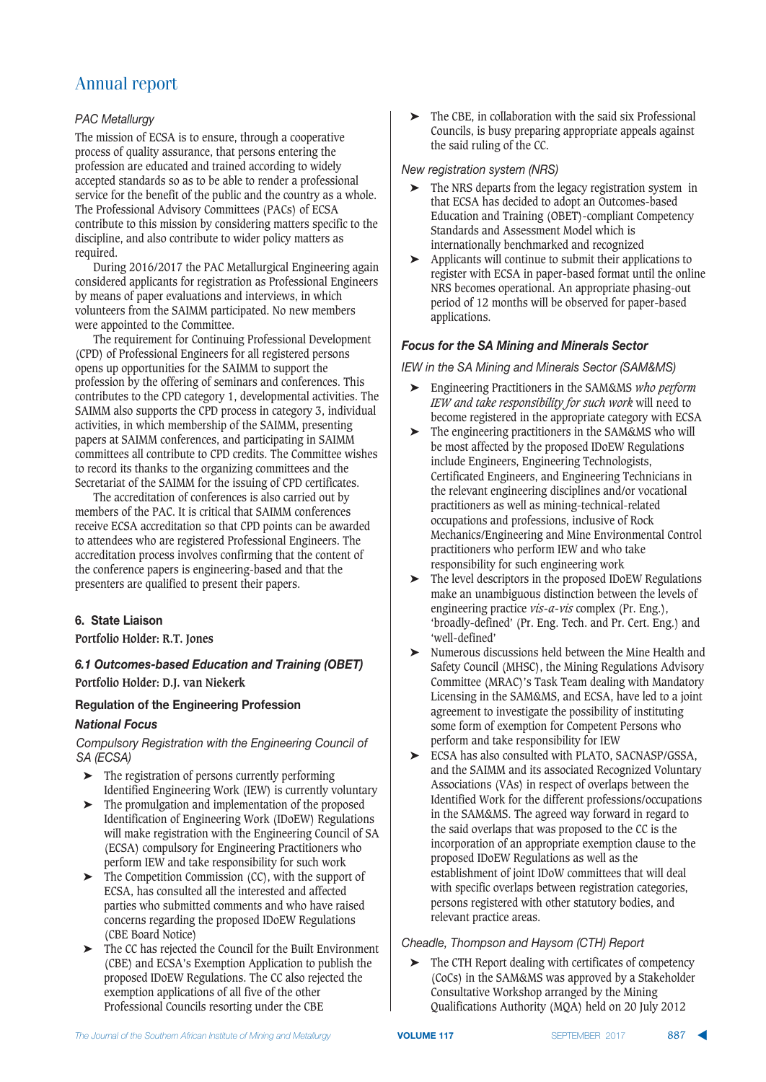#### **PAC Metallurgy**

The mission of ECSA is to ensure, through a cooperative process of quality assurance, that persons entering the profession are educated and trained according to widely accepted standards so as to be able to render a professional service for the benefit of the public and the country as a whole. The Professional Advisory Committees (PACs) of ECSA contribute to this mission by considering matters specific to the discipline, and also contribute to wider policy matters as required.

During 2016/2017 the PAC Metallurgical Engineering again considered applicants for registration as Professional Engineers by means of paper evaluations and interviews, in which volunteers from the SAIMM participated. No new members were appointed to the Committee.

The requirement for Continuing Professional Development (CPD) of Professional Engineers for all registered persons opens up opportunities for the SAIMM to support the profession by the offering of seminars and conferences. This contributes to the CPD category 1, developmental activities. The SAIMM also supports the CPD process in category 3, individual activities, in which membership of the SAIMM, presenting papers at SAIMM conferences, and participating in SAIMM committees all contribute to CPD credits. The Committee wishes to record its thanks to the organizing committees and the Secretariat of the SAIMM for the issuing of CPD certificates.

The accreditation of conferences is also carried out by members of the PAC. It is critical that SAIMM conferences receive ECSA accreditation so that CPD points can be awarded to attendees who are registered Professional Engineers. The accreditation process involves confirming that the content of the conference papers is engineering-based and that the presenters are qualified to present their papers.

#### **6. State Liaison**

**Portfolio Holder: R.T. Jones**

#### **6.1 Outcomes-based Education and Training (OBET) Portfolio Holder: D.J. van Niekerk**

#### **Regulation of the Engineering Profession**

#### *Focus*

Compulsory Registration with the Engineering Council of SA *(ECSA)* 

- ➤ The registration of persons currently performing Identified Engineering Work (IEW) is currently voluntary
- ➤ The promulgation and implementation of the proposed Identification of Engineering Work (IDoEW) Regulations will make registration with the Engineering Council of SA (ECSA) compulsory for Engineering Practitioners who perform IEW and take responsibility for such work
- ➤ The Competition Commission (CC), with the support of ECSA, has consulted all the interested and affected parties who submitted comments and who have raised concerns regarding the proposed IDoEW Regulations (CBE Board Notice)
- ➤ The CC has rejected the Council for the Built Environment (CBE) and ECSA's Exemption Application to publish the proposed IDoEW Regulations. The CC also rejected the exemption applications of all five of the other Professional Councils resorting under the CBE

➤ The CBE, in collaboration with the said six Professional Councils, is busy preparing appropriate appeals against the said ruling of the CC.

#### *New registration system (NRS)*

- ➤ The NRS departs from the legacy registration system in that ECSA has decided to adopt an Outcomes-based Education and Training (OBET)-compliant Competency Standards and Assessment Model which is internationally benchmarked and recognized
- ➤ Applicants will continue to submit their applications to register with ECSA in paper-based format until the online NRS becomes operational. An appropriate phasing-out period of 12 months will be observed for paper-based applications.

#### *Focus for the SA Mining and Minerals Sector*

#### *IEW in the SA Mining and Minerals Sector (SAM&MS)*

- ➤ Engineering Practitioners in the SAM&MS *who perform IEW and take responsibility for such work* will need to become registered in the appropriate category with ECSA
- ➤ The engineering practitioners in the SAM&MS who will be most affected by the proposed IDoEW Regulations include Engineers, Engineering Technologists, Certificated Engineers, and Engineering Technicians in the relevant engineering disciplines and/or vocational practitioners as well as mining-technical-related occupations and professions, inclusive of Rock Mechanics/Engineering and Mine Environmental Control practitioners who perform IEW and who take responsibility for such engineering work
- ➤ The level descriptors in the proposed IDoEW Regulations make an unambiguous distinction between the levels of engineering practice *vis-a-vis* complex (Pr. Eng.), 'broadly-defined' (Pr. Eng. Tech. and Pr. Cert. Eng.) and 'well-defined'
- ➤ Numerous discussions held between the Mine Health and Safety Council (MHSC), the Mining Regulations Advisory Committee (MRAC)'s Task Team dealing with Mandatory Licensing in the SAM&MS, and ECSA, have led to a joint agreement to investigate the possibility of instituting some form of exemption for Competent Persons who perform and take responsibility for IEW
- ➤ ECSA has also consulted with PLATO, SACNASP/GSSA, and the SAIMM and its associated Recognized Voluntary Associations (VAs) in respect of overlaps between the Identified Work for the different professions/occupations in the SAM&MS. The agreed way forward in regard to the said overlaps that was proposed to the CC is the incorporation of an appropriate exemption clause to the proposed IDoEW Regulations as well as the establishment of joint IDoW committees that will deal with specific overlaps between registration categories, persons registered with other statutory bodies, and relevant practice areas.

#### **Cheadle, Thompson and Haysom (CTH) Report**

The CTH Report dealing with certificates of competency (CoCs) in the SAM&MS was approved by a Stakeholder Consultative Workshop arranged by the Mining Qualifications Authority (MQA) held on 20 July 2012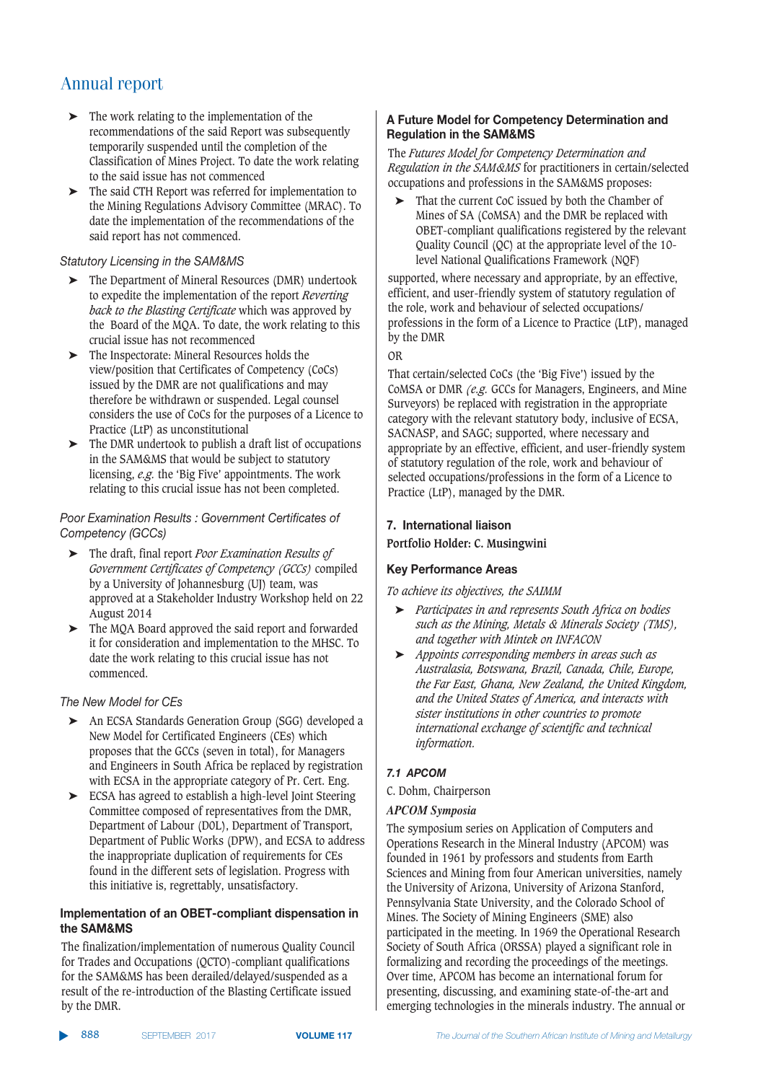- ➤ The work relating to the implementation of the recommendations of the said Report was subsequently temporarily suspended until the completion of the Classification of Mines Project. To date the work relating to the said issue has not commenced
- ➤ The said CTH Report was referred for implementation to the Mining Regulations Advisory Committee (MRAC). To date the implementation of the recommendations of the said report has not commenced.

#### *Statutory Licensing in the SAM&MS*

- ➤ The Department of Mineral Resources (DMR) undertook to expedite the implementation of the report *Reverting back to the Blasting Certificate* which was approved by the Board of the MQA. To date, the work relating to this crucial issue has not recommenced
- ➤ The Inspectorate: Mineral Resources holds the view/position that Certificates of Competency (CoCs) issued by the DMR are not qualifications and may therefore be withdrawn or suspended. Legal counsel considers the use of CoCs for the purposes of a Licence to Practice (LtP) as unconstitutional
- ➤ The DMR undertook to publish a draft list of occupations in the SAM&MS that would be subject to statutory licensing, *e.g.* the 'Big Five' appointments. The work relating to this crucial issue has not been completed.

#### *\$==AC @:>?@<>=?C%B;06<;C-C= BA?:B?<C5BA<>(>2@<B;C=(* Competency (GCCs)

- ➤ The draft, final report *Poor Examination Results of Government Certificates of Competency (GCCs)* compiled by a University of Johannesburg (UJ) team, was approved at a Stakeholder Industry Workshop held on 22 August 2014
- ➤ The MQA Board approved the said report and forwarded it for consideration and implementation to the MHSC. To date the work relating to this crucial issue has not commenced.

#### *The New Model for CEs*

- ➤ An ECSA Standards Generation Group (SGG) developed a New Model for Certificated Engineers (CEs) which proposes that the GCCs (seven in total), for Managers and Engineers in South Africa be replaced by registration with ECSA in the appropriate category of Pr. Cert. Eng.
- ➤ ECSA has agreed to establish a high-level Joint Steering Committee composed of representatives from the DMR, Department of Labour (D0L), Department of Transport, Department of Public Works (DPW), and ECSA to address the inappropriate duplication of requirements for CEs found in the different sets of legislation. Progress with this initiative is, regrettably, unsatisfactory.

#### Implementation of an OBET-compliant dispensation in **the SAM&MS**

The finalization/implementation of numerous Quality Council for Trades and Occupations (QCTO)-compliant qualifications for the SAM&MS has been derailed/delayed/suspended as a result of the re-introduction of the Blasting Certificate issued by the DMR.

#### **A Future Model for Competency Determination and Regulation in the SAM&MS**

The *Futures Model for Competency Determination and Regulation in the SAM&MS* for practitioners in certain/selected occupations and professions in the SAM&MS proposes:

That the current CoC issued by both the Chamber of Mines of SA (CoMSA) and the DMR be replaced with OBET-compliant qualifications registered by the relevant Quality Council (QC) at the appropriate level of the 10 level National Qualifications Framework (NQF)

supported, where necessary and appropriate, by an effective, efficient, and user-friendly system of statutory regulation of the role, work and behaviour of selected occupations/ professions in the form of a Licence to Practice (LtP), managed by the DMR

#### OR

That certain/selected CoCs (the 'Big Five') issued by the CoMSA or DMR *(e.g.* GCCs for Managers, Engineers, and Mine Surveyors) be replaced with registration in the appropriate category with the relevant statutory body, inclusive of ECSA, SACNASP, and SAGC; supported, where necessary and appropriate by an effective, efficient, and user-friendly system of statutory regulation of the role, work and behaviour of selected occupations/professions in the form of a Licence to Practice (LtP), managed by the DMR.

#### **7.** International liaison

**Portfolio Holder: C. Musingwini**

#### **Key Performance Areas**

*To achieve its objectives, the SAIMM*

- ➤ *Participates in and represents South Africa on bodies such as the Mining, Metals & Minerals Society (TMS), and together with Mintek on INFACON*
- ➤ *Appoints corresponding members in areas such as Australasia, Botswana, Brazil, Canada, Chile, Europe, the Far East, Ghana, New Zealand, the United Kingdom, and the United States of America, and interacts with sister institutions in other countries to promote international exchange of scientific and technical information.*

#### 7.1 APCOM

C. Dohm, Chairperson

#### *APCOM Symposia*

The symposium series on Application of Computers and Operations Research in the Mineral Industry (APCOM) was founded in 1961 by professors and students from Earth Sciences and Mining from four American universities, namely the University of Arizona, University of Arizona Stanford, Pennsylvania State University, and the Colorado School of Mines. The Society of Mining Engineers (SME) also participated in the meeting. In 1969 the Operational Research Society of South Africa (ORSSA) played a significant role in formalizing and recording the proceedings of the meetings. Over time, APCOM has become an international forum for presenting, discussing, and examining state-of-the-art and emerging technologies in the minerals industry. The annual or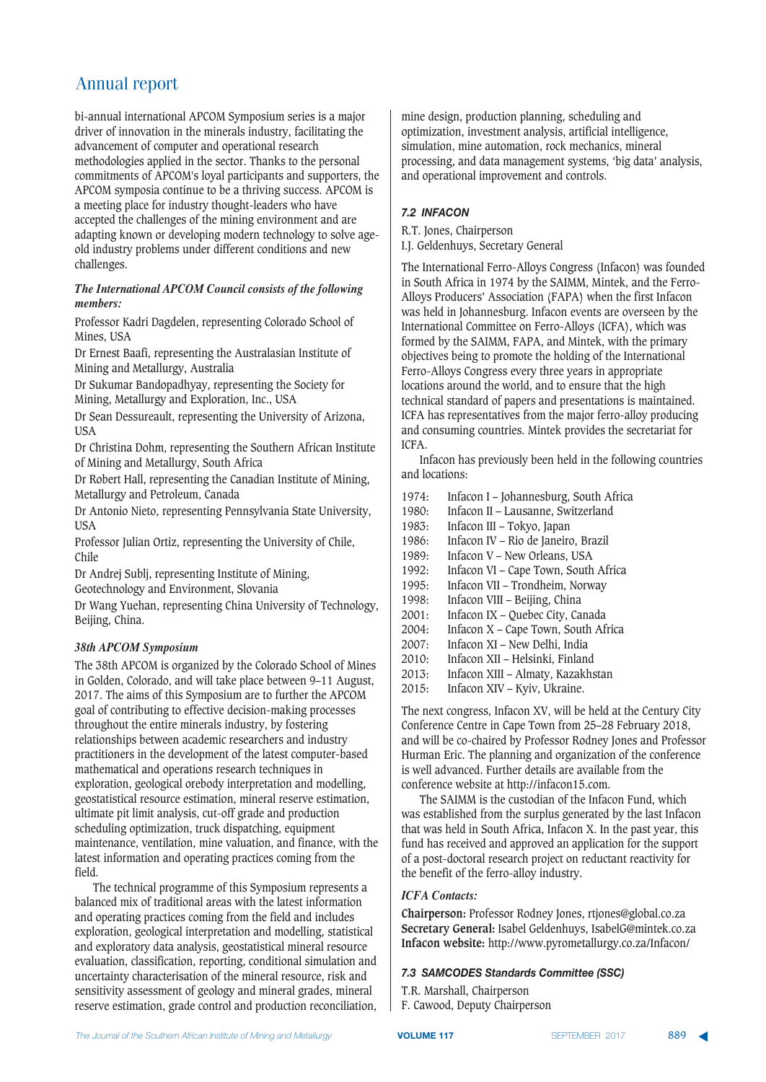bi-annual international APCOM Symposium series is a major driver of innovation in the minerals industry, facilitating the advancement of computer and operational research methodologies applied in the sector. Thanks to the personal commitments of APCOM's loyal participants and supporters, the APCOM symposia continue to be a thriving success. APCOM is a meeting place for industry thought-leaders who have accepted the challenges of the mining environment and are adapting known or developing modern technology to solve ageold industry problems under different conditions and new challenges.

#### *The International APCOM Council consists of the following members:*

Professor Kadri Dagdelen, representing Colorado School of Mines, USA

Dr Ernest Baafi, representing the Australasian Institute of Mining and Metallurgy, Australia

Dr Sukumar Bandopadhyay, representing the Society for Mining, Metallurgy and Exploration, Inc., USA

Dr Sean Dessureault, representing the University of Arizona, USA

Dr Christina Dohm, representing the Southern African Institute of Mining and Metallurgy, South Africa

Dr Robert Hall, representing the Canadian Institute of Mining, Metallurgy and Petroleum, Canada

Dr Antonio Nieto, representing Pennsylvania State University, USA

Professor Julian Ortiz, representing the University of Chile, Chile

Dr Andrej Sublj, representing Institute of Mining, Geotechnology and Environment, Slovania

Dr Wang Yuehan, representing China University of Technology, Beijing, China.

#### *38th APCOM Symposium*

The 38th APCOM is organized by the Colorado School of Mines in Golden, Colorado, and will take place between 9–11 August, 2017. The aims of this Symposium are to further the APCOM goal of contributing to effective decision-making processes throughout the entire minerals industry, by fostering relationships between academic researchers and industry practitioners in the development of the latest computer-based mathematical and operations research techniques in exploration, geological orebody interpretation and modelling, geostatistical resource estimation, mineral reserve estimation, ultimate pit limit analysis, cut-off grade and production scheduling optimization, truck dispatching, equipment maintenance, ventilation, mine valuation, and finance, with the latest information and operating practices coming from the field.

The technical programme of this Symposium represents a balanced mix of traditional areas with the latest information and operating practices coming from the field and includes exploration, geological interpretation and modelling, statistical and exploratory data analysis, geostatistical mineral resource evaluation, classification, reporting, conditional simulation and uncertainty characterisation of the mineral resource, risk and sensitivity assessment of geology and mineral grades, mineral reserve estimation, grade control and production reconciliation,

mine design, production planning, scheduling and optimization, investment analysis, artificial intelligence, simulation, mine automation, rock mechanics, mineral processing, and data management systems, 'big data' analysis, and operational improvement and controls.

#### 7.2 **INFACON**

R.T. Jones, Chairperson I.J. Geldenhuys, Secretary General

The International Ferro-Alloys Congress (Infacon) was founded in South Africa in 1974 by the SAIMM, Mintek, and the Ferro-Alloys Producers' Association (FAPA) when the first Infacon was held in Johannesburg. Infacon events are overseen by the International Committee on Ferro-Alloys (ICFA), which was formed by the SAIMM, FAPA, and Mintek, with the primary objectives being to promote the holding of the International Ferro-Alloys Congress every three years in appropriate locations around the world, and to ensure that the high technical standard of papers and presentations is maintained. ICFA has representatives from the major ferro-alloy producing and consuming countries. Mintek provides the secretariat for ICFA.

Infacon has previously been held in the following countries and locations:

- 1974: Infacon I Johannesburg, South Africa<br>1980: Infacon II Lausanne. Switzerland
- 1980: Infacon II Lausanne, Switzerland<br>1983: Infacon III Tokyo, Japan
- Infacon III Tokyo, Japan
- 1986: Infacon IV Rio de Janeiro, Brazil
- 1989: Infacon V New Orleans, USA<br>1992: Infacon VI Cape Town, South
- 1992: Infacon VI Cape Town, South Africa<br>1995: Infacon VII Trondheim. Norway
- 1995: Infacon VII Trondheim, Norway
- 1998: Infacon VIII Beijing, China<br>2001: Infacon IX Quebec City, Ca
- 2001: Infacon IX Quebec City, Canada<br>2004: Infacon X Cape Town, South Afr
- 2004: Infacon X Cape Town, South Africa<br>2007: Infacon XI New Delhi, India
- 2007: Infacon XI New Delhi, India<br>2010: Infacon XII Helsinki, Finland
- Infacon XII Helsinki, Finland
- 2013: Infacon XIII Almaty, Kazakhstan
- 2015: Infacon XIV Kyiv, Ukraine.

The next congress, Infacon XV, will be held at the Century City Conference Centre in Cape Town from 25–28 February 2018, and will be co-chaired by Professor Rodney Jones and Professor Hurman Eric. The planning and organization of the conference is well advanced. Further details are available from the conference website at http://infacon15.com.

The SAIMM is the custodian of the Infacon Fund, which was established from the surplus generated by the last Infacon that was held in South Africa, Infacon X. In the past year, this fund has received and approved an application for the support of a post-doctoral research project on reductant reactivity for the benefit of the ferro-alloy industry.

#### *ICFA Contacts:*

**Chairperson:** Professor Rodney Jones, rtjones@global.co.za **Secretary General:** Isabel Geldenhuys, IsabelG@mintek.co.za **Infacon website:** http://www.pyrometallurgy.co.za/Infacon/

#### 7.3 SAMCODES Standards Committee (SSC)

T.R. Marshall, Chairperson

F. Cawood, Deputy Chairperson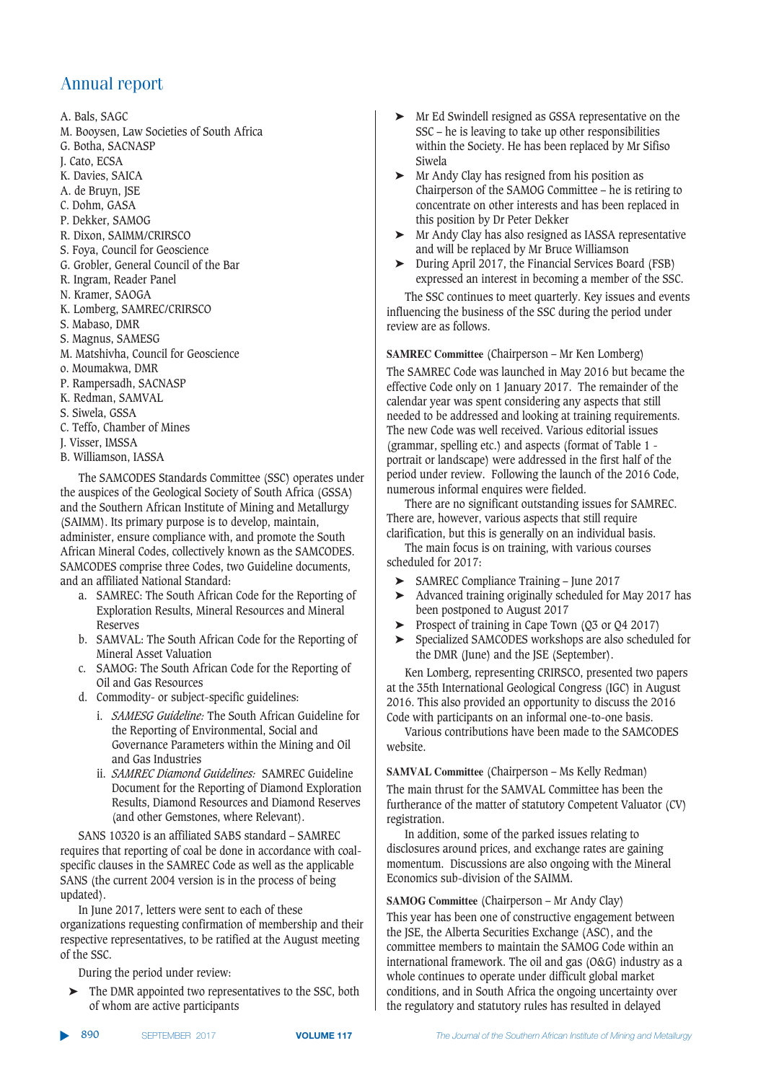A. Bals, SAGC

- M. Booysen, Law Societies of South Africa
- G. Botha, SACNASP
- J. Cato, ECSA
- K. Davies, SAICA
- A. de Bruyn, JSE
- C. Dohm, GASA
- P. Dekker, SAMOG
- R. Dixon, SAIMM/CRIRSCO
- S. Foya, Council for Geoscience
- G. Grobler, General Council of the Bar
- R. Ingram, Reader Panel
- N. Kramer, SAOGA
- K. Lomberg, SAMREC/CRIRSCO
- S. Mabaso, DMR
- S. Magnus, SAMESG
- M. Matshivha, Council for Geoscience
- o. Moumakwa, DMR
- P. Rampersadh, SACNASP
- K. Redman, SAMVAL
- S. Siwela, GSSA
- C. Teffo, Chamber of Mines
- J. Visser, IMSSA
- B. Williamson, IASSA

The SAMCODES Standards Committee (SSC) operates under the auspices of the Geological Society of South Africa (GSSA) and the Southern African Institute of Mining and Metallurgy (SAIMM). Its primary purpose is to develop, maintain, administer, ensure compliance with, and promote the South African Mineral Codes, collectively known as the SAMCODES. SAMCODES comprise three Codes, two Guideline documents, and an affiliated National Standard:

- a. SAMREC: The South African Code for the Reporting of Exploration Results, Mineral Resources and Mineral Reserves
- b. SAMVAL: The South African Code for the Reporting of Mineral Asset Valuation
- c. SAMOG: The South African Code for the Reporting of Oil and Gas Resources
- d. Commodity- or subject-specific guidelines:
	- i. *SAMESG Guideline:* The South African Guideline for the Reporting of Environmental, Social and Governance Parameters within the Mining and Oil and Gas Industries
	- ii. *SAMREC Diamond Guidelines:* SAMREC Guideline Document for the Reporting of Diamond Exploration Results, Diamond Resources and Diamond Reserves (and other Gemstones, where Relevant).

SANS 10320 is an affiliated SABS standard – SAMREC requires that reporting of coal be done in accordance with coalspecific clauses in the SAMREC Code as well as the applicable SANS (the current 2004 version is in the process of being updated).

In June 2017, letters were sent to each of these organizations requesting confirmation of membership and their respective representatives, to be ratified at the August meeting of the SSC.

During the period under review:

➤ The DMR appointed two representatives to the SSC, both of whom are active participants

- ➤ Mr Ed Swindell resigned as GSSA representative on the SSC – he is leaving to take up other responsibilities within the Society. He has been replaced by Mr Sifiso Siwela
- ➤ Mr Andy Clay has resigned from his position as Chairperson of the SAMOG Committee – he is retiring to concentrate on other interests and has been replaced in this position by Dr Peter Dekker
- ➤ Mr Andy Clay has also resigned as IASSA representative and will be replaced by Mr Bruce Williamson
- ➤ During April 2017, the Financial Services Board (FSB) expressed an interest in becoming a member of the SSC.

The SSC continues to meet quarterly. Key issues and events influencing the business of the SSC during the period under review are as follows.

**SAMREC Committee** (Chairperson – Mr Ken Lomberg)

The SAMREC Code was launched in May 2016 but became the effective Code only on 1 January 2017. The remainder of the calendar year was spent considering any aspects that still needed to be addressed and looking at training requirements. The new Code was well received. Various editorial issues (grammar, spelling etc.) and aspects (format of Table 1 portrait or landscape) were addressed in the first half of the period under review. Following the launch of the 2016 Code, numerous informal enquires were fielded.

There are no significant outstanding issues for SAMREC. There are, however, various aspects that still require clarification, but this is generally on an individual basis.

The main focus is on training, with various courses scheduled for 2017:

- ➤ SAMREC Compliance Training June 2017
- ➤ Advanced training originally scheduled for May 2017 has been postponed to August 2017
- ➤ Prospect of training in Cape Town (Q3 or Q4 2017)
- ➤ Specialized SAMCODES workshops are also scheduled for the DMR (June) and the JSE (September).

Ken Lomberg, representing CRIRSCO, presented two papers at the 35th International Geological Congress (IGC) in August 2016. This also provided an opportunity to discuss the 2016 Code with participants on an informal one-to-one basis.

Various contributions have been made to the SAMCODES website.

**SAMVAL Committee** (Chairperson – Ms Kelly Redman) The main thrust for the SAMVAL Committee has been the furtherance of the matter of statutory Competent Valuator (CV) registration.

In addition, some of the parked issues relating to disclosures around prices, and exchange rates are gaining momentum. Discussions are also ongoing with the Mineral Economics sub-division of the SAIMM.

#### **SAMOG Committee** (Chairperson – Mr Andy Clay)

This year has been one of constructive engagement between the JSE, the Alberta Securities Exchange (ASC), and the committee members to maintain the SAMOG Code within an international framework. The oil and gas (O&G) industry as a whole continues to operate under difficult global market conditions, and in South Africa the ongoing uncertainty over the regulatory and statutory rules has resulted in delayed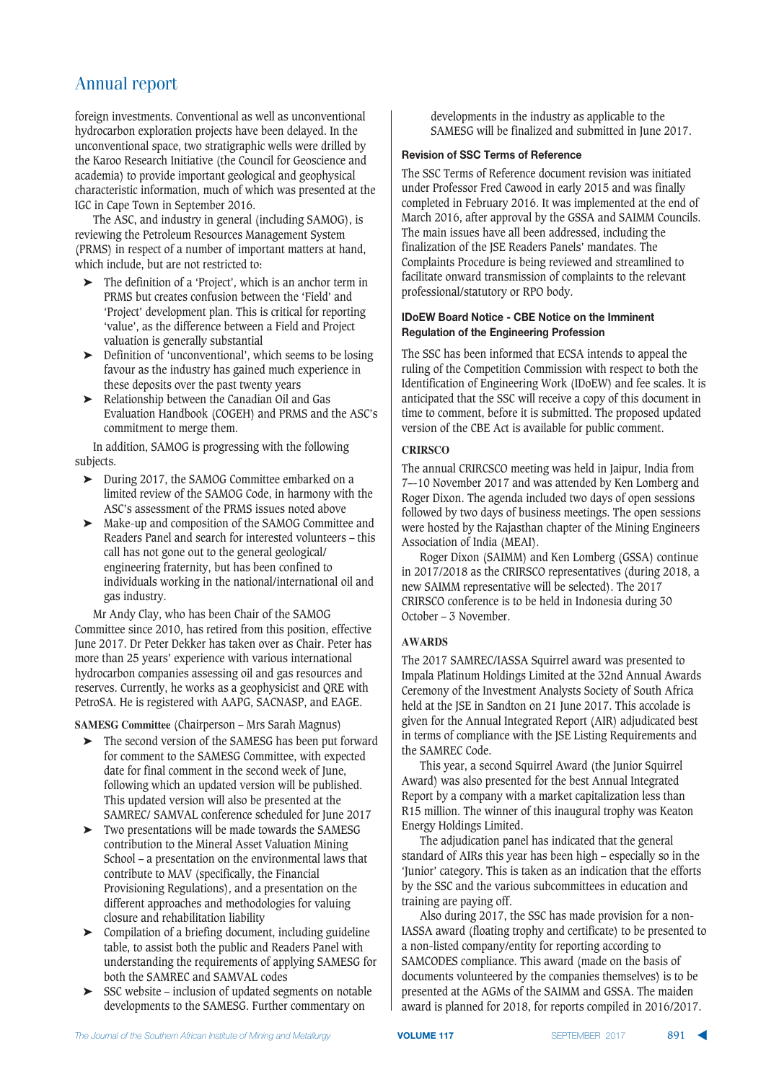foreign investments. Conventional as well as unconventional hydrocarbon exploration projects have been delayed. In the unconventional space, two stratigraphic wells were drilled by the Karoo Research Initiative (the Council for Geoscience and academia) to provide important geological and geophysical characteristic information, much of which was presented at the IGC in Cape Town in September 2016.

The ASC, and industry in general (including SAMOG), is reviewing the Petroleum Resources Management System (PRMS) in respect of a number of important matters at hand, which include, but are not restricted to:

- ➤ The definition of a 'Project', which is an anchor term in PRMS but creates confusion between the 'Field' and 'Project' development plan. This is critical for reporting 'value', as the difference between a Field and Project valuation is generally substantial
- ➤ Definition of 'unconventional', which seems to be losing favour as the industry has gained much experience in these deposits over the past twenty years
- ➤ Relationship between the Canadian Oil and Gas Evaluation Handbook (COGEH) and PRMS and the ASC's commitment to merge them.

In addition, SAMOG is progressing with the following subjects.

- ➤ During 2017, the SAMOG Committee embarked on a limited review of the SAMOG Code, in harmony with the ASC's assessment of the PRMS issues noted above
- ➤ Make-up and composition of the SAMOG Committee and Readers Panel and search for interested volunteers – this call has not gone out to the general geological/ engineering fraternity, but has been confined to individuals working in the national/international oil and gas industry.

Mr Andy Clay, who has been Chair of the SAMOG Committee since 2010, has retired from this position, effective June 2017. Dr Peter Dekker has taken over as Chair. Peter has more than 25 years' experience with various international hydrocarbon companies assessing oil and gas resources and reserves. Currently, he works as a geophysicist and QRE with PetroSA. He is registered with AAPG, SACNASP, and EAGE.

**SAMESG Committee** (Chairperson – Mrs Sarah Magnus)

- ➤ The second version of the SAMESG has been put forward for comment to the SAMESG Committee, with expected date for final comment in the second week of June, following which an updated version will be published. This updated version will also be presented at the SAMREC/ SAMVAL conference scheduled for June 2017
- ➤ Two presentations will be made towards the SAMESG contribution to the Mineral Asset Valuation Mining School – a presentation on the environmental laws that contribute to MAV (specifically, the Financial Provisioning Regulations), and a presentation on the different approaches and methodologies for valuing closure and rehabilitation liability
- ➤ Compilation of a briefing document, including guideline table, to assist both the public and Readers Panel with understanding the requirements of applying SAMESG for both the SAMREC and SAMVAL codes
- ➤ SSC website inclusion of updated segments on notable developments to the SAMESG. Further commentary on

developments in the industry as applicable to the SAMESG will be finalized and submitted in June 2017.

#### **Revision of SSC Terms of Reference**

The SSC Terms of Reference document revision was initiated under Professor Fred Cawood in early 2015 and was finally completed in February 2016. It was implemented at the end of March 2016, after approval by the GSSA and SAIMM Councils. The main issues have all been addressed, including the finalization of the JSE Readers Panels' mandates. The Complaints Procedure is being reviewed and streamlined to facilitate onward transmission of complaints to the relevant professional/statutory or RPO body.

#### **IDOEW BOArd Notice - CBE Notice on the Imminent Regulation of the Engineering Profession**

The SSC has been informed that ECSA intends to appeal the ruling of the Competition Commission with respect to both the Identification of Engineering Work (IDoEW) and fee scales. It is anticipated that the SSC will receive a copy of this document in time to comment, before it is submitted. The proposed updated version of the CBE Act is available for public comment.

#### **CRIRSCO**

The annual CRIRCSCO meeting was held in Jaipur, India from 7–-10 November 2017 and was attended by Ken Lomberg and Roger Dixon. The agenda included two days of open sessions followed by two days of business meetings. The open sessions were hosted by the Rajasthan chapter of the Mining Engineers Association of India (MEAI).

Roger Dixon (SAIMM) and Ken Lomberg (GSSA) continue in 2017/2018 as the CRIRSCO representatives (during 2018, a new SAIMM representative will be selected). The 2017 CRIRSCO conference is to be held in Indonesia during 30 October – 3 November.

#### **AWARDS**

The 2017 SAMREC/IASSA Squirrel award was presented to Impala Platinum Holdings Limited at the 32nd Annual Awards Ceremony of the Investment Analysts Society of South Africa held at the JSE in Sandton on 21 June 2017. This accolade is given for the Annual Integrated Report (AIR) adjudicated best in terms of compliance with the JSE Listing Requirements and the SAMREC Code.

This year, a second Squirrel Award (the Junior Squirrel Award) was also presented for the best Annual Integrated Report by a company with a market capitalization less than R15 million. The winner of this inaugural trophy was Keaton Energy Holdings Limited.

The adjudication panel has indicated that the general standard of AIRs this year has been high – especially so in the 'Junior' category. This is taken as an indication that the efforts by the SSC and the various subcommittees in education and training are paying off.

Also during 2017, the SSC has made provision for a non-IASSA award (floating trophy and certificate) to be presented to a non-listed company/entity for reporting according to SAMCODES compliance. This award (made on the basis of documents volunteered by the companies themselves) is to be presented at the AGMs of the SAIMM and GSSA. The maiden award is planned for 2018, for reports compiled in 2016/2017.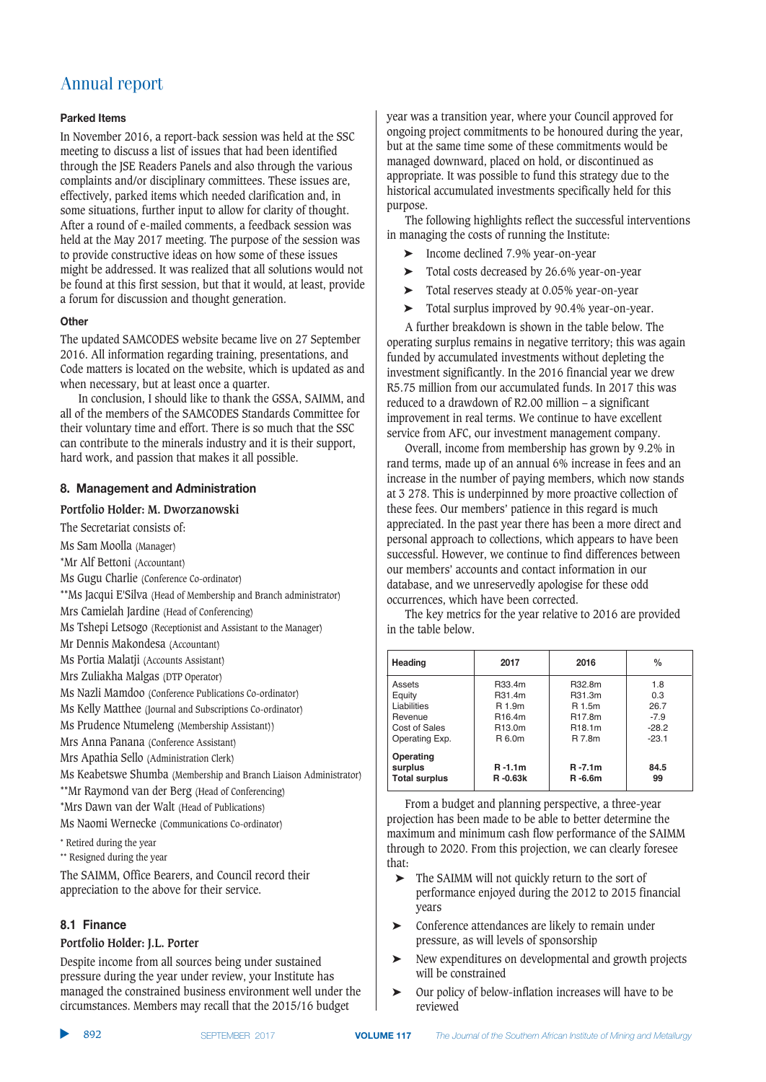#### Parked Items

In November 2016, a report-back session was held at the SSC meeting to discuss a list of issues that had been identified through the JSE Readers Panels and also through the various complaints and/or disciplinary committees. These issues are, effectively, parked items which needed clarification and, in some situations, further input to allow for clarity of thought. After a round of e-mailed comments, a feedback session was held at the May 2017 meeting. The purpose of the session was to provide constructive ideas on how some of these issues might be addressed. It was realized that all solutions would not be found at this first session, but that it would, at least, provide a forum for discussion and thought generation.

#### **5,:6**

The updated SAMCODES website became live on 27 September 2016. All information regarding training, presentations, and Code matters is located on the website, which is updated as and when necessary, but at least once a quarter.

In conclusion, I should like to thank the GSSA, SAIMM, and all of the members of the SAMCODES Standards Committee for their voluntary time and effort. There is so much that the SSC can contribute to the minerals industry and it is their support, hard work, and passion that makes it all possible.

#### 8. Management and Administration

#### **Portfolio Holder: M. Dworzanowski**

The Secretariat consists of:

- Ms Sam Moolla (Manager)
- \*Mr Alf Bettoni (Accountant)
- Ms Gugu Charlie (Conference Co-ordinator)
- \*\*Ms Jacqui E'Silva (Head of Membership and Branch administrator)
- Mrs Camielah Jardine (Head of Conferencing)
- Ms Tshepi Letsogo (Receptionist and Assistant to the Manager)
- Mr Dennis Makondesa (Accountant)
- Ms Portia Malatji (Accounts Assistant)
- Mrs Zuliakha Malgas (DTP Operator)
- Ms Nazli Mamdoo (Conference Publications Co-ordinator)
- Ms Kelly Matthee (Journal and Subscriptions Co-ordinator)
- Ms Prudence Ntumeleng (Membership Assistant))
- Mrs Anna Panana (Conference Assistant)
- Mrs Apathia Sello (Administration Clerk)
- Ms Keabetswe Shumba (Membership and Branch Liaison Administrator)
- \*\*Mr Raymond van der Berg (Head of Conferencing)
- \*Mrs Dawn van der Walt (Head of Publications)
- Ms Naomi Wernecke (Communications Co-ordinator)
- \* Retired during the year
- \*\* Resigned during the year

The SAIMM, Office Bearers, and Council record their appreciation to the above for their service.

#### **8.1 Finance**

#### **Portfolio Holder: J.L. Porter**

Despite income from all sources being under sustained pressure during the year under review, your Institute has managed the constrained business environment well under the circumstances. Members may recall that the 2015/16 budget

year was a transition year, where your Council approved for ongoing project commitments to be honoured during the year, but at the same time some of these commitments would be managed downward, placed on hold, or discontinued as appropriate. It was possible to fund this strategy due to the historical accumulated investments specifically held for this purpose.

The following highlights reflect the successful interventions in managing the costs of running the Institute:

- ➤ Income declined 7.9% year-on-year
- ➤ Total costs decreased by 26.6% year-on-year
- ➤ Total reserves steady at 0.05% year-on-year
- ➤ Total surplus improved by 90.4% year-on-year.

A further breakdown is shown in the table below. The operating surplus remains in negative territory; this was again funded by accumulated investments without depleting the investment significantly. In the 2016 financial year we drew R5.75 million from our accumulated funds. In 2017 this was reduced to a drawdown of R2.00 million – a significant improvement in real terms. We continue to have excellent service from AFC, our investment management company.

Overall, income from membership has grown by 9.2% in rand terms, made up of an annual 6% increase in fees and an increase in the number of paying members, which now stands at 3 278. This is underpinned by more proactive collection of these fees. Our members' patience in this regard is much appreciated. In the past year there has been a more direct and personal approach to collections, which appears to have been successful. However, we continue to find differences between our members' accounts and contact information in our database, and we unreservedly apologise for these odd occurrences, which have been corrected.

The key metrics for the year relative to 2016 are provided in the table below.

| Heading                                      | 2017                  | 2016                 | $\frac{0}{0}$ |
|----------------------------------------------|-----------------------|----------------------|---------------|
| Assets                                       | R33.4m                | R32.8m               | 1.8           |
| Equity                                       | R31.4m                | R31.3m               | 0.3           |
| Liabilities                                  | R 1.9m                | R 1.5m               | 26.7          |
| Revenue                                      | R <sub>16.4</sub> m   | R <sub>17.8</sub> m  | $-7.9$        |
| Cost of Sales                                | R <sub>13.0</sub> m   | R <sub>18.1</sub> m  | $-28.2$       |
| Operating Exp.                               | R 6.0m                | R 7.8m               | $-23.1$       |
| Operating<br>surplus<br><b>Total surplus</b> | $R - 1.1m$<br>R-0.63k | $R - 7.1m$<br>R-6.6m | 84.5<br>99    |

From a budget and planning perspective, a three-year projection has been made to be able to better determine the maximum and minimum cash flow performance of the SAIMM through to 2020. From this projection, we can clearly foresee that:

- ➤ The SAIMM will not quickly return to the sort of performance enjoyed during the 2012 to 2015 financial years
- ➤ Conference attendances are likely to remain under pressure, as will levels of sponsorship
- ➤ New expenditures on developmental and growth projects will be constrained
- Our policy of below-inflation increases will have to be reviewed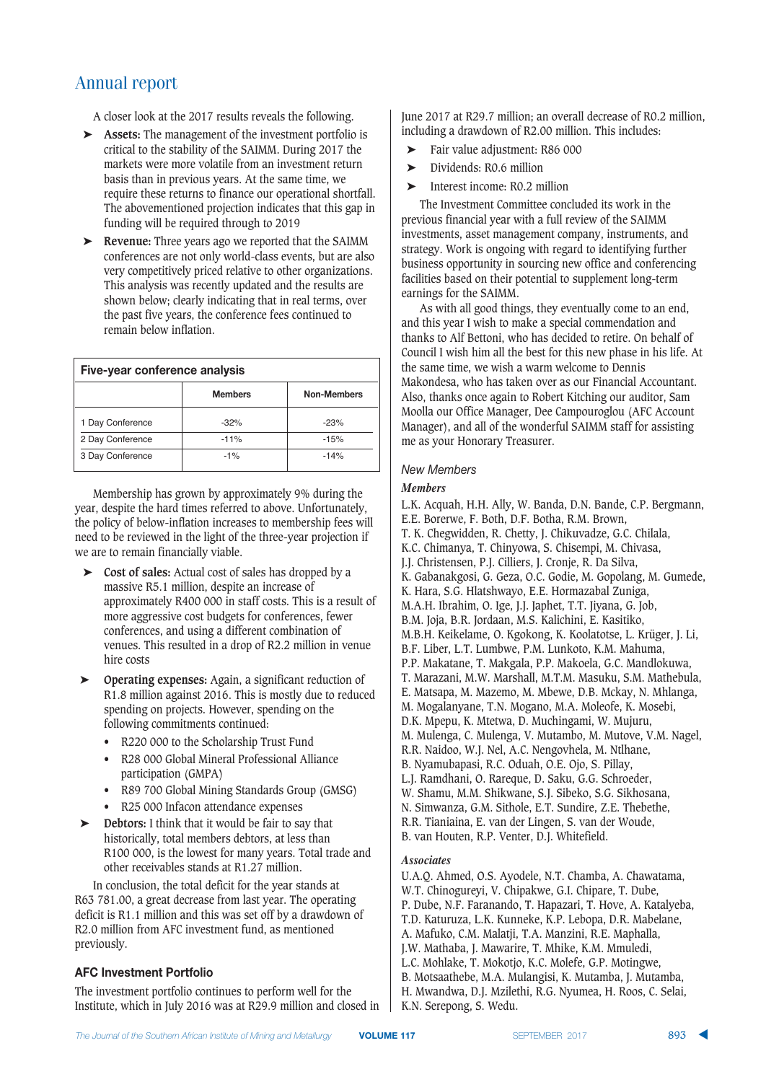A closer look at the 2017 results reveals the following.

- ➤ **Assets:** The management of the investment portfolio is critical to the stability of the SAIMM. During 2017 the markets were more volatile from an investment return basis than in previous years. At the same time, we require these returns to finance our operational shortfall. The abovementioned projection indicates that this gap in funding will be required through to 2019
- ➤ **Revenue:** Three years ago we reported that the SAIMM conferences are not only world-class events, but are also very competitively priced relative to other organizations. This analysis was recently updated and the results are shown below; clearly indicating that in real terms, over the past five years, the conference fees continued to remain below inflation.

| Five-year conference analysis |                |                    |  |  |
|-------------------------------|----------------|--------------------|--|--|
|                               | <b>Members</b> | <b>Non-Members</b> |  |  |
| 1 Day Conference              | $-32%$         | $-23%$             |  |  |
| 2 Day Conference              | $-11%$         | $-15%$             |  |  |
| 3 Day Conference              | $-1%$          | $-14%$             |  |  |

Membership has grown by approximately 9% during the year, despite the hard times referred to above. Unfortunately, the policy of below-inflation increases to membership fees will need to be reviewed in the light of the three-year projection if we are to remain financially viable.

- ➤ **Cost of sales:** Actual cost of sales has dropped by a massive R5.1 million, despite an increase of approximately R400 000 in staff costs. This is a result of more aggressive cost budgets for conferences, fewer conferences, and using a different combination of venues. This resulted in a drop of R2.2 million in venue hire costs
- ➤ **Operating expenses:** Again, a significant reduction of R1.8 million against 2016. This is mostly due to reduced spending on projects. However, spending on the following commitments continued:
	- R220 000 to the Scholarship Trust Fund
	- R28 000 Global Mineral Professional Alliance participation (GMPA)
	- R89 700 Global Mining Standards Group (GMSG)
	- R25 000 Infacon attendance expenses
- ➤ **Debtors:** I think that it would be fair to say that historically, total members debtors, at less than R100 000, is the lowest for many years. Total trade and other receivables stands at R1.27 million.

In conclusion, the total deficit for the year stands at R63 781.00, a great decrease from last year. The operating deficit is R1.1 million and this was set off by a drawdown of R2.0 million from AFC investment fund, as mentioned previously.

#### **AFC Investment Portfolio**

The investment portfolio continues to perform well for the Institute, which in July 2016 was at R29.9 million and closed in June 2017 at R29.7 million; an overall decrease of R0.2 million, including a drawdown of R2.00 million. This includes:

- ➤ Fair value adjustment: R86 000
- ➤ Dividends: R0.6 million
- ➤ Interest income: R0.2 million

The Investment Committee concluded its work in the previous financial year with a full review of the SAIMM investments, asset management company, instruments, and strategy. Work is ongoing with regard to identifying further business opportunity in sourcing new office and conferencing facilities based on their potential to supplement long-term earnings for the SAIMM.

As with all good things, they eventually come to an end, and this year I wish to make a special commendation and thanks to Alf Bettoni, who has decided to retire. On behalf of Council I wish him all the best for this new phase in his life. At the same time, we wish a warm welcome to Dennis Makondesa, who has taken over as our Financial Accountant. Also, thanks once again to Robert Kitching our auditor, Sam Moolla our Office Manager, Dee Campouroglou (AFC Account Manager), and all of the wonderful SAIMM staff for assisting me as your Honorary Treasurer.

#### **New Members**

#### *Members*

L.K. Acquah, H.H. Ally, W. Banda, D.N. Bande, C.P. Bergmann, E.E. Borerwe, F. Both, D.F. Botha, R.M. Brown, T. K. Chegwidden, R. Chetty, J. Chikuvadze, G.C. Chilala, K.C. Chimanya, T. Chinyowa, S. Chisempi, M. Chivasa, J.J. Christensen, P.J. Cilliers, J. Cronje, R. Da Silva, K. Gabanakgosi, G. Geza, O.C. Godie, M. Gopolang, M. Gumede, K. Hara, S.G. Hlatshwayo, E.E. Hormazabal Zuniga, M.A.H. Ibrahim, O. Ige, J.J. Japhet, T.T. Jiyana, G. Job, B.M. Joja, B.R. Jordaan, M.S. Kalichini, E. Kasitiko, M.B.H. Keikelame, O. Kgokong, K. Koolatotse, L. Krüger, J. Li, B.F. Liber, L.T. Lumbwe, P.M. Lunkoto, K.M. Mahuma, P.P. Makatane, T. Makgala, P.P. Makoela, G.C. Mandlokuwa, T. Marazani, M.W. Marshall, M.T.M. Masuku, S.M. Mathebula, E. Matsapa, M. Mazemo, M. Mbewe, D.B. Mckay, N. Mhlanga, M. Mogalanyane, T.N. Mogano, M.A. Moleofe, K. Mosebi, D.K. Mpepu, K. Mtetwa, D. Muchingami, W. Mujuru, M. Mulenga, C. Mulenga, V. Mutambo, M. Mutove, V.M. Nagel, R.R. Naidoo, W.J. Nel, A.C. Nengovhela, M. Ntlhane, B. Nyamubapasi, R.C. Oduah, O.E. Ojo, S. Pillay, L.J. Ramdhani, O. Rareque, D. Saku, G.G. Schroeder, W. Shamu, M.M. Shikwane, S.J. Sibeko, S.G. Sikhosana, N. Simwanza, G.M. Sithole, E.T. Sundire, Z.E. Thebethe, R.R. Tianiaina, E. van der Lingen, S. van der Woude, B. van Houten, R.P. Venter, D.J. Whitefield.

#### *Associates*

U.A.Q. Ahmed, O.S. Ayodele, N.T. Chamba, A. Chawatama, W.T. Chinogureyi, V. Chipakwe, G.I. Chipare, T. Dube, P. Dube, N.F. Faranando, T. Hapazari, T. Hove, A. Katalyeba, T.D. Katuruza, L.K. Kunneke, K.P. Lebopa, D.R. Mabelane, A. Mafuko, C.M. Malatji, T.A. Manzini, R.E. Maphalla, J.W. Mathaba, J. Mawarire, T. Mhike, K.M. Mmuledi, L.C. Mohlake, T. Mokotjo, K.C. Molefe, G.P. Motingwe, B. Motsaathebe, M.A. Mulangisi, K. Mutamba, J. Mutamba, H. Mwandwa, D.J. Mzilethi, R.G. Nyumea, H. Roos, C. Selai, K.N. Serepong, S. Wedu.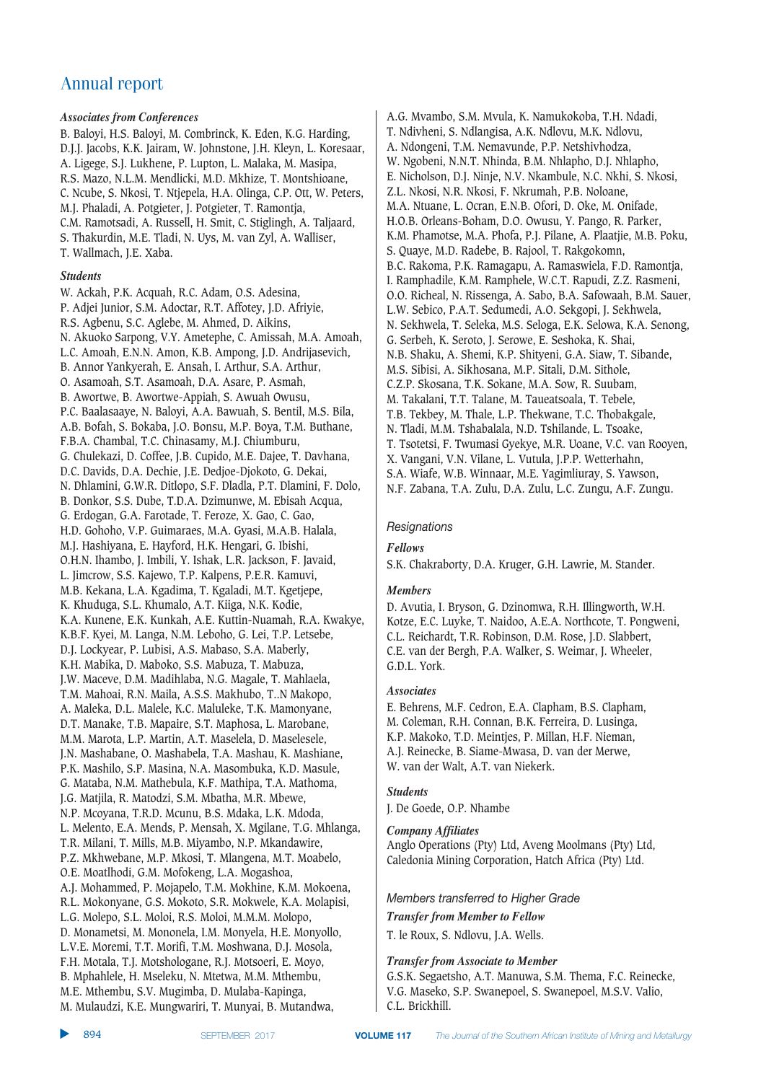#### *Associates from Conferences*

B. Baloyi, H.S. Baloyi, M. Combrinck, K. Eden, K.G. Harding, D.J.J. Jacobs, K.K. Jairam, W. Johnstone, J.H. Kleyn, L. Koresaar, A. Ligege, S.J. Lukhene, P. Lupton, L. Malaka, M. Masipa, R.S. Mazo, N.L.M. Mendlicki, M.D. Mkhize, T. Montshioane, C. Ncube, S. Nkosi, T. Ntjepela, H.A. Olinga, C.P. Ott, W. Peters, M.J. Phaladi, A. Potgieter, J. Potgieter, T. Ramontja, C.M. Ramotsadi, A. Russell, H. Smit, C. Stiglingh, A. Taljaard, S. Thakurdin, M.E. Tladi, N. Uys, M. van Zyl, A. Walliser, T. Wallmach, J.E. Xaba.

#### *Students*

W. Ackah, P.K. Acquah, R.C. Adam, O.S. Adesina, P. Adjei Junior, S.M. Adoctar, R.T. Affotey, J.D. Afriyie, R.S. Agbenu, S.C. Aglebe, M. Ahmed, D. Aikins, N. Akuoko Sarpong, V.Y. Ametephe, C. Amissah, M.A. Amoah, L.C. Amoah, E.N.N. Amon, K.B. Ampong, J.D. Andrijasevich, B. Annor Yankyerah, E. Ansah, I. Arthur, S.A. Arthur, O. Asamoah, S.T. Asamoah, D.A. Asare, P. Asmah, B. Awortwe, B. Awortwe-Appiah, S. Awuah Owusu, P.C. Baalasaaye, N. Baloyi, A.A. Bawuah, S. Bentil, M.S. Bila, A.B. Bofah, S. Bokaba, J.O. Bonsu, M.P. Boya, T.M. Buthane, F.B.A. Chambal, T.C. Chinasamy, M.J. Chiumburu, G. Chulekazi, D. Coffee, J.B. Cupido, M.E. Dajee, T. Davhana, D.C. Davids, D.A. Dechie, J.E. Dedjoe-Djokoto, G. Dekai, N. Dhlamini, G.W.R. Ditlopo, S.F. Dladla, P.T. Dlamini, F. Dolo, B. Donkor, S.S. Dube, T.D.A. Dzimunwe, M. Ebisah Acqua, G. Erdogan, G.A. Farotade, T. Feroze, X. Gao, C. Gao, H.D. Gohoho, V.P. Guimaraes, M.A. Gyasi, M.A.B. Halala, M.J. Hashiyana, E. Hayford, H.K. Hengari, G. Ibishi, O.H.N. Ihambo, J. Imbili, Y. Ishak, L.R. Jackson, F. Javaid, L. Jimcrow, S.S. Kajewo, T.P. Kalpens, P.E.R. Kamuvi, M.B. Kekana, L.A. Kgadima, T. Kgaladi, M.T. Kgetjepe, K. Khuduga, S.L. Khumalo, A.T. Kiiga, N.K. Kodie, K.A. Kunene, E.K. Kunkah, A.E. Kuttin-Nuamah, R.A. Kwakye, K.B.F. Kyei, M. Langa, N.M. Leboho, G. Lei, T.P. Letsebe, D.J. Lockyear, P. Lubisi, A.S. Mabaso, S.A. Maberly, K.H. Mabika, D. Maboko, S.S. Mabuza, T. Mabuza, J.W. Maceve, D.M. Madihlaba, N.G. Magale, T. Mahlaela, T.M. Mahoai, R.N. Maila, A.S.S. Makhubo, T..N Makopo, A. Maleka, D.L. Malele, K.C. Maluleke, T.K. Mamonyane, D.T. Manake, T.B. Mapaire, S.T. Maphosa, L. Marobane, M.M. Marota, L.P. Martin, A.T. Maselela, D. Maselesele, J.N. Mashabane, O. Mashabela, T.A. Mashau, K. Mashiane, P.K. Mashilo, S.P. Masina, N.A. Masombuka, K.D. Masule, G. Mataba, N.M. Mathebula, K.F. Mathipa, T.A. Mathoma, J.G. Matjila, R. Matodzi, S.M. Mbatha, M.R. Mbewe, N.P. Mcoyana, T.R.D. Mcunu, B.S. Mdaka, L.K. Mdoda, L. Melento, E.A. Mends, P. Mensah, X. Mgilane, T.G. Mhlanga, T.R. Milani, T. Mills, M.B. Miyambo, N.P. Mkandawire, P.Z. Mkhwebane, M.P. Mkosi, T. Mlangena, M.T. Moabelo, O.E. Moatlhodi, G.M. Mofokeng, L.A. Mogashoa, A.J. Mohammed, P. Mojapelo, T.M. Mokhine, K.M. Mokoena, R.L. Mokonyane, G.S. Mokoto, S.R. Mokwele, K.A. Molapisi, L.G. Molepo, S.L. Moloi, R.S. Moloi, M.M.M. Molopo, D. Monametsi, M. Mononela, I.M. Monyela, H.E. Monyollo, L.V.E. Moremi, T.T. Morifi, T.M. Moshwana, D.J. Mosola, F.H. Motala, T.J. Motshologane, R.J. Motsoeri, E. Moyo, B. Mphahlele, H. Mseleku, N. Mtetwa, M.M. Mthembu, M.E. Mthembu, S.V. Mugimba, D. Mulaba-Kapinga,

A.G. Mvambo, S.M. Mvula, K. Namukokoba, T.H. Ndadi, T. Ndivheni, S. Ndlangisa, A.K. Ndlovu, M.K. Ndlovu, A. Ndongeni, T.M. Nemavunde, P.P. Netshivhodza, W. Ngobeni, N.N.T. Nhinda, B.M. Nhlapho, D.J. Nhlapho, E. Nicholson, D.J. Ninje, N.V. Nkambule, N.C. Nkhi, S. Nkosi, Z.L. Nkosi, N.R. Nkosi, F. Nkrumah, P.B. Noloane, M.A. Ntuane, L. Ocran, E.N.B. Ofori, D. Oke, M. Onifade, H.O.B. Orleans-Boham, D.O. Owusu, Y. Pango, R. Parker, K.M. Phamotse, M.A. Phofa, P.J. Pilane, A. Plaatjie, M.B. Poku, S. Quaye, M.D. Radebe, B. Rajool, T. Rakgokomn, B.C. Rakoma, P.K. Ramagapu, A. Ramaswiela, F.D. Ramontja, I. Ramphadile, K.M. Ramphele, W.C.T. Rapudi, Z.Z. Rasmeni, O.O. Richeal, N. Rissenga, A. Sabo, B.A. Safowaah, B.M. Sauer, L.W. Sebico, P.A.T. Sedumedi, A.O. Sekgopi, J. Sekhwela, N. Sekhwela, T. Seleka, M.S. Seloga, E.K. Selowa, K.A. Senong, G. Serbeh, K. Seroto, J. Serowe, E. Seshoka, K. Shai, N.B. Shaku, A. Shemi, K.P. Shityeni, G.A. Siaw, T. Sibande, M.S. Sibisi, A. Sikhosana, M.P. Sitali, D.M. Sithole, C.Z.P. Skosana, T.K. Sokane, M.A. Sow, R. Suubam, M. Takalani, T.T. Talane, M. Taueatsoala, T. Tebele, T.B. Tekbey, M. Thale, L.P. Thekwane, T.C. Thobakgale, N. Tladi, M.M. Tshabalala, N.D. Tshilande, L. Tsoake, T. Tsotetsi, F. Twumasi Gyekye, M.R. Uoane, V.C. van Rooyen, X. Vangani, V.N. Vilane, L. Vutula, J.P.P. Wetterhahn, S.A. Wiafe, W.B. Winnaar, M.E. Yagimliuray, S. Yawson, N.F. Zabana, T.A. Zulu, D.A. Zulu, L.C. Zungu, A.F. Zungu.

#### $Resignations$

#### *Fellows*

S.K. Chakraborty, D.A. Kruger, G.H. Lawrie, M. Stander.

#### *Members*

D. Avutia, I. Bryson, G. Dzinomwa, R.H. Illingworth, W.H. Kotze, E.C. Luyke, T. Naidoo, A.E.A. Northcote, T. Pongweni, C.L. Reichardt, T.R. Robinson, D.M. Rose, J.D. Slabbert, C.E. van der Bergh, P.A. Walker, S. Weimar, J. Wheeler, G.D.L. York.

#### *Associates*

E. Behrens, M.F. Cedron, E.A. Clapham, B.S. Clapham, M. Coleman, R.H. Connan, B.K. Ferreira, D. Lusinga, K.P. Makoko, T.D. Meintjes, P. Millan, H.F. Nieman, A.J. Reinecke, B. Siame-Mwasa, D. van der Merwe, W. van der Walt, A.T. van Niekerk.

#### *Students*

J. De Goede, O.P. Nhambe

#### *Company Affiliates*

Anglo Operations (Pty) Ltd, Aveng Moolmans (Pty) Ltd, Caledonia Mining Corporation, Hatch Africa (Pty) Ltd.

#### *Members transferred to Higher Grade*

*Transfer from Member to Fellow* T. le Roux, S. Ndlovu, J.A. Wells.

#### *Transfer from Associate to Member*

G.S.K. Segaetsho, A.T. Manuwa, S.M. Thema, F.C. Reinecke, V.G. Maseko, S.P. Swanepoel, S. Swanepoel, M.S.V. Valio, C.L. Brickhill.

M. Mulaudzi, K.E. Mungwariri, T. Munyai, B. Mutandwa,